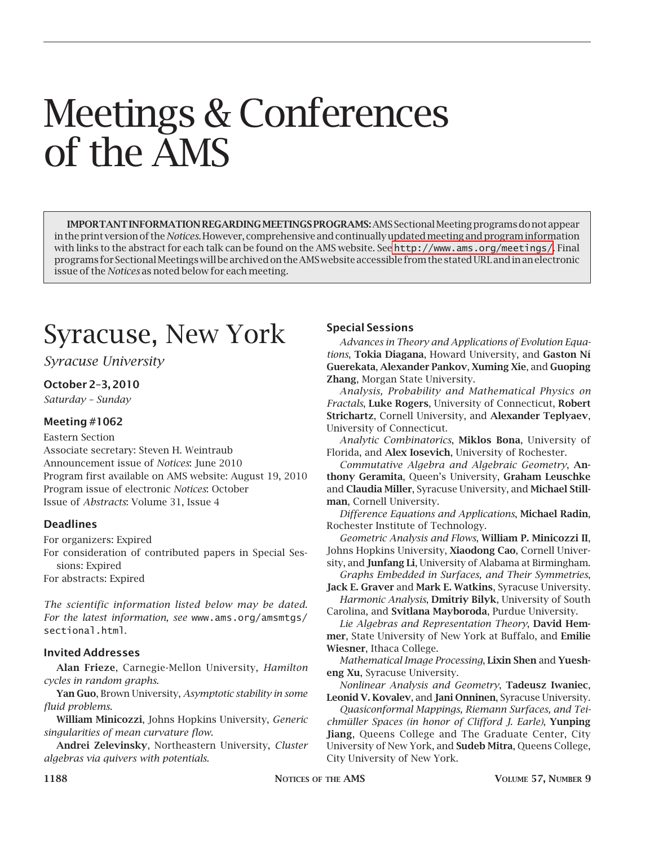# Meetings & Conferences of the AMS

**IMPORTANT INFORMATION REGARDING MEETINGS PROGRAMS:** AMS Sectional Meeting programs do not appear in the print version of the *Notices.* However, comprehensive and continually updated meeting and program information with links to the abstract for each talk can be found on the AMS website. See <http://www.ams.org/meetings/>. Final programs for Sectional Meetings will be archived on the AMS website accessible from the stated URL and in an electronic issue of the *Notices* as noted below for each meeting.

# Syracuse, New York

#### *Syracuse University*

#### **October 2–3, 2010**

*Saturday – Sunday*

#### **Meeting #1062**

#### Eastern Section

Associate secretary: Steven H. Weintraub Announcement issue of *Notices*: June 2010 Program first available on AMS website: August 19, 2010 Program issue of electronic *Notices*: October Issue of *Abstracts*: Volume 31, Issue 4

#### **Deadlines**

For organizers: Expired For consideration of contributed papers in Special Ses-

sions: Expired

For abstracts: Expired

*The scientific information listed below may be dated. For the latest information, see* www.ams.org/amsmtgs/ sectional.html.

#### **Invited Addresses**

**Alan Frieze**, Carnegie-Mellon University, *Hamilton cycles in random graphs*.

**Yan Guo**, Brown University, *Asymptotic stability in some fluid problems*.

**William Minicozzi**, Johns Hopkins University, *Generic singularities of mean curvature flow*.

**Andrei Zelevinsky**, Northeastern University, *Cluster algebras via quivers with potentials*.

#### **Special Sessions**

*Advances in Theory and Applications of Evolution Equations*, **Tokia Diagana**, Howard University, and **Gaston Ní Guerekata**, **Alexander Pankov**, **Xuming Xie**, and **Guoping Zhang**, Morgan State University.

*Analysis, Probability and Mathematical Physics on Fractals*, **Luke Rogers**, University of Connecticut, **Robert Strichartz**, Cornell University, and **Alexander Teplyaev**, University of Connecticut.

*Analytic Combinatorics*, **Miklos Bona**, University of Florida, and **Alex Iosevich**, University of Rochester.

*Commutative Algebra and Algebraic Geometry*, **Anthony Geramita**, Queen's University, **Graham Leuschke** and **Claudia Miller**, Syracuse University, and **Michael Stillman**, Cornell University.

*Difference Equations and Applications*, **Michael Radin**, Rochester Institute of Technology.

*Geometric Analysis and Flows*, **William P. Minicozzi II**, Johns Hopkins University, **Xiaodong Cao**, Cornell University, and **Junfang Li**, University of Alabama at Birmingham.

*Graphs Embedded in Surfaces, and Their Symmetries*, **Jack E. Graver** and **Mark E. Watkins**, Syracuse University.

*Harmonic Analysis*, **Dmitriy Bilyk**, University of South Carolina, and **Svitlana Mayboroda**, Purdue University.

*Lie Algebras and Representation Theory*, **David Hemmer**, State University of New York at Buffalo, and **Emilie Wiesner**, Ithaca College.

*Mathematical Image Processing*, **Lixin Shen** and **Yuesheng Xu**, Syracuse University.

*Nonlinear Analysis and Geometry*, **Tadeusz Iwaniec**, **Leonid V. Kovalev**, and **Jani Onninen**, Syracuse University.

*Quasiconformal Mappings, Riemann Surfaces, and Teichmüller Spaces (in honor of Clifford J. Earle)*, **Yunping Jiang**, Queens College and The Graduate Center, City University of New York, and **Sudeb Mitra**, Queens College, City University of New York.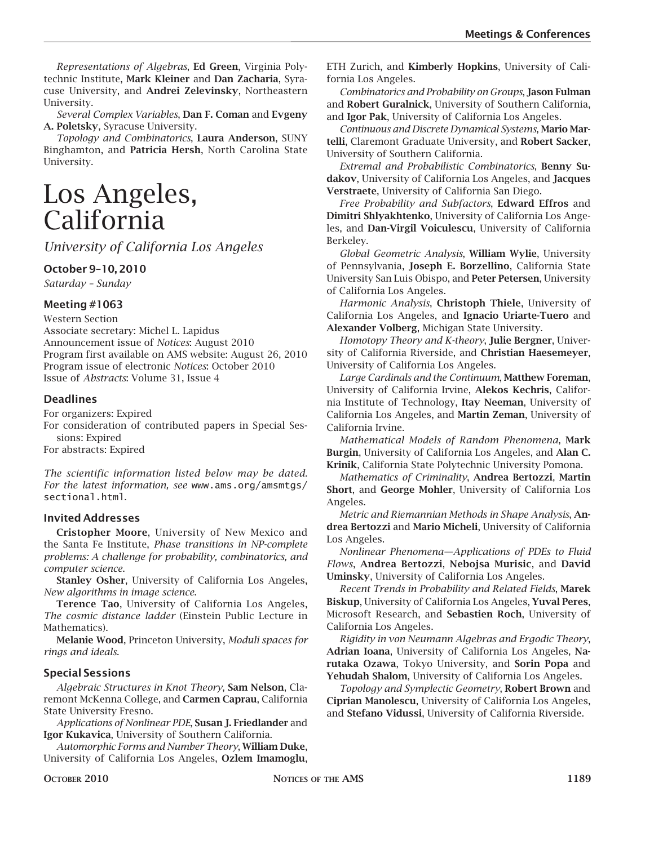*Representations of Algebras*, **Ed Green**, Virginia Polytechnic Institute, **Mark Kleiner** and **Dan Zacharia**, Syracuse University, and **Andrei Zelevinsky**, Northeastern University.

*Several Complex Variables*, **Dan F. Coman** and **Evgeny A. Poletsky**, Syracuse University.

*Topology and Combinatorics*, **Laura Anderson**, SUNY Binghamton, and **Patricia Hersh**, North Carolina State University.

### Los Angeles, California

*University of California Los Angeles*

#### **October 9–10, 2010**

*Saturday – Sunday*

#### **Meeting #1063**

Western Section

Associate secretary: Michel L. Lapidus Announcement issue of *Notices*: August 2010 Program first available on AMS website: August 26, 2010 Program issue of electronic *Notices*: October 2010 Issue of *Abstracts*: Volume 31, Issue 4

#### **Deadlines**

For organizers: Expired

For consideration of contributed papers in Special Sessions: Expired

For abstracts: Expired

*The scientific information listed below may be dated. For the latest information, see* www.ams.org/amsmtgs/ sectional.html.

#### **Invited Addresses**

**Cristopher Moore**, University of New Mexico and the Santa Fe Institute, *Phase transitions in NP-complete problems: A challenge for probability, combinatorics, and computer science*.

**Stanley Osher**, University of California Los Angeles, *New algorithms in image science*.

**Terence Tao**, University of California Los Angeles, *The cosmic distance ladder* (Einstein Public Lecture in Mathematics).

**Melanie Wood**, Princeton University, *Moduli spaces for rings and ideals*.

#### **Special Sessions**

*Algebraic Structures in Knot Theory*, **Sam Nelson**, Claremont McKenna College, and **Carmen Caprau**, California State University Fresno.

*Applications of Nonlinear PDE*, **Susan J. Friedlander** and **Igor Kukavica**, University of Southern California.

*Automorphic Forms and Number Theory*, **William Duke**, University of California Los Angeles, **Ozlem Imamoglu**, ETH Zurich, and **Kimberly Hopkins**, University of California Los Angeles.

*Combinatorics and Probability on Groups*, **Jason Fulman** and **Robert Guralnick**, University of Southern California, and **Igor Pak**, University of California Los Angeles.

*Continuous and Discrete Dynamical Systems*, **Mario Martelli**, Claremont Graduate University, and **Robert Sacker**, University of Southern California.

*Extremal and Probabilistic Combinatorics*, **Benny Sudakov**, University of California Los Angeles, and **Jacques Verstraete**, University of California San Diego.

*Free Probability and Subfactors*, **Edward Effros** and **Dimitri Shlyakhtenko**, University of California Los Angeles, and **Dan-Virgil Voiculescu**, University of California Berkeley.

*Global Geometric Analysis*, **William Wylie**, University of Pennsylvania, **Joseph E. Borzellino**, California State University San Luis Obispo, and **Peter Petersen**, University of California Los Angeles.

*Harmonic Analysis*, **Christoph Thiele**, University of California Los Angeles, and **Ignacio Uriarte-Tuero** and **Alexander Volberg**, Michigan State University.

*Homotopy Theory and K-theory*, **Julie Bergner**, University of California Riverside, and **Christian Haesemeyer**, University of California Los Angeles.

*Large Cardinals and the Continuum*, **Matthew Foreman**, University of California Irvine, **Alekos Kechris**, California Institute of Technology, **Itay Neeman**, University of California Los Angeles, and **Martin Zeman**, University of California Irvine.

*Mathematical Models of Random Phenomena*, **Mark Burgin**, University of California Los Angeles, and **Alan C. Krinik**, California State Polytechnic University Pomona.

*Mathematics of Criminality*, **Andrea Bertozzi**, **Martin Short**, and **George Mohler**, University of California Los Angeles.

*Metric and Riemannian Methods in Shape Analysis*, **Andrea Bertozzi** and **Mario Micheli**, University of California Los Angeles.

*Nonlinear Phenomena—Applications of PDEs to Fluid Flows*, **Andrea Bertozzi**, **Nebojsa Murisic**, and **David Uminsky**, University of California Los Angeles.

*Recent Trends in Probability and Related Fields*, **Marek Biskup**, University of California Los Angeles, **Yuval Peres**, Microsoft Research, and **Sebastien Roch**, University of California Los Angeles.

*Rigidity in von Neumann Algebras and Ergodic Theory*, **Adrian Ioana**, University of California Los Angeles, **Narutaka Ozawa**, Tokyo University, and **Sorin Popa** and **Yehudah Shalom**, University of California Los Angeles.

*Topology and Symplectic Geometry*, **Robert Brown** and **Ciprian Manolescu**, University of California Los Angeles, and **Stefano Vidussi**, University of California Riverside.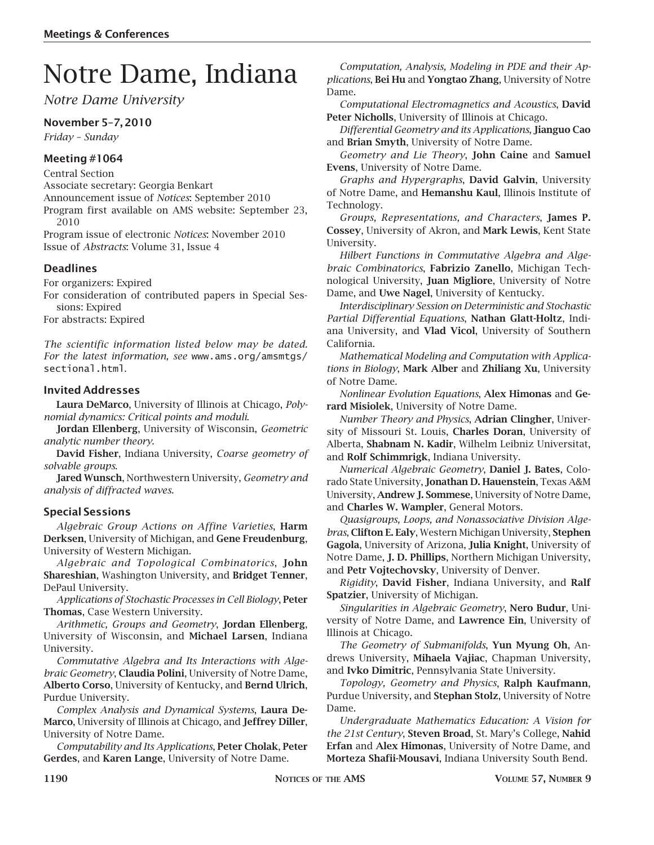## Notre Dame, Indiana

*Notre Dame University*

#### **November 5–7, 2010**

*Friday – Sunday*

#### **Meeting #1064**

Central Section

Associate secretary: Georgia Benkart

Announcement issue of *Notices*: September 2010

Program first available on AMS website: September 23, 2010

Program issue of electronic *Notices*: November 2010 Issue of *Abstracts*: Volume 31, Issue 4

#### **Deadlines**

For organizers: Expired

For consideration of contributed papers in Special Sessions: Expired

For abstracts: Expired

*The scientific information listed below may be dated. For the latest information, see* www.ams.org/amsmtgs/ sectional.html.

#### **Invited Addresses**

**Laura DeMarco**, University of Illinois at Chicago, *Polynomial dynamics: Critical points and moduli*.

**Jordan Ellenberg**, University of Wisconsin, *Geometric analytic number theory*.

**David Fisher**, Indiana University, *Coarse geometry of solvable groups*.

**Jared Wunsch**, Northwestern University, *Geometry and analysis of diffracted waves*.

#### **Special Sessions**

*Algebraic Group Actions on Affine Varieties*, **Harm Derksen**, University of Michigan, and **Gene Freudenburg**, University of Western Michigan.

*Algebraic and Topological Combinatorics*, **John Shareshian**, Washington University, and **Bridget Tenner**, DePaul University.

*Applications of Stochastic Processes in Cell Biology*, **Peter Thomas**, Case Western University.

*Arithmetic, Groups and Geometry*, **Jordan Ellenberg**, University of Wisconsin, and **Michael Larsen**, Indiana University.

*Commutative Algebra and Its Interactions with Algebraic Geometry*, **Claudia Polini**, University of Notre Dame, **Alberto Corso**, University of Kentucky, and **Bernd Ulrich**, Purdue University.

*Complex Analysis and Dynamical Systems*, **Laura De-Marco**, University of Illinois at Chicago, and **Jeffrey Diller**, University of Notre Dame.

*Computability and Its Applications*, **Peter Cholak**, **Peter Gerdes**, and **Karen Lange**, University of Notre Dame.

*Computation, Analysis, Modeling in PDE and their Applications*, **Bei Hu** and **Yongtao Zhang**, University of Notre Dame.

*Computational Electromagnetics and Acoustics*, **David Peter Nicholls**, University of Illinois at Chicago.

*Differential Geometry and its Applications*, **Jianguo Cao** and **Brian Smyth**, University of Notre Dame.

*Geometry and Lie Theory*, **John Caine** and **Samuel Evens**, University of Notre Dame.

*Graphs and Hypergraphs*, **David Galvin**, University of Notre Dame, and **Hemanshu Kaul**, Illinois Institute of Technology.

*Groups, Representations, and Characters*, **James P. Cossey**, University of Akron, and **Mark Lewis**, Kent State University.

*Hilbert Functions in Commutative Algebra and Algebraic Combinatorics*, **Fabrizio Zanello**, Michigan Technological University, **Juan Migliore**, University of Notre Dame, and **Uwe Nagel**, University of Kentucky.

*Interdisciplinary Session on Deterministic and Stochastic Partial Differential Equations*, **Nathan Glatt-Holtz**, Indiana University, and **Vlad Vicol**, University of Southern California.

*Mathematical Modeling and Computation with Applications in Biology*, **Mark Alber** and **Zhiliang Xu**, University of Notre Dame.

*Nonlinear Evolution Equations*, **Alex Himonas** and **Gerard Misiolek**, University of Notre Dame.

*Number Theory and Physics*, **Adrian Clingher**, University of Missouri St. Louis, **Charles Doran**, University of Alberta, **Shabnam N. Kadir**, Wilhelm Leibniz Universitat, and **Rolf Schimmrigk**, Indiana University.

*Numerical Algebraic Geometry*, **Daniel J. Bates**, Colorado State University, **Jonathan D. Hauenstein**, Texas A&M University, **Andrew J. Sommese**, University of Notre Dame, and **Charles W. Wampler**, General Motors.

*Quasigroups, Loops, and Nonassociative Division Algebras*, **Clifton E. Ealy**, Western Michigan University, **Stephen Gagola**, University of Arizona, **Julia Knight**, University of Notre Dame, **J. D. Phillips**, Northern Michigan University, and **Petr Vojtechovsky**, University of Denver.

*Rigidity*, **David Fisher**, Indiana University, and **Ralf Spatzier**, University of Michigan.

*Singularities in Algebraic Geometry*, **Nero Budur**, University of Notre Dame, and **Lawrence Ein**, University of Illinois at Chicago.

*The Geometry of Submanifolds*, **Yun Myung Oh**, Andrews University, **Mihaela Vajiac**, Chapman University, and **Ivko Dimitric**, Pennsylvania State University.

*Topology, Geometry and Physics*, **Ralph Kaufmann**, Purdue University, and **Stephan Stolz**, University of Notre Dame.

*Undergraduate Mathematics Education: A Vision for the 21st Century*, **Steven Broad**, St. Mary's College, **Nahid Erfan** and **Alex Himonas**, University of Notre Dame, and **Morteza Shafii-Mousavi**, Indiana University South Bend.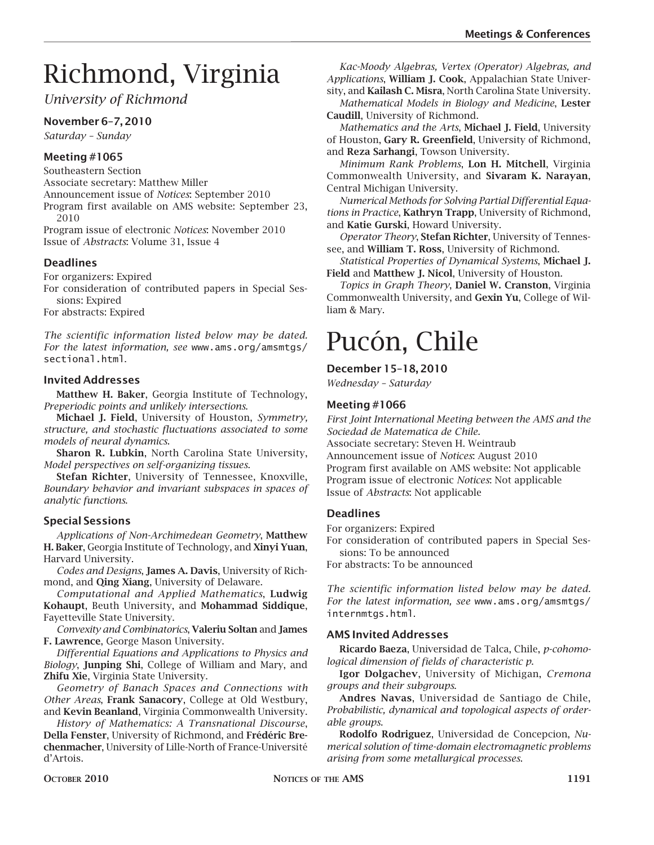# Richmond, Virginia

*University of Richmond*

#### **November 6–7, 2010**

*Saturday – Sunday*

#### **Meeting #1065**

Southeastern Section Associate secretary: Matthew Miller Announcement issue of *Notices*: September 2010 Program first available on AMS website: September 23, 2010

Program issue of electronic *Notices*: November 2010 Issue of *Abstracts*: Volume 31, Issue 4

#### **Deadlines**

For organizers: Expired

For consideration of contributed papers in Special Sessions: Expired

For abstracts: Expired

*The scientific information listed below may be dated. For the latest information, see* www.ams.org/amsmtgs/ sectional.html.

#### **Invited Addresses**

**Matthew H. Baker**, Georgia Institute of Technology, *Preperiodic points and unlikely intersections*.

**Michael J. Field**, University of Houston, *Symmetry, structure, and stochastic fluctuations associated to some models of neural dynamics*.

**Sharon R. Lubkin**, North Carolina State University, *Model perspectives on self-organizing tissues*.

**Stefan Richter**, University of Tennessee, Knoxville, *Boundary behavior and invariant subspaces in spaces of analytic functions*.

#### **Special Sessions**

*Applications of Non-Archimedean Geometry*, **Matthew H. Baker**, Georgia Institute of Technology, and **Xinyi Yuan**, Harvard University.

*Codes and Designs*, **James A. Davis**, University of Richmond, and **Qing Xiang**, University of Delaware.

*Computational and Applied Mathematics*, **Ludwig Kohaupt**, Beuth University, and **Mohammad Siddique**, Fayetteville State University.

*Convexity and Combinatorics*, **Valeriu Soltan** and **James F. Lawrence**, George Mason University.

*Differential Equations and Applications to Physics and Biology*, **Junping Shi**, College of William and Mary, and **Zhifu Xie**, Virginia State University.

*Geometry of Banach Spaces and Connections with Other Areas*, **Frank Sanacory**, College at Old Westbury, and **Kevin Beanland**, Virginia Commonwealth University.

*History of Mathematics: A Transnational Discourse*, **Della Fenster**, University of Richmond, and **Frédéric Brechenmacher**, University of Lille-North of France-Université d'Artois.

*Kac-Moody Algebras, Vertex (Operator) Algebras, and Applications*, **William J. Cook**, Appalachian State University, and **Kailash C. Misra**, North Carolina State University.

*Mathematical Models in Biology and Medicine*, **Lester Caudill**, University of Richmond.

*Mathematics and the Arts*, **Michael J. Field**, University of Houston, **Gary R. Greenfield**, University of Richmond, and **Reza Sarhangi**, Towson University.

*Minimum Rank Problems*, **Lon H. Mitchell**, Virginia Commonwealth University, and **Sivaram K. Narayan**, Central Michigan University.

*Numerical Methods for Solving Partial Differential Equations in Practice*, **Kathryn Trapp**, University of Richmond, and **Katie Gurski**, Howard University.

*Operator Theory*, **Stefan Richter**, University of Tennessee, and **William T. Ross**, University of Richmond.

*Statistical Properties of Dynamical Systems*, **Michael J. Field** and **Matthew J. Nicol**, University of Houston.

*Topics in Graph Theory*, **Daniel W. Cranston**, Virginia Commonwealth University, and **Gexin Yu**, College of William & Mary.

### Pucón, Chile

**December 15–18, 2010**

*Wednesday – Saturday*

#### **Meeting #1066**

*First Joint International Meeting between the AMS and the Sociedad de Matematica de Chile.* Associate secretary: Steven H. Weintraub Announcement issue of *Notices*: August 2010 Program first available on AMS website: Not applicable Program issue of electronic *Notices*: Not applicable Issue of *Abstracts*: Not applicable

#### **Deadlines**

For organizers: Expired

For consideration of contributed papers in Special Sessions: To be announced

For abstracts: To be announced

*The scientific information listed below may be dated. For the latest information, see* www.ams.org/amsmtgs/ internmtgs.html.

#### **AMS Invited Addresses**

**Ricardo Baeza**, Universidad de Talca, Chile, *p-cohomological dimension of fields of characteristic p*.

**Igor Dolgachev**, University of Michigan, *Cremona groups and their subgroups*.

**Andres Navas**, Universidad de Santiago de Chile, *Probabilistic, dynamical and topological aspects of orderable groups*.

**Rodolfo Rodriguez**, Universidad de Concepcion, *Numerical solution of time-domain electromagnetic problems arising from some metallurgical processes*.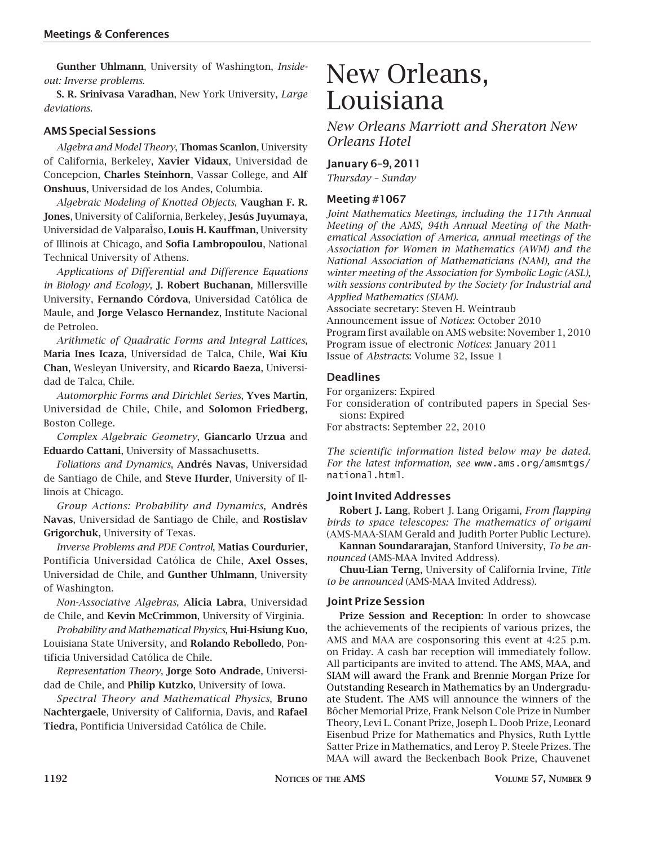**Gunther Uhlmann**, University of Washington, *Insideout: Inverse problems*.

**S. R. Srinivasa Varadhan**, New York University, *Large deviations*.

#### **AMS Special Sessions**

*Algebra and Model Theory*, **Thomas Scanlon**, University of California, Berkeley, **Xavier Vidaux**, Universidad de Concepcion, **Charles Steinhorn**, Vassar College, and **Alf Onshuus**, Universidad de los Andes, Columbia.

*Algebraic Modeling of Knotted Objects*, **Vaughan F. R. Jones**, University of California, Berkeley, **Jesús Juyumaya**, Universidad de ValparaÌso, **Louis H. Kauffman**, University of Illinois at Chicago, and **Sofia Lambropoulou**, National Technical University of Athens.

*Applications of Differential and Difference Equations in Biology and Ecology*, **J. Robert Buchanan**, Millersville University, **Fernando Córdova**, Universidad Católica de Maule, and **Jorge Velasco Hernandez**, Institute Nacional de Petroleo.

*Arithmetic of Quadratic Forms and Integral Lattices*, **Maria Ines Icaza**, Universidad de Talca, Chile, **Wai Kiu Chan**, Wesleyan University, and **Ricardo Baeza**, Universidad de Talca, Chile.

*Automorphic Forms and Dirichlet Series*, **Yves Martin**, Universidad de Chile, Chile, and **Solomon Friedberg**, Boston College.

*Complex Algebraic Geometry*, **Giancarlo Urzua** and **Eduardo Cattani**, University of Massachusetts.

*Foliations and Dynamics*, **Andrés Navas**, Universidad de Santiago de Chile, and **Steve Hurder**, University of Illinois at Chicago.

*Group Actions: Probability and Dynamics*, **Andrés Navas**, Universidad de Santiago de Chile, and **Rostislav Grigorchuk**, University of Texas.

*Inverse Problems and PDE Control*, **Matias Courdurier**, Pontificia Universidad Católica de Chile, **Axel Osses**, Universidad de Chile, and **Gunther Uhlmann**, University of Washington.

*Non-Associative Algebras*, **Alicia Labra**, Universidad de Chile, and **Kevin McCrimmon**, University of Virginia.

*Probability and Mathematical Physics*, **Hui-Hsiung Kuo**, Louisiana State University, and **Rolando Rebolledo**, Pontificia Universidad Católica de Chile.

*Representation Theory*, **Jorge Soto Andrade**, Universidad de Chile, and **Philip Kutzko**, University of Iowa.

*Spectral Theory and Mathematical Physics*, **Bruno Nachtergaele**, University of California, Davis, and **Rafael Tiedra**, Pontificia Universidad Católica de Chile.

### New Orleans, Louisiana

*New Orleans Marriott and Sheraton New Orleans Hotel*

#### **January 6–9, 2011**

*Thursday – Sunday*

#### **Meeting #1067**

*Joint Mathematics Meetings, including the 117th Annual Meeting of the AMS, 94th Annual Meeting of the Mathematical Association of America, annual meetings of the Association for Women in Mathematics (AWM) and the National Association of Mathematicians (NAM), and the winter meeting of the Association for Symbolic Logic (ASL), with sessions contributed by the Society for Industrial and Applied Mathematics (SIAM).*

Associate secretary: Steven H. Weintraub Announcement issue of *Notices*: October 2010 Program first available on AMS website: November 1, 2010 Program issue of electronic *Notices*: January 2011 Issue of *Abstracts*: Volume 32, Issue 1

#### **Deadlines**

For organizers: Expired

For consideration of contributed papers in Special Sessions: Expired

For abstracts: September 22, 2010

*The scientific information listed below may be dated. For the latest information, see* www.ams.org/amsmtgs/ national.html.

#### **Joint Invited Addresses**

**Robert J. Lang**, Robert J. Lang Origami, *From flapping birds to space telescopes: The mathematics of origami* (AMS-MAA-SIAM Gerald and Judith Porter Public Lecture).

**Kannan Soundararajan**, Stanford University, *To be announced* (AMS-MAA Invited Address).

**Chuu-Lian Terng**, University of California Irvine, *Title to be announced* (AMS-MAA Invited Address).

#### **Joint Prize Session**

**Prize Session and Reception**: In order to showcase the achievements of the recipients of various prizes, the AMS and MAA are cosponsoring this event at 4:25 p.m. on Friday. A cash bar reception will immediately follow. All participants are invited to attend. The AMS, MAA, and SIAM will award the Frank and Brennie Morgan Prize for Outstanding Research in Mathematics by an Undergraduate Student. The AMS will announce the winners of the Bôcher Memorial Prize, Frank Nelson Cole Prize in Number Theory, Levi L. Conant Prize, Joseph L. Doob Prize, Leonard Eisenbud Prize for Mathematics and Physics, Ruth Lyttle Satter Prize in Mathematics, and Leroy P. Steele Prizes. The MAA will award the Beckenbach Book Prize, Chauvenet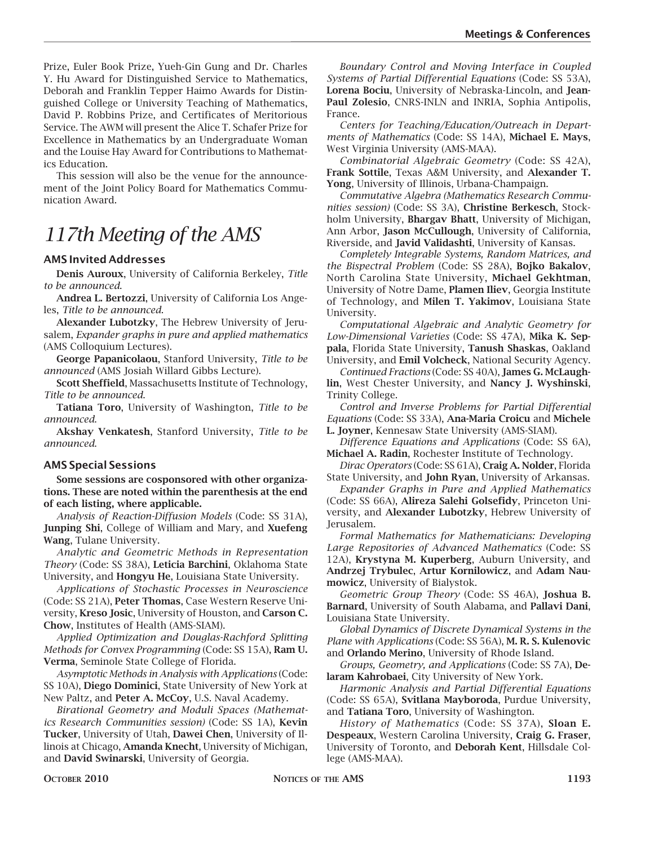Prize, Euler Book Prize, Yueh-Gin Gung and Dr. Charles Y. Hu Award for Distinguished Service to Mathematics, Deborah and Franklin Tepper Haimo Awards for Distinguished College or University Teaching of Mathematics, David P. Robbins Prize, and Certificates of Meritorious Service. The AWM will present the Alice T. Schafer Prize for Excellence in Mathematics by an Undergraduate Woman and the Louise Hay Award for Contributions to Mathematics Education.

This session will also be the venue for the announcement of the Joint Policy Board for Mathematics Communication Award.

### *117th Meeting of the AMS*

#### **AMS Invited Addresses**

**Denis Auroux**, University of California Berkeley, *Title to be announced*.

**Andrea L. Bertozzi**, University of California Los Angeles, *Title to be announced*.

**Alexander Lubotzky**, The Hebrew University of Jerusalem, *Expander graphs in pure and applied mathematics* (AMS Colloquium Lectures).

**George Papanicolaou**, Stanford University, *Title to be announced* (AMS Josiah Willard Gibbs Lecture).

**Scott Sheffield**, Massachusetts Institute of Technology, *Title to be announced*.

**Tatiana Toro**, University of Washington, *Title to be announced*.

**Akshay Venkatesh**, Stanford University, *Title to be announced*.

#### **AMS Special Sessions**

**Some sessions are cosponsored with other organizations. These are noted within the parenthesis at the end of each listing, where applicable.**

*Analysis of Reaction-Diffusion Models* (Code: SS 31A), **Junping Shi**, College of William and Mary, and **Xuefeng Wang**, Tulane University.

*Analytic and Geometric Methods in Representation Theory* (Code: SS 38A), **Leticia Barchini**, Oklahoma State University, and **Hongyu He**, Louisiana State University.

*Applications of Stochastic Processes in Neuroscience* (Code: SS 21A), **Peter Thomas**, Case Western Reserve University, **Kreso Josic**, University of Houston, and **Carson C. Chow**, Institutes of Health (AMS-SIAM).

*Applied Optimization and Douglas-Rachford Splitting Methods for Convex Programming* (Code: SS 15A), **Ram U. Verma**, Seminole State College of Florida.

*Asymptotic Methods in Analysis with Applications* (Code: SS 10A), **Diego Dominici**, State University of New York at New Paltz, and **Peter A. McCoy**, U.S. Naval Academy.

*Birational Geometry and Moduli Spaces (Mathematics Research Communities session)* (Code: SS 1A), **Kevin Tucker**, University of Utah, **Dawei Chen**, University of Illinois at Chicago, **Amanda Knecht**, University of Michigan, and **David Swinarski**, University of Georgia.

*Boundary Control and Moving Interface in Coupled Systems of Partial Differential Equations* (Code: SS 53A), **Lorena Bociu**, University of Nebraska-Lincoln, and **Jean-Paul Zolesio**, CNRS-INLN and INRIA, Sophia Antipolis, France.

*Centers for Teaching/Education/Outreach in Departments of Mathematics* (Code: SS 14A), **Michael E. Mays**, West Virginia University (AMS-MAA).

*Combinatorial Algebraic Geometry* (Code: SS 42A), **Frank Sottile**, Texas A&M University, and **Alexander T. Yong**, University of Illinois, Urbana-Champaign.

*Commutative Algebra (Mathematics Research Communities session)* (Code: SS 3A), **Christine Berkesch**, Stockholm University, **Bhargav Bhatt**, University of Michigan, Ann Arbor, **Jason McCullough**, University of California, Riverside, and **Javid Validashti**, University of Kansas.

*Completely Integrable Systems, Random Matrices, and the Bispectral Problem* (Code: SS 28A), **Bojko Bakalov**, North Carolina State University, **Michael Gekhtman**, University of Notre Dame, **Plamen Iliev**, Georgia Institute of Technology, and **Milen T. Yakimov**, Louisiana State University.

*Computational Algebraic and Analytic Geometry for Low-Dimensional Varieties* (Code: SS 47A), **Mika K. Seppala**, Florida State University, **Tanush Shaskas**, Oakland University, and **Emil Volcheck**, National Security Agency.

*Continued Fractions* (Code: SS 40A), **James G. McLaughlin**, West Chester University, and **Nancy J. Wyshinski**, Trinity College.

*Control and Inverse Problems for Partial Differential Equations* (Code: SS 33A), **Ana-Maria Croicu** and **Michele L. Joyner**, Kennesaw State University (AMS-SIAM).

*Difference Equations and Applications* (Code: SS 6A), **Michael A. Radin**, Rochester Institute of Technology.

*Dirac Operators* (Code: SS 61A), **Craig A. Nolder**, Florida State University, and **John Ryan**, University of Arkansas.

*Expander Graphs in Pure and Applied Mathematics* (Code: SS 66A), **Alireza Salehi Golsefidy**, Princeton University, and **Alexander Lubotzky**, Hebrew University of Jerusalem.

*Formal Mathematics for Mathematicians: Developing Large Repositories of Advanced Mathematics* (Code: SS 12A), **Krystyna M. Kuperberg**, Auburn University, and **Andrzej Trybulec**, **Artur Kornilowicz**, and **Adam Naumowicz**, University of Bialystok.

*Geometric Group Theory* (Code: SS 46A), **Joshua B. Barnard**, University of South Alabama, and **Pallavi Dani**, Louisiana State University.

*Global Dynamics of Discrete Dynamical Systems in the Plane with Applications* (Code: SS 56A), **M. R. S. Kulenovic** and **Orlando Merino**, University of Rhode Island.

*Groups, Geometry, and Applications* (Code: SS 7A), **Delaram Kahrobaei**, City University of New York.

*Harmonic Analysis and Partial Differential Equations* (Code: SS 65A), **Svitlana Mayboroda**, Purdue University, and **Tatiana Toro**, University of Washington.

*History of Mathematics* (Code: SS 37A), **Sloan E. Despeaux**, Western Carolina University, **Craig G. Fraser**, University of Toronto, and **Deborah Kent**, Hillsdale College (AMS-MAA).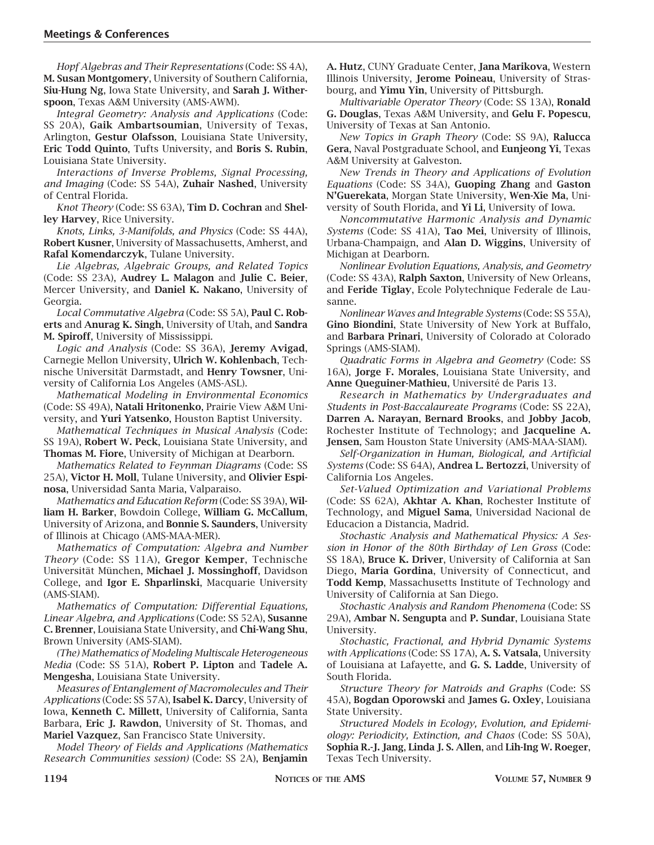*Hopf Algebras and Their Representations* (Code: SS 4A), **M. Susan Montgomery**, University of Southern California, **Siu-Hung Ng**, Iowa State University, and **Sarah J. Witherspoon**, Texas A&M University (AMS-AWM).

*Integral Geometry: Analysis and Applications* (Code: SS 20A), **Gaik Ambartsoumian**, University of Texas, Arlington, **Gestur Olafsson**, Louisiana State University, **Eric Todd Quinto**, Tufts University, and **Boris S. Rubin**, Louisiana State University.

*Interactions of Inverse Problems, Signal Processing, and Imaging* (Code: SS 54A), **Zuhair Nashed**, University of Central Florida.

*Knot Theory* (Code: SS 63A), **Tim D. Cochran** and **Shelley Harvey**, Rice University.

*Knots, Links, 3-Manifolds, and Physics* (Code: SS 44A), **Robert Kusner**, University of Massachusetts, Amherst, and **Rafal Komendarczyk**, Tulane University.

*Lie Algebras, Algebraic Groups, and Related Topics* (Code: SS 23A), **Audrey L. Malagon** and **Julie C. Beier**, Mercer University, and **Daniel K. Nakano**, University of Georgia.

*Local Commutative Algebra* (Code: SS 5A), **Paul C. Roberts** and **Anurag K. Singh**, University of Utah, and **Sandra M. Spiroff**, University of Mississippi.

*Logic and Analysis* (Code: SS 36A), **Jeremy Avigad**, Carnegie Mellon University, **Ulrich W. Kohlenbach**, Technische Universität Darmstadt, and **Henry Towsner**, University of California Los Angeles (AMS-ASL).

*Mathematical Modeling in Environmental Economics* (Code: SS 49A), **Natali Hritonenko**, Prairie View A&M University, and **Yuri Yatsenko**, Houston Baptist University.

*Mathematical Techniques in Musical Analysis* (Code: SS 19A), **Robert W. Peck**, Louisiana State University, and **Thomas M. Fiore**, University of Michigan at Dearborn.

*Mathematics Related to Feynman Diagrams* (Code: SS 25A), **Victor H. Moll**, Tulane University, and **Olivier Espinosa**, Universidad Santa Maria, Valparaiso.

*Mathematics and Education Reform* (Code: SS 39A), **William H. Barker**, Bowdoin College, **William G. McCallum**, University of Arizona, and **Bonnie S. Saunders**, University of Illinois at Chicago (AMS-MAA-MER).

*Mathematics of Computation: Algebra and Number Theory* (Code: SS 11A), **Gregor Kemper**, Technische Universität München, **Michael J. Mossinghoff**, Davidson College, and **Igor E. Shparlinski**, Macquarie University (AMS-SIAM).

*Mathematics of Computation: Differential Equations, Linear Algebra, and Applications* (Code: SS 52A), **Susanne C. Brenner**, Louisiana State University, and **Chi-Wang Shu**, Brown University (AMS-SIAM).

*(The) Mathematics of Modeling Multiscale Heterogeneous Media* (Code: SS 51A), **Robert P. Lipton** and **Tadele A. Mengesha**, Louisiana State University.

*Measures of Entanglement of Macromolecules and Their Applications* (Code: SS 57A), **Isabel K. Darcy**, University of Iowa, **Kenneth C. Millett**, University of California, Santa Barbara, **Eric J. Rawdon**, University of St. Thomas, and **Mariel Vazquez**, San Francisco State University.

*Model Theory of Fields and Applications (Mathematics Research Communities session)* (Code: SS 2A), **Benjamin**  **A. Hutz**, CUNY Graduate Center, **Jana Marikova**, Western Illinois University, **Jerome Poineau**, University of Strasbourg, and **Yimu Yin**, University of Pittsburgh.

*Multivariable Operator Theory* (Code: SS 13A), **Ronald G. Douglas**, Texas A&M University, and **Gelu F. Popescu**, University of Texas at San Antonio.

*New Topics in Graph Theory* (Code: SS 9A), **Ralucca Gera**, Naval Postgraduate School, and **Eunjeong Yi**, Texas A&M University at Galveston.

*New Trends in Theory and Applications of Evolution Equations* (Code: SS 34A), **Guoping Zhang** and **Gaston N'Guerekata**, Morgan State University, **Wen-Xie Ma**, University of South Florida, and **Yi Li**, University of Iowa.

*Noncommutative Harmonic Analysis and Dynamic Systems* (Code: SS 41A), **Tao Mei**, University of Illinois, Urbana-Champaign, and **Alan D. Wiggins**, University of Michigan at Dearborn.

*Nonlinear Evolution Equations, Analysis, and Geometry* (Code: SS 43A), **Ralph Saxton**, University of New Orleans, and **Feride Tiglay**, Ecole Polytechnique Federale de Lausanne.

*Nonlinear Waves and Integrable Systems* (Code: SS 55A), **Gino Biondini**, State University of New York at Buffalo, and **Barbara Prinari**, University of Colorado at Colorado Springs (AMS-SIAM).

*Quadratic Forms in Algebra and Geometry* (Code: SS 16A), **Jorge F. Morales**, Louisiana State University, and **Anne Queguiner-Mathieu**, Université de Paris 13.

*Research in Mathematics by Undergraduates and Students in Post-Baccalaureate Programs* (Code: SS 22A), **Darren A. Narayan**, **Bernard Brooks**, and **Jobby Jacob**, Rochester Institute of Technology; and **Jacqueline A. Jensen**, Sam Houston State University (AMS-MAA-SIAM).

*Self-Organization in Human, Biological, and Artificial Systems* (Code: SS 64A), **Andrea L. Bertozzi**, University of California Los Angeles.

*Set-Valued Optimization and Variational Problems* (Code: SS 62A), **Akhtar A. Khan**, Rochester Institute of Technology, and **Miguel Sama**, Universidad Nacional de Educacion a Distancia, Madrid.

*Stochastic Analysis and Mathematical Physics: A Session in Honor of the 80th Birthday of Len Gross* (Code: SS 18A), **Bruce K. Driver**, University of California at San Diego, **Maria Gordina**, University of Connecticut, and **Todd Kemp**, Massachusetts Institute of Technology and University of California at San Diego.

*Stochastic Analysis and Random Phenomena* (Code: SS 29A), **Ambar N. Sengupta** and **P. Sundar**, Louisiana State University.

*Stochastic, Fractional, and Hybrid Dynamic Systems with Applications* (Code: SS 17A), **A. S. Vatsala**, University of Louisiana at Lafayette, and **G. S. Ladde**, University of South Florida.

*Structure Theory for Matroids and Graphs* (Code: SS 45A), **Bogdan Oporowski** and **James G. Oxley**, Louisiana State University.

*Structured Models in Ecology, Evolution, and Epidemiology: Periodicity, Extinction, and Chaos* (Code: SS 50A), **Sophia R.-J. Jang**, **Linda J. S. Allen**, and **Lih-Ing W. Roeger**, Texas Tech University.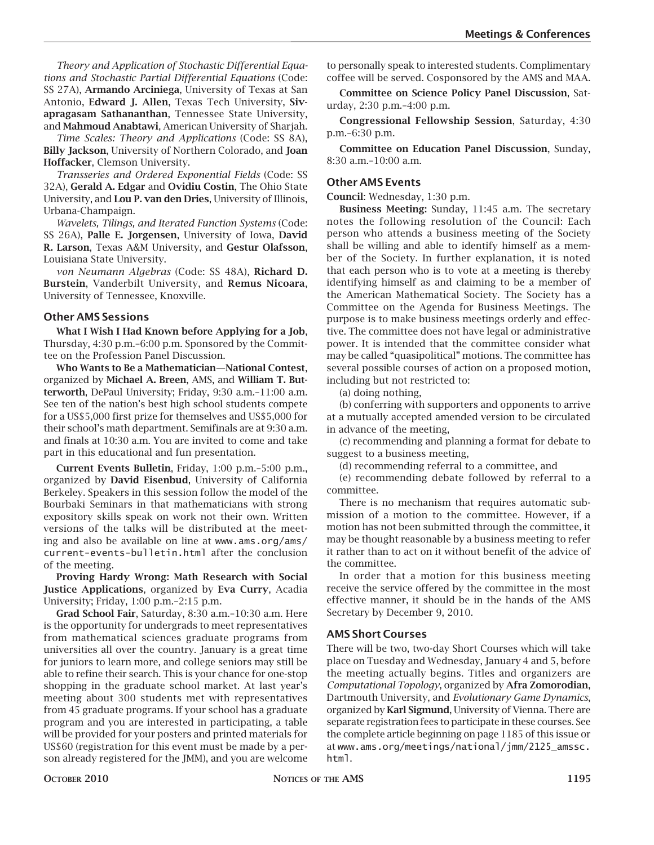*Theory and Application of Stochastic Differential Equations and Stochastic Partial Differential Equations* (Code: SS 27A), **Armando Arciniega**, University of Texas at San Antonio, **Edward J. Allen**, Texas Tech University, **Sivapragasam Sathananthan**, Tennessee State University, and **Mahmoud Anabtawi**, American University of Sharjah.

*Time Scales: Theory and Applications* (Code: SS 8A), **Billy Jackson**, University of Northern Colorado, and **Joan Hoffacker**, Clemson University.

*Transseries and Ordered Exponential Fields* (Code: SS 32A), **Gerald A. Edgar** and **Ovidiu Costin**, The Ohio State University, and **Lou P. van den Dries**, University of Illinois, Urbana-Champaign.

*Wavelets, Tilings, and Iterated Function Systems* (Code: SS 26A), **Palle E. Jorgensen**, University of Iowa, **David R. Larson**, Texas A&M University, and **Gestur Olafsson**, Louisiana State University.

*von Neumann Algebras* (Code: SS 48A), **Richard D. Burstein**, Vanderbilt University, and **Remus Nicoara**, University of Tennessee, Knoxville.

#### **Other AMS Sessions**

**What I Wish I Had Known before Applying for a Job**, Thursday, 4:30 p.m.–6:00 p.m. Sponsored by the Committee on the Profession Panel Discussion.

**Who Wants to Be a Mathematician—National Contest**, organized by **Michael A. Breen**, AMS, and **William T. Butterworth**, DePaul University; Friday, 9:30 a.m.–11:00 a.m. See ten of the nation's best high school students compete for a US\$5,000 first prize for themselves and US\$5,000 for their school's math department. Semifinals are at 9:30 a.m. and finals at 10:30 a.m. You are invited to come and take part in this educational and fun presentation.

**Current Events Bulletin**, Friday, 1:00 p.m.–5:00 p.m., organized by **David Eisenbud**, University of California Berkeley. Speakers in this session follow the model of the Bourbaki Seminars in that mathematicians with strong expository skills speak on work not their own. Written versions of the talks will be distributed at the meeting and also be available on line at www.ams.org/ams/ current-events-bulletin.html after the conclusion of the meeting.

**Proving Hardy Wrong: Math Research with Social Justice Applications**, organized by **Eva Curry**, Acadia University; Friday, 1:00 p.m.–2:15 p.m.

**Grad School Fair**, Saturday, 8:30 a.m.–10:30 a.m. Here is the opportunity for undergrads to meet representatives from mathematical sciences graduate programs from universities all over the country. January is a great time for juniors to learn more, and college seniors may still be able to refine their search. This is your chance for one-stop shopping in the graduate school market. At last year's meeting about 300 students met with representatives from 45 graduate programs. If your school has a graduate program and you are interested in participating, a table will be provided for your posters and printed materials for US\$60 (registration for this event must be made by a person already registered for the JMM), and you are welcome

to personally speak to interested students. Complimentary coffee will be served. Cosponsored by the AMS and MAA.

**Committee on Science Policy Panel Discussion**, Saturday, 2:30 p.m.–4:00 p.m.

**Congressional Fellowship Session**, Saturday, 4:30 p.m.–6:30 p.m.

**Committee on Education Panel Discussion**, Sunday, 8:30 a.m.–10:00 a.m.

#### **Other AMS Events**

**Council**: Wednesday, 1:30 p.m.

**Business Meeting:** Sunday, 11:45 a.m. The secretary notes the following resolution of the Council: Each person who attends a business meeting of the Society shall be willing and able to identify himself as a member of the Society. In further explanation, it is noted that each person who is to vote at a meeting is thereby identifying himself as and claiming to be a member of the American Mathematical Society. The Society has a Committee on the Agenda for Business Meetings. The purpose is to make business meetings orderly and effective. The committee does not have legal or administrative power. It is intended that the committee consider what may be called "quasipolitical" motions. The committee has several possible courses of action on a proposed motion, including but not restricted to:

(a) doing nothing,

(b) conferring with supporters and opponents to arrive at a mutually accepted amended version to be circulated in advance of the meeting,

(c) recommending and planning a format for debate to suggest to a business meeting,

(d) recommending referral to a committee, and

(e) recommending debate followed by referral to a committee.

There is no mechanism that requires automatic submission of a motion to the committee. However, if a motion has not been submitted through the committee, it may be thought reasonable by a business meeting to refer it rather than to act on it without benefit of the advice of the committee.

In order that a motion for this business meeting receive the service offered by the committee in the most effective manner, it should be in the hands of the AMS Secretary by December 9, 2010.

#### **AMS Short Courses**

There will be two, two-day Short Courses which will take place on Tuesday and Wednesday, January 4 and 5, before the meeting actually begins. Titles and organizers are *Computational Topology*, organized by **Afra Zomorodian**, Dartmouth University, and *Evolutionary Game Dynamics*, organized by **Karl Sigmund**, University of Vienna. There are separate registration fees to participate in these courses. See the complete article beginning on page 1185 of this issue or at www.ams.org/meetings/national/jmm/2125\_amssc. html.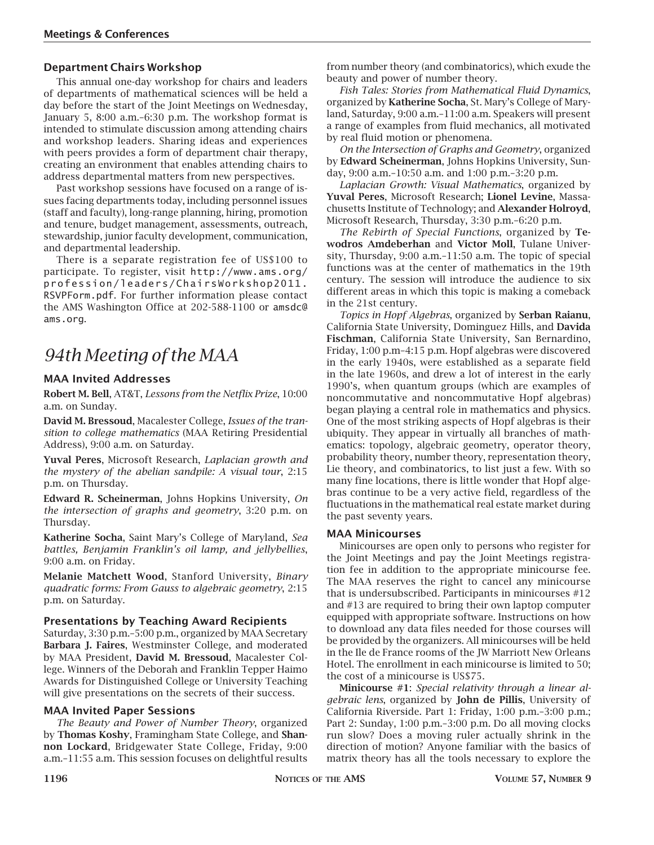#### **Department Chairs Workshop**

This annual one-day workshop for chairs and leaders of departments of mathematical sciences will be held a day before the start of the Joint Meetings on Wednesday, January 5, 8:00 a.m.–6:30 p.m. The workshop format is intended to stimulate discussion among attending chairs and workshop leaders. Sharing ideas and experiences with peers provides a form of department chair therapy, creating an environment that enables attending chairs to address departmental matters from new perspectives.

Past workshop sessions have focused on a range of issues facing departments today, including personnel issues (staff and faculty), long-range planning, hiring, promotion and tenure, budget management, assessments, outreach, stewardship, junior faculty development, communication, and departmental leadership.

There is a separate registration fee of US\$100 to participate. To register, visit http://www.ams.org/ profession/leaders/ChairsWorkshop2011. RSVPForm.pdf. For further information please contact the AMS Washington Office at 202-588-1100 or amsdc@ ams.org.

### *94th Meeting of the MAA*

#### **MAA Invited Addresses**

**Robert M. Bell**, AT&T, *Lessons from the Netflix Prize*, 10:00 a.m. on Sunday.

**David M. Bressoud**, Macalester College, *Issues of the transition to college mathematics* (MAA Retiring Presidential Address), 9:00 a.m. on Saturday.

**Yuval Peres**, Microsoft Research, *Laplacian growth and the mystery of the abelian sandpile: A visual tour*, 2:15 p.m. on Thursday.

**Edward R. Scheinerman**, Johns Hopkins University, *On the intersection of graphs and geometry*, 3:20 p.m. on Thursday.

**Katherine Socha**, Saint Mary's College of Maryland, *Sea battles, Benjamin Franklin's oil lamp, and jellybellies*, 9:00 a.m. on Friday.

**Melanie Matchett Wood**, Stanford University, *Binary quadratic forms: From Gauss to algebraic geometry*, 2:15 p.m. on Saturday.

#### **Presentations by Teaching Award Recipients**

Saturday, 3:30 p.m.–5:00 p.m., organized by MAA Secretary **Barbara J. Faires**, Westminster College, and moderated by MAA President, **David M. Bressoud**, Macalester College. Winners of the Deborah and Franklin Tepper Haimo Awards for Distinguished College or University Teaching will give presentations on the secrets of their success.

#### **MAA Invited Paper Sessions**

*The Beauty and Power of Number Theory*, organized by **Thomas Koshy**, Framingham State College, and **Shannon Lockard**, Bridgewater State College, Friday, 9:00 a.m.–11:55 a.m. This session focuses on delightful results

from number theory (and combinatorics), which exude the beauty and power of number theory.

*Fish Tales: Stories from Mathematical Fluid Dynamics*, organized by **Katherine Socha**, St. Mary's College of Maryland, Saturday, 9:00 a.m.–11:00 a.m. Speakers will present a range of examples from fluid mechanics, all motivated by real fluid motion or phenomena.

*On the Intersection of Graphs and Geometry*, organized by **Edward Scheinerman**, Johns Hopkins University, Sunday, 9:00 a.m.–10:50 a.m. and 1:00 p.m.–3:20 p.m.

*Laplacian Growth: Visual Mathematics*, organized by **Yuval Peres**, Microsoft Research; **Lionel Levine**, Massachusetts Institute of Technology; and **Alexander Holroyd**, Microsoft Research, Thursday, 3:30 p.m.–6:20 p.m.

*The Rebirth of Special Functions*, organized by **Tewodros Amdeberhan** and **Victor Moll**, Tulane University, Thursday, 9:00 a.m.–11:50 a.m. The topic of special functions was at the center of mathematics in the 19th century. The session will introduce the audience to six different areas in which this topic is making a comeback in the 21st century.

*Topics in Hopf Algebras*, organized by **Serban Raianu**, California State University, Dominguez Hills, and **Davida Fischman**, California State University, San Bernardino, Friday, 1:00 p.m–4:15 p.m. Hopf algebras were discovered in the early 1940s, were established as a separate field in the late 1960s, and drew a lot of interest in the early 1990's, when quantum groups (which are examples of noncommutative and noncommutative Hopf algebras) began playing a central role in mathematics and physics. One of the most striking aspects of Hopf algebras is their ubiquity. They appear in virtually all branches of mathematics: topology, algebraic geometry, operator theory, probability theory, number theory, representation theory, Lie theory, and combinatorics, to list just a few. With so many fine locations, there is little wonder that Hopf algebras continue to be a very active field, regardless of the fluctuations in the mathematical real estate market during the past seventy years.

#### **MAA Minicourses**

Minicourses are open only to persons who register for the Joint Meetings and pay the Joint Meetings registration fee in addition to the appropriate minicourse fee. The MAA reserves the right to cancel any minicourse that is undersubscribed. Participants in minicourses #12 and #13 are required to bring their own laptop computer equipped with appropriate software. Instructions on how to download any data files needed for those courses will be provided by the organizers. All minicourses will be held in the Ile de France rooms of the JW Marriott New Orleans Hotel. The enrollment in each minicourse is limited to 50; the cost of a minicourse is US\$75.

**Minicourse #1**: *Special relativity through a linear algebraic lens*, organized by **John de Pillis**, University of California Riverside. Part 1: Friday, 1:00 p.m.–3:00 p.m.; Part 2: Sunday, 1:00 p.m.–3:00 p.m. Do all moving clocks run slow? Does a moving ruler actually shrink in the direction of motion? Anyone familiar with the basics of matrix theory has all the tools necessary to explore the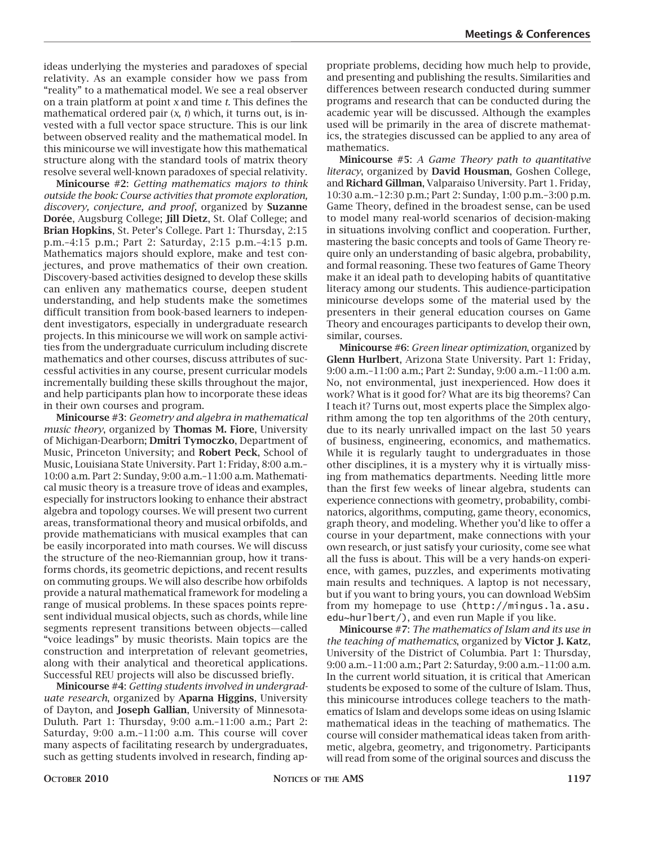ideas underlying the mysteries and paradoxes of special relativity. As an example consider how we pass from "reality" to a mathematical model. We see a real observer on a train platform at point *x* and time *t*. This defines the mathematical ordered pair (*x*, *t*) which, it turns out, is invested with a full vector space structure. This is our link between observed reality and the mathematical model. In this minicourse we will investigate how this mathematical structure along with the standard tools of matrix theory resolve several well-known paradoxes of special relativity.

**Minicourse #2**: *Getting mathematics majors to think outside the book: Course activities that promote exploration, discovery, conjecture, and proof*, organized by **Suzanne Dorée**, Augsburg College; **Jill Dietz**, St. Olaf College; and **Brian Hopkins**, St. Peter's College. Part 1: Thursday, 2:15 p.m.–4:15 p.m.; Part 2: Saturday, 2:15 p.m.–4:15 p.m. Mathematics majors should explore, make and test conjectures, and prove mathematics of their own creation. Discovery-based activities designed to develop these skills can enliven any mathematics course, deepen student understanding, and help students make the sometimes difficult transition from book-based learners to independent investigators, especially in undergraduate research projects. In this minicourse we will work on sample activities from the undergraduate curriculum including discrete mathematics and other courses, discuss attributes of successful activities in any course, present curricular models incrementally building these skills throughout the major, and help participants plan how to incorporate these ideas in their own courses and program.

**Minicourse #3**: *Geometry and algebra in mathematical music theory*, organized by **Thomas M. Fiore**, University of Michigan-Dearborn; **Dmitri Tymoczko**, Department of Music, Princeton University; and **Robert Peck**, School of Music, Louisiana State University. Part 1: Friday, 8:00 a.m.– 10:00 a.m. Part 2: Sunday, 9:00 a.m.–11:00 a.m. Mathematical music theory is a treasure trove of ideas and examples, especially for instructors looking to enhance their abstract algebra and topology courses. We will present two current areas, transformational theory and musical orbifolds, and provide mathematicians with musical examples that can be easily incorporated into math courses. We will discuss the structure of the neo-Riemannian group, how it transforms chords, its geometric depictions, and recent results on commuting groups. We will also describe how orbifolds provide a natural mathematical framework for modeling a range of musical problems. In these spaces points represent individual musical objects, such as chords, while line segments represent transitions between objects—called "voice leadings" by music theorists. Main topics are the construction and interpretation of relevant geometries, along with their analytical and theoretical applications. Successful REU projects will also be discussed briefly.

**Minicourse #4**: *Getting students involved in undergraduate research*, organized by **Aparna Higgins**, University of Dayton, and **Joseph Gallian**, University of Minnesota-Duluth. Part 1: Thursday, 9:00 a.m.–11:00 a.m.; Part 2: Saturday, 9:00 a.m.–11:00 a.m. This course will cover many aspects of facilitating research by undergraduates, such as getting students involved in research, finding ap-

propriate problems, deciding how much help to provide, and presenting and publishing the results. Similarities and differences between research conducted during summer programs and research that can be conducted during the academic year will be discussed. Although the examples used will be primarily in the area of discrete mathematics, the strategies discussed can be applied to any area of mathematics.

**Minicourse #5**: *A Game Theory path to quantitative literacy*, organized by **David Housman**, Goshen College, and **Richard Gillman**, Valparaiso University. Part 1. Friday, 10:30 a.m.–12:30 p.m.; Part 2: Sunday, 1:00 p.m.–3:00 p.m. Game Theory, defined in the broadest sense, can be used to model many real-world scenarios of decision-making in situations involving conflict and cooperation. Further, mastering the basic concepts and tools of Game Theory require only an understanding of basic algebra, probability, and formal reasoning. These two features of Game Theory make it an ideal path to developing habits of quantitative literacy among our students. This audience-participation minicourse develops some of the material used by the presenters in their general education courses on Game Theory and encourages participants to develop their own, similar, courses.

**Minicourse #6**: *Green linear optimization*, organized by **Glenn Hurlbert**, Arizona State University. Part 1: Friday, 9:00 a.m.–11:00 a.m.; Part 2: Sunday, 9:00 a.m.–11:00 a.m. No, not environmental, just inexperienced. How does it work? What is it good for? What are its big theorems? Can I teach it? Turns out, most experts place the Simplex algorithm among the top ten algorithms of the 20th century, due to its nearly unrivalled impact on the last 50 years of business, engineering, economics, and mathematics. While it is regularly taught to undergraduates in those other disciplines, it is a mystery why it is virtually missing from mathematics departments. Needing little more than the first few weeks of linear algebra, students can experience connections with geometry, probability, combinatorics, algorithms, computing, game theory, economics, graph theory, and modeling. Whether you'd like to offer a course in your department, make connections with your own research, or just satisfy your curiosity, come see what all the fuss is about. This will be a very hands-on experience, with games, puzzles, and experiments motivating main results and techniques. A laptop is not necessary, but if you want to bring yours, you can download WebSim from my homepage to use (http://mingus.la.asu. edu~hurlbert/), and even run Maple if you like.

**Minicourse #7**: *The mathematics of Islam and its use in the teaching of mathematics*, organized by **Victor J. Katz**, University of the District of Columbia. Part 1: Thursday, 9:00 a.m.–11:00 a.m.; Part 2: Saturday, 9:00 a.m.–11:00 a.m. In the current world situation, it is critical that American students be exposed to some of the culture of Islam. Thus, this minicourse introduces college teachers to the mathematics of Islam and develops some ideas on using Islamic mathematical ideas in the teaching of mathematics. The course will consider mathematical ideas taken from arithmetic, algebra, geometry, and trigonometry. Participants will read from some of the original sources and discuss the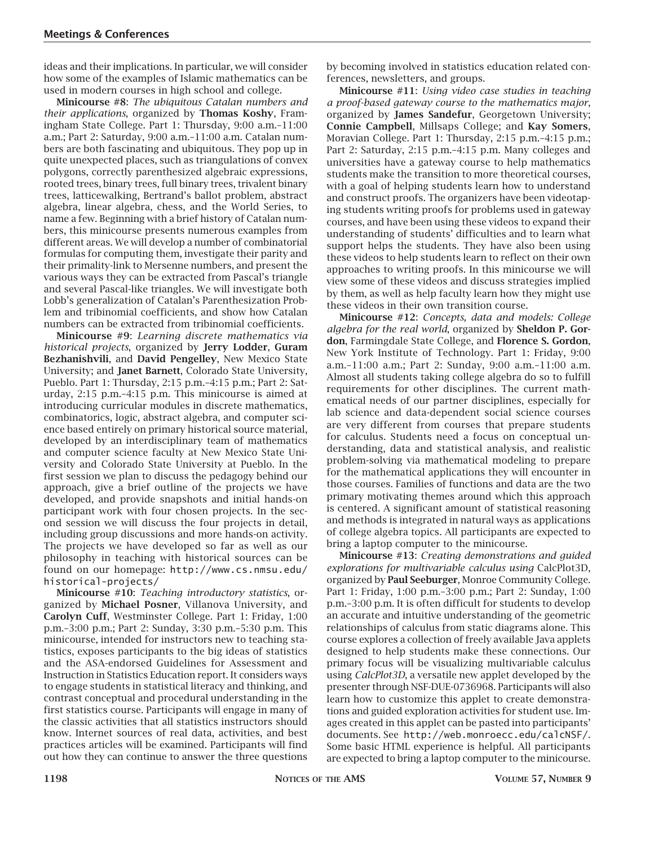ideas and their implications. In particular, we will consider how some of the examples of Islamic mathematics can be used in modern courses in high school and college.

**Minicourse #8**: *The ubiquitous Catalan numbers and their applications*, organized by **Thomas Koshy**, Framingham State College. Part 1: Thursday, 9:00 a.m.–11:00 a.m.; Part 2: Saturday, 9:00 a.m.–11:00 a.m. Catalan numbers are both fascinating and ubiquitous. They pop up in quite unexpected places, such as triangulations of convex polygons, correctly parenthesized algebraic expressions, rooted trees, binary trees, full binary trees, trivalent binary trees, latticewalking, Bertrand's ballot problem, abstract algebra, linear algebra, chess, and the World Series, to name a few. Beginning with a brief history of Catalan numbers, this minicourse presents numerous examples from different areas. We will develop a number of combinatorial formulas for computing them, investigate their parity and their primality-link to Mersenne numbers, and present the various ways they can be extracted from Pascal's triangle and several Pascal-like triangles. We will investigate both Lobb's generalization of Catalan's Parenthesization Problem and tribinomial coefficients, and show how Catalan numbers can be extracted from tribinomial coefficients.

**Minicourse #9**: *Learning discrete mathematics via historical projects*, organized by **Jerry Lodder**, **Guram Bezhanishvili**, and **David Pengelley**, New Mexico State University; and **Janet Barnett**, Colorado State University, Pueblo. Part 1: Thursday, 2:15 p.m.–4:15 p.m.; Part 2: Saturday, 2:15 p.m.–4:15 p.m. This minicourse is aimed at introducing curricular modules in discrete mathematics, combinatorics, logic, abstract algebra, and computer science based entirely on primary historical source material, developed by an interdisciplinary team of mathematics and computer science faculty at New Mexico State University and Colorado State University at Pueblo. In the first session we plan to discuss the pedagogy behind our approach, give a brief outline of the projects we have developed, and provide snapshots and initial hands-on participant work with four chosen projects. In the second session we will discuss the four projects in detail, including group discussions and more hands-on activity. The projects we have developed so far as well as our philosophy in teaching with historical sources can be found on our homepage: http://www.cs.nmsu.edu/ historical-projects/

**Minicourse #10**: *Teaching introductory statistics*, organized by **Michael Posner**, Villanova University, and **Carolyn Cuff**, Westminster College. Part 1: Friday, 1:00 p.m.–3:00 p.m.; Part 2: Sunday, 3:30 p.m.–5:30 p.m. This minicourse, intended for instructors new to teaching statistics, exposes participants to the big ideas of statistics and the ASA-endorsed Guidelines for Assessment and Instruction in Statistics Education report. It considers ways to engage students in statistical literacy and thinking, and contrast conceptual and procedural understanding in the first statistics course. Participants will engage in many of the classic activities that all statistics instructors should know. Internet sources of real data, activities, and best practices articles will be examined. Participants will find out how they can continue to answer the three questions

by becoming involved in statistics education related conferences, newsletters, and groups.

**Minicourse #11**: *Using video case studies in teaching a proof-based gateway course to the mathematics major*, organized by **James Sandefur**, Georgetown University; **Connie Campbell**, Millsaps College; and **Kay Somers**, Moravian College. Part 1: Thursday, 2:15 p.m.–4:15 p.m.; Part 2: Saturday, 2:15 p.m.–4:15 p.m. Many colleges and universities have a gateway course to help mathematics students make the transition to more theoretical courses, with a goal of helping students learn how to understand and construct proofs. The organizers have been videotaping students writing proofs for problems used in gateway courses, and have been using these videos to expand their understanding of students' difficulties and to learn what support helps the students. They have also been using these videos to help students learn to reflect on their own approaches to writing proofs. In this minicourse we will view some of these videos and discuss strategies implied by them, as well as help faculty learn how they might use these videos in their own transition course.

**Minicourse #12**: *Concepts, data and models: College algebra for the real world*, organized by **Sheldon P. Gordon**, Farmingdale State College, and **Florence S. Gordon**, New York Institute of Technology. Part 1: Friday, 9:00 a.m.–11:00 a.m.; Part 2: Sunday, 9:00 a.m.–11:00 a.m. Almost all students taking college algebra do so to fulfill requirements for other disciplines. The current mathematical needs of our partner disciplines, especially for lab science and data-dependent social science courses are very different from courses that prepare students for calculus. Students need a focus on conceptual understanding, data and statistical analysis, and realistic problem-solving via mathematical modeling to prepare for the mathematical applications they will encounter in those courses. Families of functions and data are the two primary motivating themes around which this approach is centered. A significant amount of statistical reasoning and methods is integrated in natural ways as applications of college algebra topics. All participants are expected to bring a laptop computer to the minicourse.

**Minicourse #13**: *Creating demonstrations and guided explorations for multivariable calculus using* CalcPlot3D, organized by **Paul Seeburger**, Monroe Community College. Part 1: Friday, 1:00 p.m.–3:00 p.m.; Part 2: Sunday, 1:00 p.m.–3:00 p.m. It is often difficult for students to develop an accurate and intuitive understanding of the geometric relationships of calculus from static diagrams alone. This course explores a collection of freely available Java applets designed to help students make these connections. Our primary focus will be visualizing multivariable calculus using *CalcPlot3D*, a versatile new applet developed by the presenter through NSF-DUE-0736968. Participants will also learn how to customize this applet to create demonstrations and guided exploration activities for student use. Images created in this applet can be pasted into participants' documents. See http://web.monroecc.edu/calcNSF/. Some basic HTML experience is helpful. All participants are expected to bring a laptop computer to the minicourse.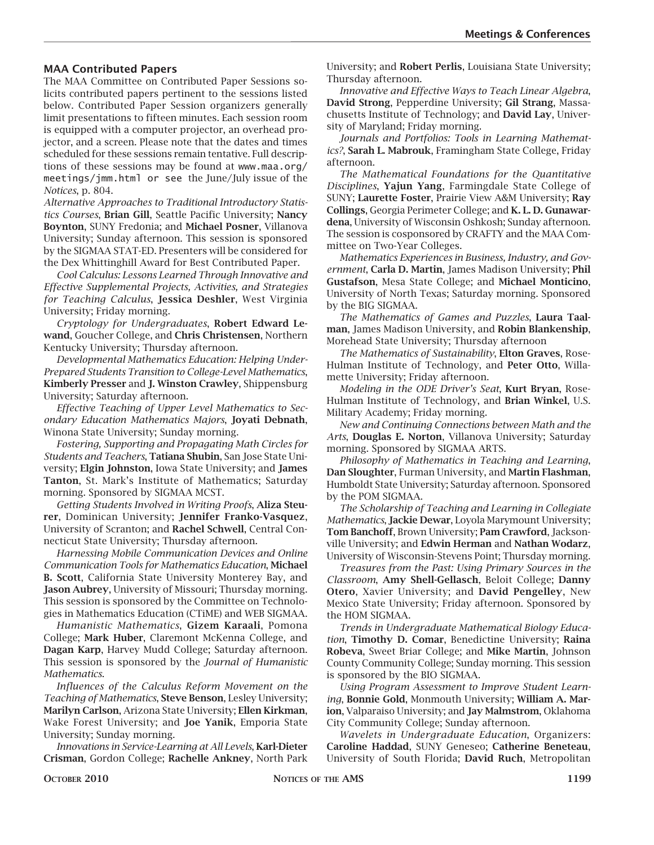#### **MAA Contributed Papers**

The MAA Committee on Contributed Paper Sessions solicits contributed papers pertinent to the sessions listed below. Contributed Paper Session organizers generally limit presentations to fifteen minutes. Each session room is equipped with a computer projector, an overhead projector, and a screen. Please note that the dates and times scheduled for these sessions remain tentative. Full descriptions of these sessions may be found at www.maa.org/ meetings/jmm.html or see the June/July issue of the *Notices*, p. 804.

*Alternative Approaches to Traditional Introductory Statistics Courses*, **Brian Gill**, Seattle Pacific University; **Nancy Boynton**, SUNY Fredonia; and **Michael Posner**, Villanova University; Sunday afternoon. This session is sponsored by the SIGMAA STAT-ED. Presenters will be considered for the Dex Whittinghill Award for Best Contributed Paper.

*Cool Calculus: Lessons Learned Through Innovative and Effective Supplemental Projects, Activities, and Strategies for Teaching Calculus*, **Jessica Deshler**, West Virginia University; Friday morning.

*Cryptology for Undergraduates*, **Robert Edward Lewand**, Goucher College, and **Chris Christensen**, Northern Kentucky University; Thursday afternoon.

*Developmental Mathematics Education: Helping Under-Prepared Students Transition to College-Level Mathematics*, **Kimberly Presser** and **J. Winston Crawley**, Shippensburg University; Saturday afternoon.

*Effective Teaching of Upper Level Mathematics to Secondary Education Mathematics Majors*, **Joyati Debnath**, Winona State University; Sunday morning.

*Fostering, Supporting and Propagating Math Circles for Students and Teachers*, **Tatiana Shubin**, San Jose State University; **Elgin Johnston**, Iowa State University; and **James Tanton**, St. Mark's Institute of Mathematics; Saturday morning. Sponsored by SIGMAA MCST.

*Getting Students Involved in Writing Proofs*, **Aliza Steurer**, Dominican University; **Jennifer Franko-Vasquez**, University of Scranton; and **Rachel Schwell**, Central Connecticut State University; Thursday afternoon.

*Harnessing Mobile Communication Devices and Online Communication Tools for Mathematics Education*, **Michael B. Scott**, California State University Monterey Bay, and **Jason Aubrey**, University of Missouri; Thursday morning. This session is sponsored by the Committee on Technologies in Mathematics Education (CTiME) and WEB SIGMAA.

*Humanistic Mathematics*, **Gizem Karaali**, Pomona College; **Mark Huber**, Claremont McKenna College, and **Dagan Karp**, Harvey Mudd College; Saturday afternoon. This session is sponsored by the *Journal of Humanistic Mathematics*.

*Influences of the Calculus Reform Movement on the Teaching of Mathematics*, **Steve Benson**, Lesley University; **Marilyn Carlson**, Arizona State University; **Ellen Kirkman**, Wake Forest University; and **Joe Yanik**, Emporia State University; Sunday morning.

*Innovations in Service-Learning at All Levels*, **Karl-Dieter Crisman**, Gordon College; **Rachelle Ankney**, North Park University; and **Robert Perlis**, Louisiana State University; Thursday afternoon.

*Innovative and Effective Ways to Teach Linear Algebra*, **David Strong**, Pepperdine University; **Gil Strang**, Massachusetts Institute of Technology; and **David Lay**, University of Maryland; Friday morning.

*Journals and Portfolios: Tools in Learning Mathematics?*, **Sarah L. Mabrouk**, Framingham State College, Friday afternoon.

*The Mathematical Foundations for the Quantitative Disciplines*, **Yajun Yang**, Farmingdale State College of SUNY; **Laurette Foster**, Prairie View A&M University; **Ray Collings**, Georgia Perimeter College; and **K. L. D. Gunawardena**, University of Wisconsin Oshkosh; Sunday afternoon. The session is cosponsored by CRAFTY and the MAA Committee on Two-Year Colleges.

*Mathematics Experiences in Business, Industry, and Government*, **Carla D. Martin**, James Madison University; **Phil Gustafson**, Mesa State College; and **Michael Monticino**, University of North Texas; Saturday morning. Sponsored by the BIG SIGMAA.

*The Mathematics of Games and Puzzles*, **Laura Taalman**, James Madison University, and **Robin Blankenship**, Morehead State University; Thursday afternoon

*The Mathematics of Sustainability*, **Elton Graves**, Rose-Hulman Institute of Technology, and **Peter Otto**, Willamette University; Friday afternoon.

*Modeling in the ODE Driver's Seat*, **Kurt Bryan**, Rose-Hulman Institute of Technology, and **Brian Winkel**, U.S. Military Academy; Friday morning.

*New and Continuing Connections between Math and the Arts*, **Douglas E. Norton**, Villanova University; Saturday morning. Sponsored by SIGMAA ARTS.

*Philosophy of Mathematics in Teaching and Learning*, **Dan Sloughter**, Furman University, and **Martin Flashman**, Humboldt State University; Saturday afternoon. Sponsored by the POM SIGMAA.

*The Scholarship of Teaching and Learning in Collegiate Mathematics*, **Jackie Dewar**, Loyola Marymount University; **Tom Banchoff**, Brown University; **Pam Crawford**, Jacksonville University; and **Edwin Herman** and **Nathan Wodarz**, University of Wisconsin-Stevens Point; Thursday morning.

*Treasures from the Past: Using Primary Sources in the Classroom*, **Amy Shell-Gellasch**, Beloit College; **Danny Otero**, Xavier University; and **David Pengelley**, New Mexico State University; Friday afternoon. Sponsored by the HOM SIGMAA.

*Trends in Undergraduate Mathematical Biology Education*, **Timothy D. Comar**, Benedictine University; **Raina Robeva**, Sweet Briar College; and **Mike Martin**, Johnson County Community College; Sunday morning. This session is sponsored by the BIO SIGMAA.

*Using Program Assessment to Improve Student Learning*, **Bonnie Gold**, Monmouth University; **William A. Marion**, Valparaiso University; and **Jay Malmstrom**, Oklahoma City Community College; Sunday afternoon.

*Wavelets in Undergraduate Education*, Organizers: **Caroline Haddad**, SUNY Geneseo; **Catherine Beneteau**, University of South Florida; **David Ruch**, Metropolitan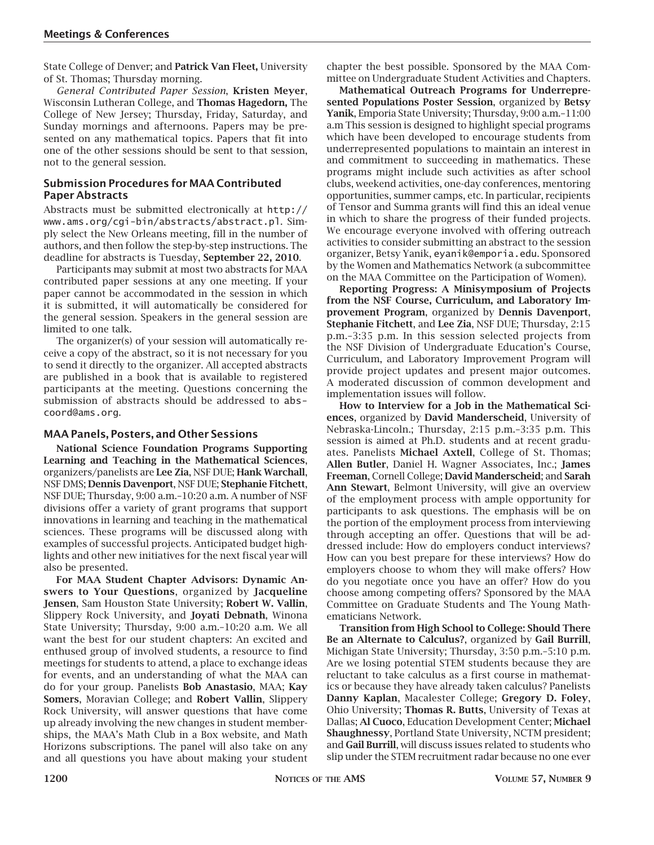State College of Denver; and **Patrick Van Fleet,** University of St. Thomas; Thursday morning.

*General Contributed Paper Session*, **Kristen Meyer**, Wisconsin Lutheran College, and **Thomas Hagedorn,** The College of New Jersey; Thursday, Friday, Saturday, and Sunday mornings and afternoons. Papers may be presented on any mathematical topics. Papers that fit into one of the other sessions should be sent to that session, not to the general session.

#### **Submission Procedures for MAA Contributed Paper Abstracts**

Abstracts must be submitted electronically at http:// www.ams.org/cgi-bin/abstracts/abstract.pl. Simply select the New Orleans meeting, fill in the number of authors, and then follow the step-by-step instructions. The deadline for abstracts is Tuesday, **September 22, 2010**.

Participants may submit at most two abstracts for MAA contributed paper sessions at any one meeting. If your paper cannot be accommodated in the session in which it is submitted, it will automatically be considered for the general session. Speakers in the general session are limited to one talk.

The organizer(s) of your session will automatically receive a copy of the abstract, so it is not necessary for you to send it directly to the organizer. All accepted abstracts are published in a book that is available to registered participants at the meeting. Questions concerning the submission of abstracts should be addressed to abscoord@ams.org.

#### **MAA Panels, Posters, and Other Sessions**

**National Science Foundation Programs Supporting Learning and Teaching in the Mathematical Sciences**, organizers/panelists are **Lee Zia**, NSF DUE; **Hank Warchall**, NSF DMS; **Dennis Davenport**, NSF DUE; **Stephanie Fitchett**, NSF DUE; Thursday, 9:00 a.m.–10:20 a.m. A number of NSF divisions offer a variety of grant programs that support innovations in learning and teaching in the mathematical sciences. These programs will be discussed along with examples of successful projects. Anticipated budget highlights and other new initiatives for the next fiscal year will also be presented.

**For MAA Student Chapter Advisors: Dynamic Answers to Your Questions**, organized by **Jacqueline Jensen**, Sam Houston State University; **Robert W. Vallin**, Slippery Rock University, and **Joyati Debnath**, Winona State University; Thursday, 9:00 a.m.–10:20 a.m. We all want the best for our student chapters: An excited and enthused group of involved students, a resource to find meetings for students to attend, a place to exchange ideas for events, and an understanding of what the MAA can do for your group. Panelists **Bob Anastasio**, MAA; **Kay Somers**, Moravian College; and **Robert Vallin**, Slippery Rock University, will answer questions that have come up already involving the new changes in student memberships, the MAA's Math Club in a Box website, and Math Horizons subscriptions. The panel will also take on any and all questions you have about making your student chapter the best possible. Sponsored by the MAA Committee on Undergraduate Student Activities and Chapters.

**Mathematical Outreach Programs for Underrepresented Populations Poster Session**, organized by **Betsy Yanik**, Emporia State University; Thursday, 9:00 a.m.–11:00 a.m This session is designed to highlight special programs which have been developed to encourage students from underrepresented populations to maintain an interest in and commitment to succeeding in mathematics. These programs might include such activities as after school clubs, weekend activities, one-day conferences, mentoring opportunities, summer camps, etc. In particular, recipients of Tensor and Summa grants will find this an ideal venue in which to share the progress of their funded projects. We encourage everyone involved with offering outreach activities to consider submitting an abstract to the session organizer, Betsy Yanik, eyanik@emporia.edu. Sponsored by the Women and Mathematics Network (a subcommittee on the MAA Committee on the Participation of Women).

**Reporting Progress: A Minisymposium of Projects from the NSF Course, Curriculum, and Laboratory Improvement Program**, organized by **Dennis Davenport**, **Stephanie Fitchett**, and **Lee Zia**, NSF DUE; Thursday, 2:15 p.m.–3:35 p.m. In this session selected projects from the NSF Division of Undergraduate Education's Course, Curriculum, and Laboratory Improvement Program will provide project updates and present major outcomes. A moderated discussion of common development and implementation issues will follow.

**How to Interview for a Job in the Mathematical Sciences**, organized by **David Manderscheid**, University of Nebraska-Lincoln.; Thursday, 2:15 p.m.–3:35 p.m. This session is aimed at Ph.D. students and at recent graduates. Panelists **Michael Axtell**, College of St. Thomas; **Allen Butler**, Daniel H. Wagner Associates, Inc.; **James Freeman**, Cornell College; **David Manderscheid**; and **Sarah Ann Stewart**, Belmont University, will give an overview of the employment process with ample opportunity for participants to ask questions. The emphasis will be on the portion of the employment process from interviewing through accepting an offer. Questions that will be addressed include: How do employers conduct interviews? How can you best prepare for these interviews? How do employers choose to whom they will make offers? How do you negotiate once you have an offer? How do you choose among competing offers? Sponsored by the MAA Committee on Graduate Students and The Young Mathematicians Network.

**Transition from High School to College: Should There Be an Alternate to Calculus?**, organized by **Gail Burrill**, Michigan State University; Thursday, 3:50 p.m.–5:10 p.m. Are we losing potential STEM students because they are reluctant to take calculus as a first course in mathematics or because they have already taken calculus? Panelists **Danny Kaplan**, Macalester College; **Gregory D. Foley**, Ohio University; **Thomas R. Butts**, University of Texas at Dallas; **Al Cuoco**, Education Development Center; **Michael Shaughnessy**, Portland State University, NCTM president; and **Gail Burrill**, will discuss issues related to students who slip under the STEM recruitment radar because no one ever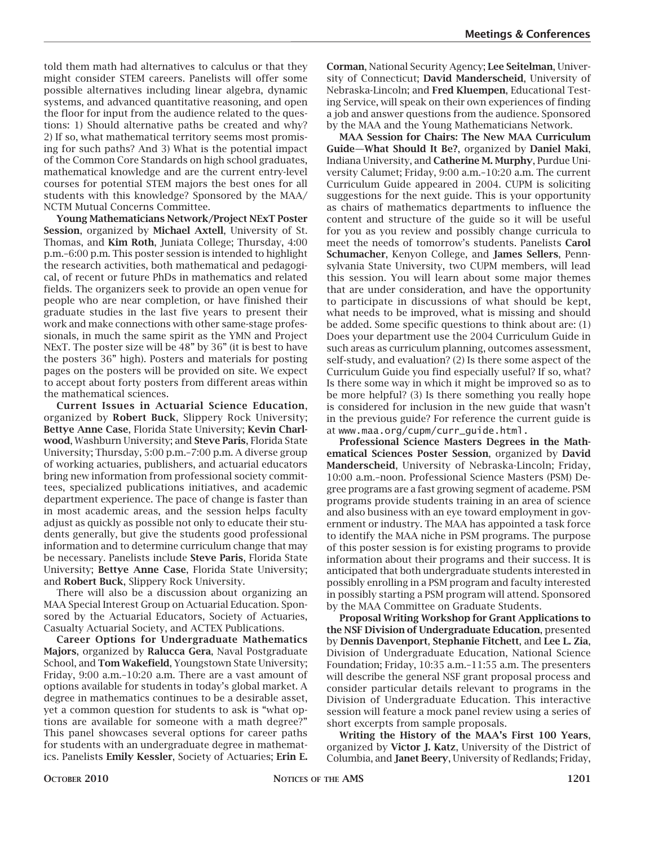told them math had alternatives to calculus or that they might consider STEM careers. Panelists will offer some possible alternatives including linear algebra, dynamic systems, and advanced quantitative reasoning, and open the floor for input from the audience related to the questions: 1) Should alternative paths be created and why? 2) If so, what mathematical territory seems most promising for such paths? And 3) What is the potential impact of the Common Core Standards on high school graduates, mathematical knowledge and are the current entry-level courses for potential STEM majors the best ones for all students with this knowledge? Sponsored by the MAA/ NCTM Mutual Concerns Committee.

**Young Mathematicians Network/Project NExT Poster Session**, organized by **Michael Axtell**, University of St. Thomas, and **Kim Roth**, Juniata College; Thursday, 4:00 p.m.–6:00 p.m. This poster session is intended to highlight the research activities, both mathematical and pedagogical, of recent or future PhDs in mathematics and related fields. The organizers seek to provide an open venue for people who are near completion, or have finished their graduate studies in the last five years to present their work and make connections with other same-stage professionals, in much the same spirit as the YMN and Project NExT. The poster size will be 48" by 36" (it is best to have the posters 36" high). Posters and materials for posting pages on the posters will be provided on site. We expect to accept about forty posters from different areas within the mathematical sciences.

**Current Issues in Actuarial Science Education**, organized by **Robert Buck**, Slippery Rock University; **Bettye Anne Case**, Florida State University; **Kevin Charlwood**, Washburn University; and **Steve Paris**, Florida State University; Thursday, 5:00 p.m.–7:00 p.m. A diverse group of working actuaries, publishers, and actuarial educators bring new information from professional society committees, specialized publications initiatives, and academic department experience. The pace of change is faster than in most academic areas, and the session helps faculty adjust as quickly as possible not only to educate their students generally, but give the students good professional information and to determine curriculum change that may be necessary. Panelists include **Steve Paris**, Florida State University; **Bettye Anne Case**, Florida State University; and **Robert Buck**, Slippery Rock University.

There will also be a discussion about organizing an MAA Special Interest Group on Actuarial Education. Sponsored by the Actuarial Educators, Society of Actuaries, Casualty Actuarial Society, and ACTEX Publications.

**Career Options for Undergraduate Mathematics Majors**, organized by **Ralucca Gera**, Naval Postgraduate School, and **Tom Wakefield**, Youngstown State University; Friday, 9:00 a.m.–10:20 a.m. There are a vast amount of options available for students in today's global market. A degree in mathematics continues to be a desirable asset, yet a common question for students to ask is "what options are available for someone with a math degree?" This panel showcases several options for career paths for students with an undergraduate degree in mathematics. Panelists **Emily Kessler**, Society of Actuaries; **Erin E.**

**Corman**, National Security Agency; **Lee Seitelman**, University of Connecticut; **David Manderscheid**, University of Nebraska-Lincoln; and **Fred Kluempen**, Educational Testing Service, will speak on their own experiences of finding a job and answer questions from the audience. Sponsored by the MAA and the Young Mathematicians Network.

**MAA Session for Chairs: The New MAA Curriculum Guide—What Should It Be?**, organized by **Daniel Maki**, Indiana University, and **Catherine M. Murphy**, Purdue University Calumet; Friday, 9:00 a.m.–10:20 a.m. The current Curriculum Guide appeared in 2004. CUPM is soliciting suggestions for the next guide. This is your opportunity as chairs of mathematics departments to influence the content and structure of the guide so it will be useful for you as you review and possibly change curricula to meet the needs of tomorrow's students. Panelists **Carol Schumacher**, Kenyon College, and **James Sellers**, Pennsylvania State University, two CUPM members, will lead this session. You will learn about some major themes that are under consideration, and have the opportunity to participate in discussions of what should be kept, what needs to be improved, what is missing and should be added. Some specific questions to think about are: (1) Does your department use the 2004 Curriculum Guide in such areas as curriculum planning, outcomes assessment, self-study, and evaluation? (2) Is there some aspect of the Curriculum Guide you find especially useful? If so, what? Is there some way in which it might be improved so as to be more helpful? (3) Is there something you really hope is considered for inclusion in the new guide that wasn't in the previous guide? For reference the current guide is at www.maa.org/cupm/curr\_guide.html.

**Professional Science Masters Degrees in the Mathematical Sciences Poster Session**, organized by **David Manderscheid**, University of Nebraska-Lincoln; Friday, 10:00 a.m.–noon. Professional Science Masters (PSM) Degree programs are a fast growing segment of academe. PSM programs provide students training in an area of science and also business with an eye toward employment in government or industry. The MAA has appointed a task force to identify the MAA niche in PSM programs. The purpose of this poster session is for existing programs to provide information about their programs and their success. It is anticipated that both undergraduate students interested in possibly enrolling in a PSM program and faculty interested in possibly starting a PSM program will attend. Sponsored by the MAA Committee on Graduate Students.

**Proposal Writing Workshop for Grant Applications to the NSF Division of Undergraduate Education**, presented by **Dennis Davenport**, **Stephanie Fitchett**, and **Lee L. Zia**, Division of Undergraduate Education, National Science Foundation; Friday, 10:35 a.m.–11:55 a.m. The presenters will describe the general NSF grant proposal process and consider particular details relevant to programs in the Division of Undergraduate Education. This interactive session will feature a mock panel review using a series of short excerpts from sample proposals.

**Writing the History of the MAA's First 100 Years**, organized by **Victor J. Katz**, University of the District of Columbia, and **Janet Beery**, University of Redlands; Friday,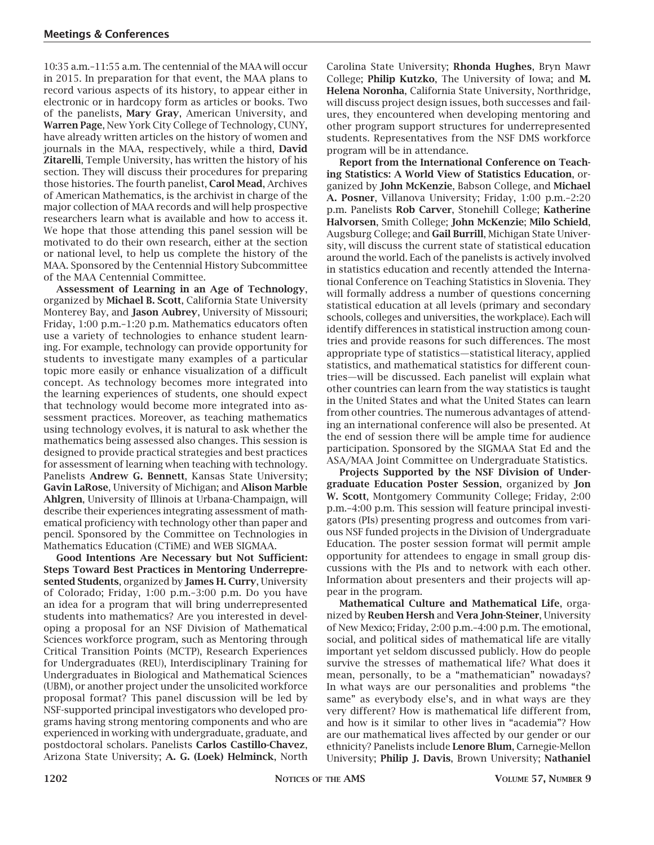10:35 a.m.–11:55 a.m. The centennial of the MAA will occur in 2015. In preparation for that event, the MAA plans to record various aspects of its history, to appear either in electronic or in hardcopy form as articles or books. Two of the panelists, **Mary Gray**, American University, and **Warren Page**, New York City College of Technology, CUNY, have already written articles on the history of women and journals in the MAA, respectively, while a third, **David Zitarelli**, Temple University, has written the history of his section. They will discuss their procedures for preparing those histories. The fourth panelist, **Carol Mead**, Archives of American Mathematics, is the archivist in charge of the major collection of MAA records and will help prospective researchers learn what is available and how to access it. We hope that those attending this panel session will be motivated to do their own research, either at the section or national level, to help us complete the history of the MAA. Sponsored by the Centennial History Subcommittee of the MAA Centennial Committee.

**Assessment of Learning in an Age of Technology**, organized by **Michael B. Scott**, California State University Monterey Bay, and **Jason Aubrey**, University of Missouri; Friday, 1:00 p.m.–1:20 p.m. Mathematics educators often use a variety of technologies to enhance student learning. For example, technology can provide opportunity for students to investigate many examples of a particular topic more easily or enhance visualization of a difficult concept. As technology becomes more integrated into the learning experiences of students, one should expect that technology would become more integrated into assessment practices. Moreover, as teaching mathematics using technology evolves, it is natural to ask whether the mathematics being assessed also changes. This session is designed to provide practical strategies and best practices for assessment of learning when teaching with technology. Panelists **Andrew G. Bennett**, Kansas State University; **Gavin LaRose**, University of Michigan; and **Alison Marble Ahlgren**, University of Illinois at Urbana-Champaign, will describe their experiences integrating assessment of mathematical proficiency with technology other than paper and pencil. Sponsored by the Committee on Technologies in Mathematics Education (CTiME) and WEB SIGMAA.

**Good Intentions Are Necessary but Not Sufficient: Steps Toward Best Practices in Mentoring Underrepresented Students**, organized by **James H. Curry**, University of Colorado; Friday, 1:00 p.m.–3:00 p.m. Do you have an idea for a program that will bring underrepresented students into mathematics? Are you interested in developing a proposal for an NSF Division of Mathematical Sciences workforce program, such as Mentoring through Critical Transition Points (MCTP), Research Experiences for Undergraduates (REU), Interdisciplinary Training for Undergraduates in Biological and Mathematical Sciences (UBM), or another project under the unsolicited workforce proposal format? This panel discussion will be led by NSF-supported principal investigators who developed programs having strong mentoring components and who are experienced in working with undergraduate, graduate, and postdoctoral scholars. Panelists **Carlos Castillo-Chavez**, Arizona State University; **A. G. (Loek) Helminck**, North

Carolina State University; **Rhonda Hughes**, Bryn Mawr College; **Philip Kutzko**, The University of Iowa; and **M. Helena Noronha**, California State University, Northridge, will discuss project design issues, both successes and failures, they encountered when developing mentoring and other program support structures for underrepresented students. Representatives from the NSF DMS workforce program will be in attendance.

**Report from the International Conference on Teaching Statistics: A World View of Statistics Education**, organized by **John McKenzie**, Babson College, and **Michael A. Posner**, Villanova University; Friday, 1:00 p.m.–2:20 p.m. Panelists **Rob Carver**, Stonehill College; **Katherine Halvorsen**, Smith College; **John McKenzie**; **Milo Schield**, Augsburg College; and **Gail Burrill**, Michigan State University, will discuss the current state of statistical education around the world. Each of the panelists is actively involved in statistics education and recently attended the International Conference on Teaching Statistics in Slovenia. They will formally address a number of questions concerning statistical education at all levels (primary and secondary schools, colleges and universities, the workplace). Each will identify differences in statistical instruction among countries and provide reasons for such differences. The most appropriate type of statistics—statistical literacy, applied statistics, and mathematical statistics for different countries—will be discussed. Each panelist will explain what other countries can learn from the way statistics is taught in the United States and what the United States can learn from other countries. The numerous advantages of attending an international conference will also be presented. At the end of session there will be ample time for audience participation. Sponsored by the SIGMAA Stat Ed and the ASA/MAA Joint Committee on Undergraduate Statistics.

**Projects Supported by the NSF Division of Undergraduate Education Poster Session**, organized by **Jon W. Scott**, Montgomery Community College; Friday, 2:00 p.m.–4:00 p.m. This session will feature principal investigators (PIs) presenting progress and outcomes from various NSF funded projects in the Division of Undergraduate Education. The poster session format will permit ample opportunity for attendees to engage in small group discussions with the PIs and to network with each other. Information about presenters and their projects will appear in the program.

**Mathematical Culture and Mathematical Life**, organized by **Reuben Hersh** and **Vera John-Steiner**, University of New Mexico; Friday, 2:00 p.m.–4:00 p.m. The emotional, social, and political sides of mathematical life are vitally important yet seldom discussed publicly. How do people survive the stresses of mathematical life? What does it mean, personally, to be a "mathematician" nowadays? In what ways are our personalities and problems "the same" as everybody else's, and in what ways are they very different? How is mathematical life different from, and how is it similar to other lives in "academia"? How are our mathematical lives affected by our gender or our ethnicity? Panelists include **Lenore Blum**, Carnegie-Mellon University; **Philip J. Davis**, Brown University; **Nathaniel**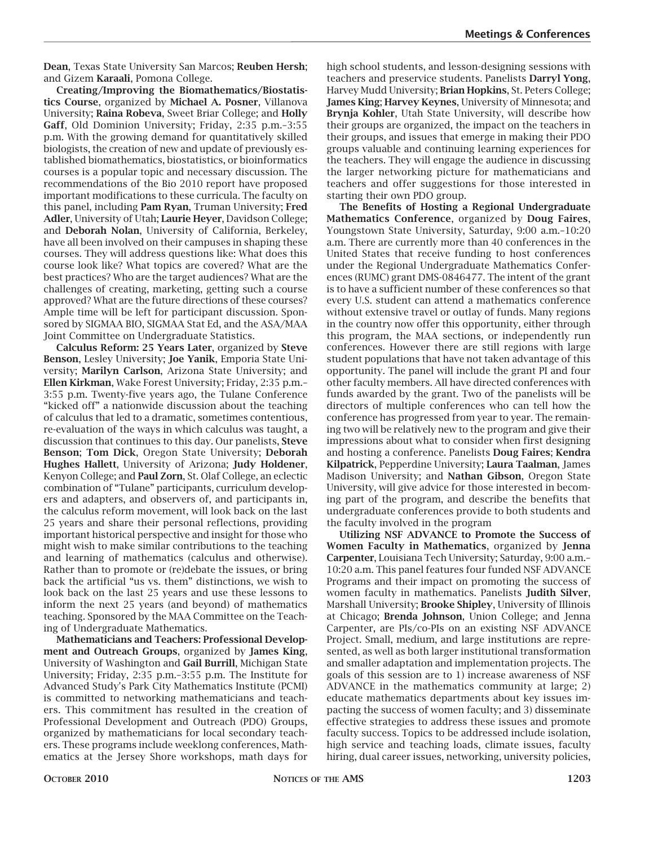**Dean**, Texas State University San Marcos; **Reuben Hersh**; and Gizem **Karaali**, Pomona College.

**Creating/Improving the Biomathematics/Biostatistics Course**, organized by **Michael A. Posner**, Villanova University; **Raina Robeva**, Sweet Briar College; and **Holly Gaff**, Old Dominion University; Friday, 2:35 p.m.–3:55 p.m. With the growing demand for quantitatively skilled biologists, the creation of new and update of previously established biomathematics, biostatistics, or bioinformatics courses is a popular topic and necessary discussion. The recommendations of the Bio 2010 report have proposed important modifications to these curricula. The faculty on this panel, including **Pam Ryan**, Truman University; **Fred Adler**, University of Utah; **Laurie Heyer**, Davidson College; and **Deborah Nolan**, University of California, Berkeley, have all been involved on their campuses in shaping these courses. They will address questions like: What does this course look like? What topics are covered? What are the best practices? Who are the target audiences? What are the challenges of creating, marketing, getting such a course approved? What are the future directions of these courses? Ample time will be left for participant discussion. Sponsored by SIGMAA BIO, SIGMAA Stat Ed, and the ASA/MAA Joint Committee on Undergraduate Statistics.

**Calculus Reform: 25 Years Later**, organized by **Steve Benson**, Lesley University; **Joe Yanik**, Emporia State University; **Marilyn Carlson**, Arizona State University; and **Ellen Kirkman**, Wake Forest University; Friday, 2:35 p.m.– 3:55 p.m. Twenty-five years ago, the Tulane Conference "kicked off" a nationwide discussion about the teaching of calculus that led to a dramatic, sometimes contentious, re-evaluation of the ways in which calculus was taught, a discussion that continues to this day. Our panelists, **Steve Benson**; **Tom Dick**, Oregon State University; **Deborah Hughes Hallett**, University of Arizona; **Judy Holdener**, Kenyon College; and **Paul Zorn**, St. Olaf College, an eclectic combination of "Tulane" participants, curriculum developers and adapters, and observers of, and participants in, the calculus reform movement, will look back on the last 25 years and share their personal reflections, providing important historical perspective and insight for those who might wish to make similar contributions to the teaching and learning of mathematics (calculus and otherwise). Rather than to promote or (re)debate the issues, or bring back the artificial "us vs. them" distinctions, we wish to look back on the last 25 years and use these lessons to inform the next 25 years (and beyond) of mathematics teaching. Sponsored by the MAA Committee on the Teaching of Undergraduate Mathematics.

**Mathematicians and Teachers: Professional Development and Outreach Groups**, organized by **James King**, University of Washington and **Gail Burrill**, Michigan State University; Friday, 2:35 p.m.–3:55 p.m. The Institute for Advanced Study's Park City Mathematics Institute (PCMI) is committed to networking mathematicians and teachers. This commitment has resulted in the creation of Professional Development and Outreach (PDO) Groups, organized by mathematicians for local secondary teachers. These programs include weeklong conferences, Mathematics at the Jersey Shore workshops, math days for

high school students, and lesson-designing sessions with teachers and preservice students. Panelists **Darryl Yong**, Harvey Mudd University; **Brian Hopkins**, St. Peters College; **James King**; **Harvey Keynes**, University of Minnesota; and **Brynja Kohler**, Utah State University, will describe how their groups are organized, the impact on the teachers in their groups, and issues that emerge in making their PDO groups valuable and continuing learning experiences for the teachers. They will engage the audience in discussing the larger networking picture for mathematicians and teachers and offer suggestions for those interested in starting their own PDO group.

**The Benefits of Hosting a Regional Undergraduate Mathematics Conference**, organized by **Doug Faires**, Youngstown State University, Saturday, 9:00 a.m.–10:20 a.m. There are currently more than 40 conferences in the United States that receive funding to host conferences under the Regional Undergraduate Mathematics Conferences (RUMC) grant DMS-0846477. The intent of the grant is to have a sufficient number of these conferences so that every U.S. student can attend a mathematics conference without extensive travel or outlay of funds. Many regions in the country now offer this opportunity, either through this program, the MAA sections, or independently run conferences. However there are still regions with large student populations that have not taken advantage of this opportunity. The panel will include the grant PI and four other faculty members. All have directed conferences with funds awarded by the grant. Two of the panelists will be directors of multiple conferences who can tell how the conference has progressed from year to year. The remaining two will be relatively new to the program and give their impressions about what to consider when first designing and hosting a conference. Panelists **Doug Faires**; **Kendra Kilpatrick**, Pepperdine University; **Laura Taalman**, James Madison University; and **Nathan Gibson**, Oregon State University, will give advice for those interested in becoming part of the program, and describe the benefits that undergraduate conferences provide to both students and the faculty involved in the program

**Utilizing NSF ADVANCE to Promote the Success of Women Faculty in Mathematics**, organized by **Jenna Carpenter**, Louisiana Tech University; Saturday, 9:00 a.m.– 10:20 a.m. This panel features four funded NSF ADVANCE Programs and their impact on promoting the success of women faculty in mathematics. Panelists **Judith Silver**, Marshall University; **Brooke Shipley**, University of Illinois at Chicago; **Brenda Johnson**, Union College; and Jenna Carpenter, are PIs/co-PIs on an existing NSF ADVANCE Project. Small, medium, and large institutions are represented, as well as both larger institutional transformation and smaller adaptation and implementation projects. The goals of this session are to 1) increase awareness of NSF ADVANCE in the mathematics community at large; 2) educate mathematics departments about key issues impacting the success of women faculty; and 3) disseminate effective strategies to address these issues and promote faculty success. Topics to be addressed include isolation, high service and teaching loads, climate issues, faculty hiring, dual career issues, networking, university policies,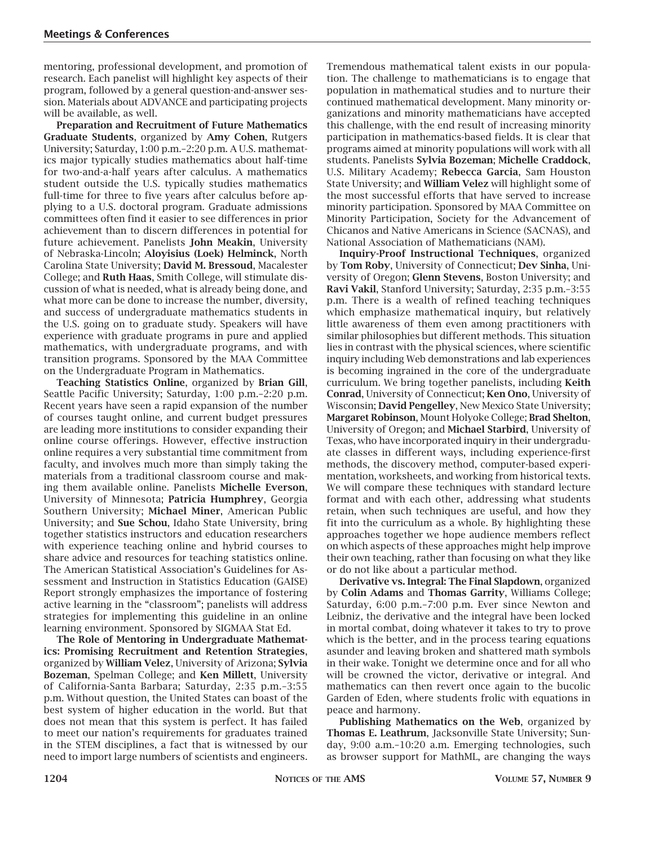mentoring, professional development, and promotion of research. Each panelist will highlight key aspects of their program, followed by a general question-and-answer session. Materials about ADVANCE and participating projects will be available, as well.

**Preparation and Recruitment of Future Mathematics Graduate Students**, organized by **Amy Cohen**, Rutgers University; Saturday, 1:00 p.m.–2:20 p.m. A U.S. mathematics major typically studies mathematics about half-time for two-and-a-half years after calculus. A mathematics student outside the U.S. typically studies mathematics full-time for three to five years after calculus before applying to a U.S. doctoral program. Graduate admissions committees often find it easier to see differences in prior achievement than to discern differences in potential for future achievement. Panelists **John Meakin**, University of Nebraska-Lincoln; **Aloyisius (Loek) Helminck**, North Carolina State University; **David M. Bressoud**, Macalester College; and **Ruth Haas**, Smith College, will stimulate discussion of what is needed, what is already being done, and what more can be done to increase the number, diversity, and success of undergraduate mathematics students in the U.S. going on to graduate study. Speakers will have experience with graduate programs in pure and applied mathematics, with undergraduate programs, and with transition programs. Sponsored by the MAA Committee on the Undergraduate Program in Mathematics.

**Teaching Statistics Online**, organized by **Brian Gill**, Seattle Pacific University; Saturday, 1:00 p.m.–2:20 p.m. Recent years have seen a rapid expansion of the number of courses taught online, and current budget pressures are leading more institutions to consider expanding their online course offerings. However, effective instruction online requires a very substantial time commitment from faculty, and involves much more than simply taking the materials from a traditional classroom course and making them available online. Panelists **Michelle Everson**, University of Minnesota; **Patricia Humphrey**, Georgia Southern University; **Michael Miner**, American Public University; and **Sue Schou**, Idaho State University, bring together statistics instructors and education researchers with experience teaching online and hybrid courses to share advice and resources for teaching statistics online. The American Statistical Association's Guidelines for Assessment and Instruction in Statistics Education (GAISE) Report strongly emphasizes the importance of fostering active learning in the "classroom"; panelists will address strategies for implementing this guideline in an online learning environment. Sponsored by SIGMAA Stat Ed.

**The Role of Mentoring in Undergraduate Mathematics: Promising Recruitment and Retention Strategies**, organized by **William Velez**, University of Arizona; **Sylvia Bozeman**, Spelman College; and **Ken Millett**, University of California-Santa Barbara; Saturday, 2:35 p.m.–3:55 p.m. Without question, the United States can boast of the best system of higher education in the world. But that does not mean that this system is perfect. It has failed to meet our nation's requirements for graduates trained in the STEM disciplines, a fact that is witnessed by our need to import large numbers of scientists and engineers.

Tremendous mathematical talent exists in our population. The challenge to mathematicians is to engage that population in mathematical studies and to nurture their continued mathematical development. Many minority organizations and minority mathematicians have accepted this challenge, with the end result of increasing minority participation in mathematics-based fields. It is clear that programs aimed at minority populations will work with all students. Panelists **Sylvia Bozeman**; **Michelle Craddock**, U.S. Military Academy; **Rebecca Garcia**, Sam Houston State University; and **William Velez** will highlight some of the most successful efforts that have served to increase minority participation. Sponsored by MAA Committee on Minority Participation, Society for the Advancement of Chicanos and Native Americans in Science (SACNAS), and National Association of Mathematicians (NAM).

**Inquiry-Proof Instructional Techniques**, organized by **Tom Roby**, University of Connecticut; **Dev Sinha**, University of Oregon; **Glenn Stevens**, Boston University; and **Ravi Vakil**, Stanford University; Saturday, 2:35 p.m.–3:55 p.m. There is a wealth of refined teaching techniques which emphasize mathematical inquiry, but relatively little awareness of them even among practitioners with similar philosophies but different methods. This situation lies in contrast with the physical sciences, where scientific inquiry including Web demonstrations and lab experiences is becoming ingrained in the core of the undergraduate curriculum. We bring together panelists, including **Keith Conrad**, University of Connecticut; **Ken Ono**, University of Wisconsin; **David Pengelley**, New Mexico State University; **Margaret Robinson**, Mount Holyoke College; **Brad Shelton**, University of Oregon; and **Michael Starbird**, University of Texas, who have incorporated inquiry in their undergraduate classes in different ways, including experience-first methods, the discovery method, computer-based experimentation, worksheets, and working from historical texts. We will compare these techniques with standard lecture format and with each other, addressing what students retain, when such techniques are useful, and how they fit into the curriculum as a whole. By highlighting these approaches together we hope audience members reflect on which aspects of these approaches might help improve their own teaching, rather than focusing on what they like or do not like about a particular method.

**Derivative vs. Integral: The Final Slapdown**, organized by **Colin Adams** and **Thomas Garrity**, Williams College; Saturday, 6:00 p.m.–7:00 p.m. Ever since Newton and Leibniz, the derivative and the integral have been locked in mortal combat, doing whatever it takes to try to prove which is the better, and in the process tearing equations asunder and leaving broken and shattered math symbols in their wake. Tonight we determine once and for all who will be crowned the victor, derivative or integral. And mathematics can then revert once again to the bucolic Garden of Eden, where students frolic with equations in peace and harmony.

**Publishing Mathematics on the Web**, organized by **Thomas E. Leathrum**, Jacksonville State University; Sunday, 9:00 a.m.–10:20 a.m. Emerging technologies, such as browser support for MathML, are changing the ways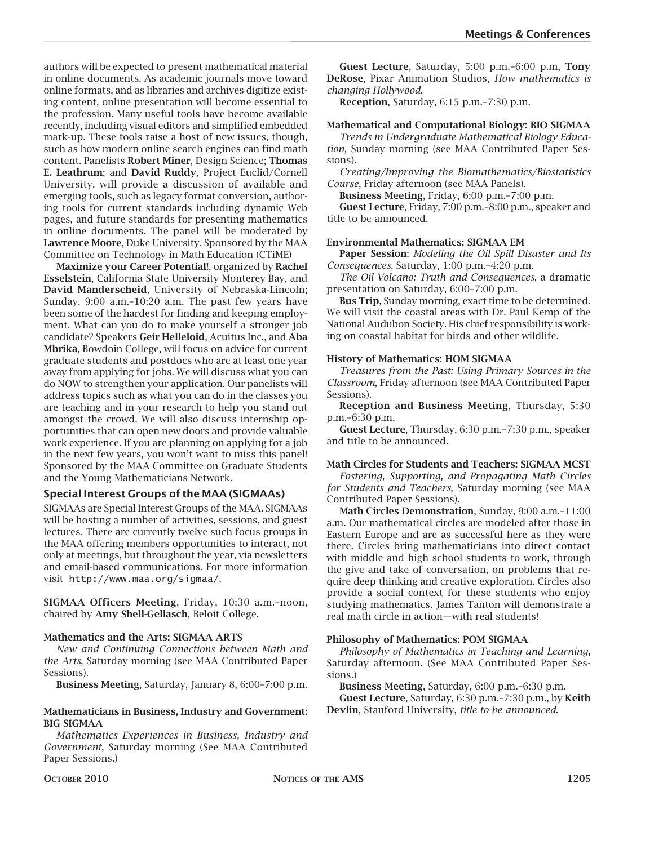authors will be expected to present mathematical material in online documents. As academic journals move toward online formats, and as libraries and archives digitize existing content, online presentation will become essential to the profession. Many useful tools have become available recently, including visual editors and simplified embedded mark-up. These tools raise a host of new issues, though, such as how modern online search engines can find math content. Panelists **Robert Miner**, Design Science; **Thomas E. Leathrum**; and **David Ruddy**, Project Euclid/Cornell University, will provide a discussion of available and emerging tools, such as legacy format conversion, authoring tools for current standards including dynamic Web pages, and future standards for presenting mathematics in online documents. The panel will be moderated by **Lawrence Moore**, Duke University. Sponsored by the MAA Committee on Technology in Math Education (CTiME)

**Maximize your Career Potential!**, organized by **Rachel Esselstein**, California State University Monterey Bay, and **David Manderscheid**, University of Nebraska-Lincoln; Sunday, 9:00 a.m.–10:20 a.m. The past few years have been some of the hardest for finding and keeping employment. What can you do to make yourself a stronger job candidate? Speakers **Geir Helleloid**, Acuitus Inc., and **Aba Mbrika**, Bowdoin College, will focus on advice for current graduate students and postdocs who are at least one year away from applying for jobs. We will discuss what you can do NOW to strengthen your application. Our panelists will address topics such as what you can do in the classes you are teaching and in your research to help you stand out amongst the crowd. We will also discuss internship opportunities that can open new doors and provide valuable work experience. If you are planning on applying for a job in the next few years, you won't want to miss this panel! Sponsored by the MAA Committee on Graduate Students and the Young Mathematicians Network.

#### **Special Interest Groups of the MAA (SIGMAAs)**

SIGMAAs are Special Interest Groups of the MAA. SIGMAAs will be hosting a number of activities, sessions, and guest lectures. There are currently twelve such focus groups in the MAA offering members opportunities to interact, not only at meetings, but throughout the year, via newsletters and email-based communications. For more information visit http://www.maa.org/sigmaa/.

**SIGMAA Officers Meeting**, Friday, 10:30 a.m.–noon, chaired by **Amy Shell-Gellasch**, Beloit College.

#### **Mathematics and the Arts: SIGMAA ARTS**

*New and Continuing Connections between Math and the Arts*, Saturday morning (see MAA Contributed Paper Sessions).

**Business Meeting**, Saturday, January 8, 6:00–7:00 p.m.

#### **Mathematicians in Business, Industry and Government: BIG SIGMAA**

*Mathematics Experiences in Business, Industry and Government*, Saturday morning (See MAA Contributed Paper Sessions.)

**Reception**, Saturday, 6:15 p.m.–7:30 p.m.

#### **Mathematical and Computational Biology: BIO SIGMAA**

*Trends in Undergraduate Mathematical Biology Education,* Sunday morning (see MAA Contributed Paper Sessions).

*Creating/Improving the Biomathematics/Biostatistics Course*, Friday afternoon (see MAA Panels).

**Business Meeting**, Friday, 6:00 p.m.–7:00 p.m.

**Guest Lecture**, Friday, 7:00 p.m.–8:00 p.m., speaker and title to be announced.

#### **Environmental Mathematics: SIGMAA EM**

**Paper Session**: *Modeling the Oil Spill Disaster and Its Consequences*, Saturday, 1:00 p.m.–4:20 p.m.

*The Oil Volcano: Truth and Consequences*, a dramatic presentation on Saturday, 6:00–7:00 p.m.

**Bus Trip**, Sunday morning, exact time to be determined. We will visit the coastal areas with Dr. Paul Kemp of the National Audubon Society. His chief responsibility is working on coastal habitat for birds and other wildlife.

#### **History of Mathematics: HOM SIGMAA**

*Treasures from the Past: Using Primary Sources in the Classroom*, Friday afternoon (see MAA Contributed Paper Sessions).

**Reception and Business Meeting**, Thursday, 5:30 p.m.–6:30 p.m.

**Guest Lecture**, Thursday, 6:30 p.m.–7:30 p.m., speaker and title to be announced.

#### **Math Circles for Students and Teachers: SIGMAA MCST**

*Fostering, Supporting, and Propagating Math Circles for Students and Teachers*, Saturday morning (see MAA Contributed Paper Sessions).

**Math Circles Demonstration**, Sunday, 9:00 a.m.–11:00 a.m. Our mathematical circles are modeled after those in Eastern Europe and are as successful here as they were there. Circles bring mathematicians into direct contact with middle and high school students to work, through the give and take of conversation, on problems that require deep thinking and creative exploration. Circles also provide a social context for these students who enjoy studying mathematics. James Tanton will demonstrate a real math circle in action—with real students!

#### **Philosophy of Mathematics: POM SIGMAA**

*Philosophy of Mathematics in Teaching and Learning*, Saturday afternoon. (See MAA Contributed Paper Sessions.)

**Business Meeting**, Saturday, 6:00 p.m.–6:30 p.m. **Guest Lecture**, Saturday, 6:30 p.m.–7:30 p.m., by **Keith Devlin**, Stanford University, *title to be announced*.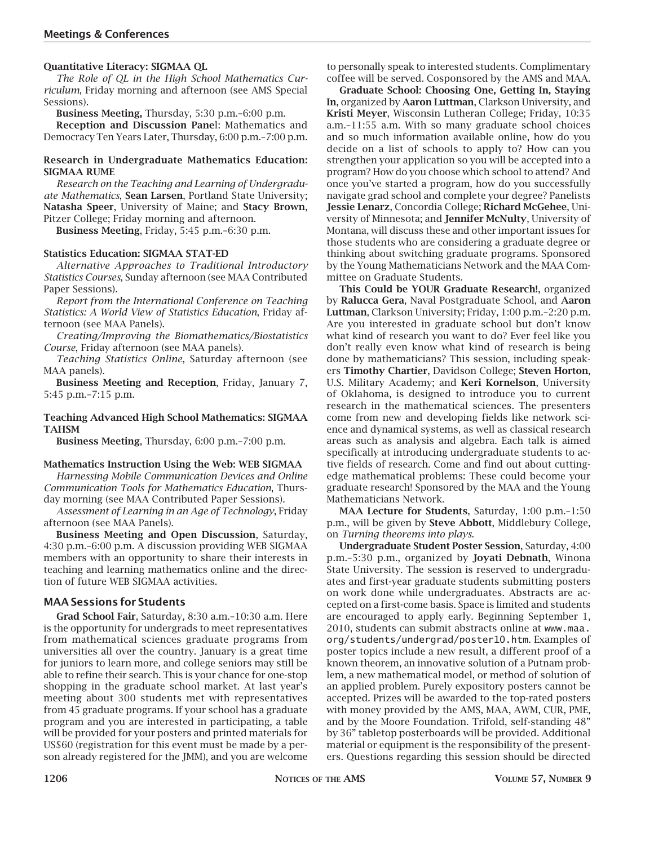#### **Quantitative Literacy: SIGMAA QL**

*The Role of QL in the High School Mathematics Curriculum*, Friday morning and afternoon (see AMS Special Sessions).

**Business Meeting,** Thursday, 5:30 p.m.–6:00 p.m.

**Reception and Discussion Pane**l: Mathematics and Democracy Ten Years Later, Thursday, 6:00 p.m.–7:00 p.m.

#### **Research in Undergraduate Mathematics Education: SIGMAA RUME**

*Research on the Teaching and Learning of Undergraduate Mathematics*, **Sean Larsen**, Portland State University; **Natasha Speer**, University of Maine; and **Stacy Brown**, Pitzer College; Friday morning and afternoon.

**Business Meeting**, Friday, 5:45 p.m.–6:30 p.m.

#### **Statistics Education: SIGMAA STAT-ED**

*Alternative Approaches to Traditional Introductory Statistics Courses*, Sunday afternoon (see MAA Contributed Paper Sessions).

*Report from the International Conference on Teaching Statistics: A World View of Statistics Education*, Friday afternoon (see MAA Panels).

*Creating/Improving the Biomathematics/Biostatistics Course*, Friday afternoon (see MAA panels).

*Teaching Statistics Online*, Saturday afternoon (see MAA panels).

**Business Meeting and Reception**, Friday, January 7, 5:45 p.m.–7:15 p.m.

#### **Teaching Advanced High School Mathematics: SIGMAA TAHSM**

**Business Meeting**, Thursday, 6:00 p.m.–7:00 p.m.

#### **Mathematics Instruction Using the Web: WEB SIGMAA**

*Harnessing Mobile Communication Devices and Online Communication Tools for Mathematics Education*, Thursday morning (see MAA Contributed Paper Sessions).

*Assessment of Learning in an Age of Technology*, Friday afternoon (see MAA Panels).

**Business Meeting and Open Discussion**, Saturday, 4:30 p.m.–6:00 p.m. A discussion providing WEB SIGMAA members with an opportunity to share their interests in teaching and learning mathematics online and the direction of future WEB SIGMAA activities.

#### **MAA Sessions for Students**

**Grad School Fair**, Saturday, 8:30 a.m.–10:30 a.m. Here is the opportunity for undergrads to meet representatives from mathematical sciences graduate programs from universities all over the country. January is a great time for juniors to learn more, and college seniors may still be able to refine their search. This is your chance for one-stop shopping in the graduate school market. At last year's meeting about 300 students met with representatives from 45 graduate programs. If your school has a graduate program and you are interested in participating, a table will be provided for your posters and printed materials for US\$60 (registration for this event must be made by a person already registered for the JMM), and you are welcome to personally speak to interested students. Complimentary coffee will be served. Cosponsored by the AMS and MAA.

**Graduate School: Choosing One, Getting In, Staying In**, organized by **Aaron Luttman**, Clarkson University, and **Kristi Meyer**, Wisconsin Lutheran College; Friday, 10:35 a.m.–11:55 a.m. With so many graduate school choices and so much information available online, how do you decide on a list of schools to apply to? How can you strengthen your application so you will be accepted into a program? How do you choose which school to attend? And once you've started a program, how do you successfully navigate grad school and complete your degree? Panelists **Jessie Lenarz**, Concordia College; **Richard McGehee**, University of Minnesota; and **Jennifer McNulty**, University of Montana, will discuss these and other important issues for those students who are considering a graduate degree or thinking about switching graduate programs. Sponsored by the Young Mathematicians Network and the MAA Committee on Graduate Students.

**This Could be YOUR Graduate Research!**, organized by **Ralucca Gera**, Naval Postgraduate School, and **Aaron Luttman**, Clarkson University; Friday, 1:00 p.m.–2:20 p.m. Are you interested in graduate school but don't know what kind of research you want to do? Ever feel like you don't really even know what kind of research is being done by mathematicians? This session, including speakers **Timothy Chartier**, Davidson College; **Steven Horton**, U.S. Military Academy; and **Keri Kornelson**, University of Oklahoma, is designed to introduce you to current research in the mathematical sciences. The presenters come from new and developing fields like network science and dynamical systems, as well as classical research areas such as analysis and algebra. Each talk is aimed specifically at introducing undergraduate students to active fields of research. Come and find out about cuttingedge mathematical problems: These could become your graduate research! Sponsored by the MAA and the Young Mathematicians Network.

**MAA Lecture for Students**, Saturday, 1:00 p.m.–1:50 p.m., will be given by **Steve Abbott**, Middlebury College, on *Turning theorems into plays*.

**Undergraduate Student Poster Session**, Saturday, 4:00 p.m.–5:30 p.m., organized by **Joyati Debnath**, Winona State University. The session is reserved to undergraduates and first-year graduate students submitting posters on work done while undergraduates. Abstracts are accepted on a first-come basis. Space is limited and students are encouraged to apply early. Beginning September 1, 2010, students can submit abstracts online at www.maa. org/students/undergrad/poster10.htm. Examples of poster topics include a new result, a different proof of a known theorem, an innovative solution of a Putnam problem, a new mathematical model, or method of solution of an applied problem. Purely expository posters cannot be accepted. Prizes will be awarded to the top-rated posters with money provided by the AMS, MAA, AWM, CUR, PME, and by the Moore Foundation. Trifold, self-standing 48" by 36" tabletop posterboards will be provided. Additional material or equipment is the responsibility of the presenters. Questions regarding this session should be directed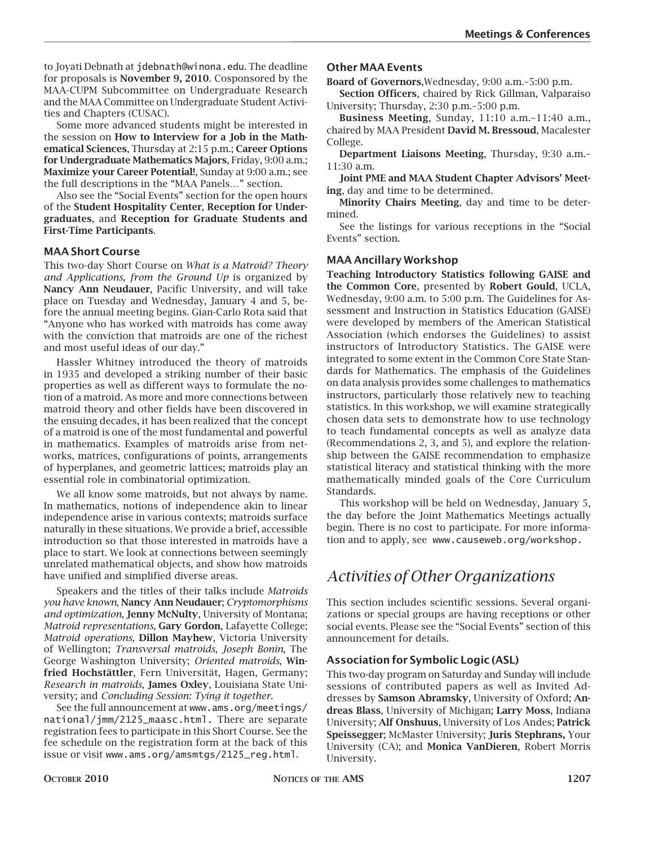to Joyati Debnath at jdebnath@winona.edu. The deadline for proposals is **November 9, 2010**. Cosponsored by the MAA-CUPM Subcommittee on Undergraduate Research and the MAA Committee on Undergraduate Student Activities and Chapters (CUSAC).

Some more advanced students might be interested in the session on **How to Interview for a Job in the Mathematical Sciences**, Thursday at 2:15 p.m.; **Career Options for Undergraduate Mathematics Majors**, Friday, 9:00 a.m.; **Maximize your Career Potential!**, Sunday at 9:00 a.m.; see the full descriptions in the "MAA Panels…" section.

Also see the "Social Events" section for the open hours of the **Student Hospitality Center**, **Reception for Undergraduates**, and **Reception for Graduate Students and First-Time Participants**.

#### **MAA Short Course**

This two-day Short Course on *What is a Matroid? Theory and Applications, from the Ground Up* is organized by **Nancy Ann Neudauer**, Pacific University, and will take place on Tuesday and Wednesday, January 4 and 5, before the annual meeting begins. Gian-Carlo Rota said that "Anyone who has worked with matroids has come away with the conviction that matroids are one of the richest and most useful ideas of our day."

Hassler Whitney introduced the theory of matroids in 1935 and developed a striking number of their basic properties as well as different ways to formulate the notion of a matroid. As more and more connections between matroid theory and other fields have been discovered in the ensuing decades, it has been realized that the concept of a matroid is one of the most fundamental and powerful in mathematics. Examples of matroids arise from networks, matrices, configurations of points, arrangements of hyperplanes, and geometric lattices; matroids play an essential role in combinatorial optimization.

We all know some matroids, but not always by name. In mathematics, notions of independence akin to linear independence arise in various contexts; matroids surface naturally in these situations. We provide a brief, accessible introduction so that those interested in matroids have a place to start. We look at connections between seemingly unrelated mathematical objects, and show how matroids have unified and simplified diverse areas.

Speakers and the titles of their talks include *Matroids you have known*, **Nancy Ann Neudauer**; *Cryptomorphisms and optimization*, **Jenny McNulty**, University of Montana; *Matroid representations*, **Gary Gordon**, Lafayette College; *Matroid operations*, **Dillon Mayhew**, Victoria University of Wellington; *Transversal matroids*, *Joseph Bonin*, The George Washington University; *Oriented matroids*, **Winfried Hochstättler**, Fern Universität, Hagen, Germany; *Research in matroids*, **James Oxley**, Louisiana State University; and *Concluding Session: Tying it together*.

See the full announcement at www.ams.org/meetings/ national/jmm/2125\_maasc.html. There are separate registration fees to participate in this Short Course. See the fee schedule on the registration form at the back of this issue or visit www.ams.org/amsmtgs/2125\_reg.html.

#### **Other MAA Events**

**Board of Governors**,Wednesday, 9:00 a.m.–5:00 p.m.

**Section Officers**, chaired by Rick Gillman, Valparaiso University; Thursday, 2:30 p.m.–5:00 p.m.

**Business Meeting**, Sunday, 11:10 a.m.–11:40 a.m., chaired by MAA President **David M. Bressoud**, Macalester College.

**Department Liaisons Meeting**, Thursday, 9:30 a.m.– 11:30 a.m.

**Joint PME and MAA Student Chapter Advisors' Meeting**, day and time to be determined.

**Minority Chairs Meeting**, day and time to be determined.

See the listings for various receptions in the "Social Events" section.

#### **MAA Ancillary Workshop**

**Teaching Introductory Statistics following GAISE and the Common Core**, presented by **Robert Gould**, UCLA, Wednesday, 9:00 a.m. to 5:00 p.m. The Guidelines for Assessment and Instruction in Statistics Education (GAISE) were developed by members of the American Statistical Association (which endorses the Guidelines) to assist instructors of Introductory Statistics. The GAISE were integrated to some extent in the Common Core State Standards for Mathematics. The emphasis of the Guidelines on data analysis provides some challenges to mathematics instructors, particularly those relatively new to teaching statistics. In this workshop, we will examine strategically chosen data sets to demonstrate how to use technology to teach fundamental concepts as well as analyze data (Recommendations 2, 3, and 5), and explore the relationship between the GAISE recommendation to emphasize statistical literacy and statistical thinking with the more mathematically minded goals of the Core Curriculum Standards.

This workshop will be held on Wednesday, January 5, the day before the Joint Mathematics Meetings actually begin. There is no cost to participate. For more information and to apply, see www.causeweb.org/workshop.

### *Activities of Other Organizations*

This section includes scientific sessions. Several organizations or special groups are having receptions or other social events. Please see the "Social Events" section of this announcement for details.

#### **Association for Symbolic Logic (ASL)**

This two-day program on Saturday and Sunday will include sessions of contributed papers as well as Invited Addresses by **Samson Abramsky**, University of Oxford; **Andreas Blass**, University of Michigan; **Larry Moss**, Indiana University; **Alf Onshuus**, University of Los Andes; **Patrick Speissegger**; McMaster University; **Juris Stephrans,** Your University (CA); and **Monica VanDieren**, Robert Morris University.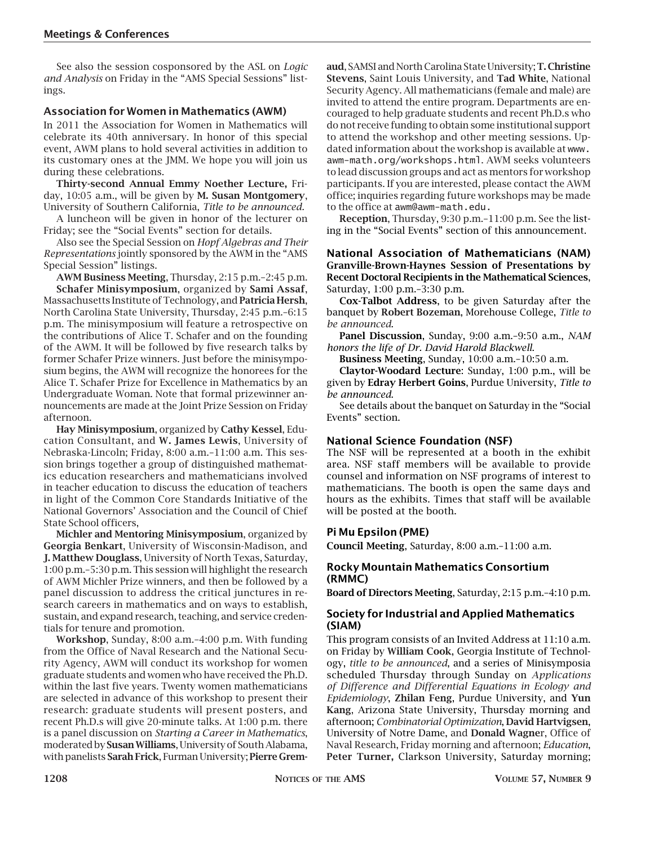See also the session cosponsored by the ASL on *Logic and Analysis* on Friday in the "AMS Special Sessions" listings.

#### **Association for Women in Mathematics (AWM)**

In 2011 the Association for Women in Mathematics will celebrate its 40th anniversary. In honor of this special event, AWM plans to hold several activities in addition to its customary ones at the JMM. We hope you will join us during these celebrations.

**Thirty-second Annual Emmy Noether Lecture,** Friday, 10:05 a.m., will be given by **M. Susan Montgomery**, University of Southern California, *Title to be announced.* 

A luncheon will be given in honor of the lecturer on Friday; see the "Social Events" section for details.

Also see the Special Session on *Hopf Algebras and Their Representations* jointly sponsored by the AWM in the "AMS Special Session" listings.

**AWM Business Meeting**, Thursday, 2:15 p.m.–2:45 p.m. **Schafer Minisymposium**, organized by **Sami Assaf**,

Massachusetts Institute of Technology, and **Patricia Hersh**, North Carolina State University, Thursday, 2:45 p.m.–6:15 p.m. The minisymposium will feature a retrospective on the contributions of Alice T. Schafer and on the founding of the AWM. It will be followed by five research talks by former Schafer Prize winners. Just before the minisymposium begins, the AWM will recognize the honorees for the Alice T. Schafer Prize for Excellence in Mathematics by an Undergraduate Woman. Note that formal prizewinner announcements are made at the Joint Prize Session on Friday afternoon.

**Hay Minisymposium**, organized by **Cathy Kessel**, Education Consultant, and **W. James Lewis**, University of Nebraska-Lincoln; Friday, 8:00 a.m.–11:00 a.m. This session brings together a group of distinguished mathematics education researchers and mathematicians involved in teacher education to discuss the education of teachers in light of the Common Core Standards Initiative of the National Governors' Association and the Council of Chief State School officers,

**Michler and Mentoring Minisymposium**, organized by **Georgia Benkart**, University of Wisconsin-Madison, and **J. Matthew Douglass**, University of North Texas, Saturday, 1:00 p.m.–5:30 p.m. This session will highlight the research of AWM Michler Prize winners, and then be followed by a panel discussion to address the critical junctures in research careers in mathematics and on ways to establish, sustain, and expand research, teaching, and service credentials for tenure and promotion.

**Workshop**, Sunday, 8:00 a.m.–4:00 p.m. With funding from the Office of Naval Research and the National Security Agency, AWM will conduct its workshop for women graduate students and women who have received the Ph.D. within the last five years. Twenty women mathematicians are selected in advance of this workshop to present their research: graduate students will present posters, and recent Ph.D.s will give 20-minute talks. At 1:00 p.m. there is a panel discussion on *Starting a Career in Mathematics*, moderated by **Susan Williams**, University of South Alabama, with panelists **Sarah Frick**, Furman University; **Pierre Grem-**

**aud**, SAMSI and North Carolina State University; **T. Christine Stevens**, Saint Louis University, and **Tad White**, National Security Agency. All mathematicians (female and male) are invited to attend the entire program. Departments are encouraged to help graduate students and recent Ph.D.s who do not receive funding to obtain some institutional support to attend the workshop and other meeting sessions. Updated information about the workshop is available at www. awm-math.org/workshops.html. AWM seeks volunteers to lead discussion groups and act as mentors for workshop participants. If you are interested, please contact the AWM office; inquiries regarding future workshops may be made to the office at awm@awm-math.edu.

**Reception**, Thursday, 9:30 p.m.–11:00 p.m. See the listing in the "Social Events" section of this announcement.

#### **National Association of Mathematicians (NAM) Granville-Brown-Haynes Session of Presentations by Recent Doctoral Recipients in the Mathematical Sciences**, Saturday, 1:00 p.m.–3:30 p.m.

**Cox-Talbot Address**, to be given Saturday after the banquet by **Robert Bozeman**, Morehouse College, *Title to be announced*.

**Panel Discussion**, Sunday, 9:00 a.m.–9:50 a.m., *NAM honors the life of Dr. David Harold Blackwell*.

**Business Meeting**, Sunday, 10:00 a.m.–10:50 a.m.

**Claytor-Woodard Lecture**: Sunday, 1:00 p.m., will be given by **Edray Herbert Goins**, Purdue University, *Title to be announced*.

See details about the banquet on Saturday in the "Social Events" section.

#### **National Science Foundation (NSF)**

The NSF will be represented at a booth in the exhibit area. NSF staff members will be available to provide counsel and information on NSF programs of interest to mathematicians. The booth is open the same days and hours as the exhibits. Times that staff will be available will be posted at the booth.

#### **Pi Mu Epsilon (PME)**

**Council Meeting**, Saturday, 8:00 a.m.–11:00 a.m.

#### **Rocky Mountain Mathematics Consortium (RMMC)**

**Board of Directors Meeting**, Saturday, 2:15 p.m.–4:10 p.m.

#### **Society for Industrial and Applied Mathematics (SIAM)**

This program consists of an Invited Address at 11:10 a.m. on Friday by **William Cook**, Georgia Institute of Technology, *title to be announced*, and a series of Minisymposia scheduled Thursday through Sunday on *Applications of Difference and Differential Equations in Ecology and Epidemiology*, **Zhilan Feng**, Purdue University, and **Yun Kang**, Arizona State University, Thursday morning and afternoon; *Combinatorial Optimization*, **David Hartvigsen**, University of Notre Dame, and **Donald Wagne**r, Office of Naval Research, Friday morning and afternoon; *Education*, **Peter Turner,** Clarkson University, Saturday morning;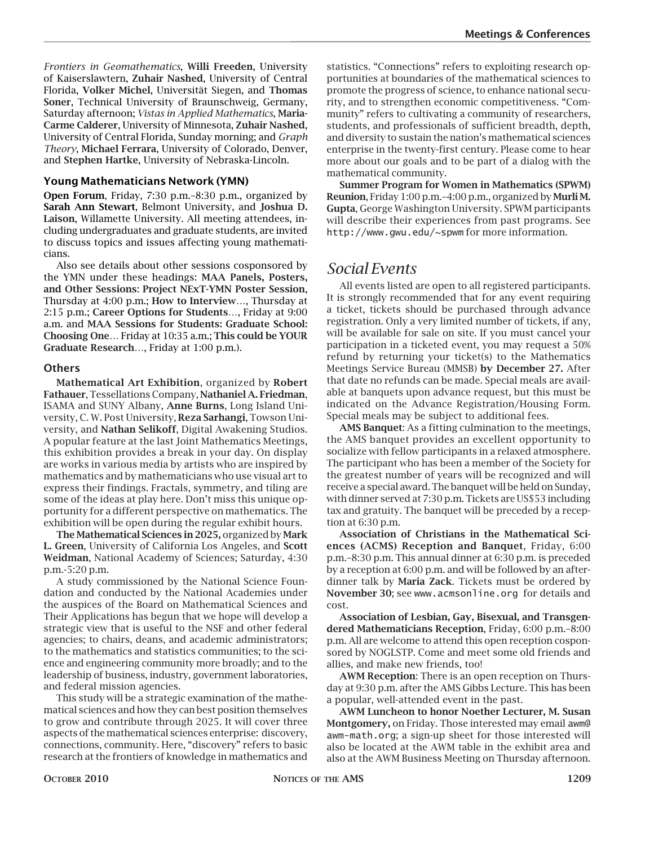*Frontiers in Geomathematics*, **Willi Freeden**, University of Kaiserslawtern, **Zuhair Nashed**, University of Central Florida, **Volker Michel**, Universität Siegen, and **Thomas Soner**, Technical University of Braunschweig, Germany, Saturday afternoon; *Vistas in Applied Mathematics*, **Maria-Carme Calderer**, University of Minnesota, **Zuhair Nashed**, University of Central Florida, Sunday morning; and *Graph Theory*, **Michael Ferrara**, University of Colorado, Denver, and **Stephen Hartke**, University of Nebraska-Lincoln.

#### **Young Mathematicians Network (YMN)**

**Open Forum**, Friday, 7:30 p.m.–8:30 p.m., organized by **Sarah Ann Stewart**, Belmont University, and **Joshua D. Laison**, Willamette University. All meeting attendees, including undergraduates and graduate students, are invited to discuss topics and issues affecting young mathematicians.

Also see details about other sessions cosponsored by the YMN under these headings: **MAA Panels, Posters, and Other Sessions**: **Project NExT-YMN Poster Session**, Thursday at 4:00 p.m.; **How to Interview…**, Thursday at 2:15 p.m.; **Career Options for Students**…, Friday at 9:00 a.m. and **MAA Sessions for Students: Graduate School: Choosing One…** Friday at 10:35 a.m.; **This could be YOUR Graduate Research…**, Friday at 1:00 p.m.).

#### **Others**

**Mathematical Art Exhibition**, organized by **Robert Fathauer**, Tessellations Company, **Nathaniel A. Friedman**, ISAMA and SUNY Albany, **Anne Burns**, Long Island University, C. W. Post University, **Reza Sarhangi**, Towson University, and **Nathan Selikoff**, Digital Awakening Studios. A popular feature at the last Joint Mathematics Meetings, this exhibition provides a break in your day. On display are works in various media by artists who are inspired by mathematics and by mathematicians who use visual art to express their findings. Fractals, symmetry, and tiling are some of the ideas at play here. Don't miss this unique opportunity for a different perspective on mathematics. The exhibition will be open during the regular exhibit hours.

**The Mathematical Sciences in 2025,** organized by **Mark L. Green**, University of California Los Angeles, and **Scott Weidman**, National Academy of Sciences; Saturday, 4:30 p.m.-5:20 p.m.

A study commissioned by the National Science Foundation and conducted by the National Academies under the auspices of the Board on Mathematical Sciences and Their Applications has begun that we hope will develop a strategic view that is useful to the NSF and other federal agencies; to chairs, deans, and academic administrators; to the mathematics and statistics communities; to the science and engineering community more broadly; and to the leadership of business, industry, government laboratories, and federal mission agencies.

This study will be a strategic examination of the mathematical sciences and how they can best position themselves to grow and contribute through 2025. It will cover three aspects of the mathematical sciences enterprise: discovery, connections, community. Here, "discovery" refers to basic research at the frontiers of knowledge in mathematics and

statistics. "Connections" refers to exploiting research opportunities at boundaries of the mathematical sciences to promote the progress of science, to enhance national security, and to strengthen economic competitiveness. "Community" refers to cultivating a community of researchers, students, and professionals of sufficient breadth, depth, and diversity to sustain the nation's mathematical sciences enterprise in the twenty-first century. Please come to hear more about our goals and to be part of a dialog with the mathematical community.

**Summer Program for Women in Mathematics (SPWM) Reunion**, Friday 1:00 p.m.–4:00 p.m., organized by **Murli M. Gupta**, George Washington University. SPWM participants will describe their experiences from past programs. See http://www.gwu.edu/~spwm for more information.

### *Social Events*

All events listed are open to all registered participants. It is strongly recommended that for any event requiring a ticket, tickets should be purchased through advance registration. Only a very limited number of tickets, if any, will be available for sale on site. If you must cancel your participation in a ticketed event, you may request a 50% refund by returning your ticket(s) to the Mathematics Meetings Service Bureau (MMSB) **by December 27.** After that date no refunds can be made. Special meals are available at banquets upon advance request, but this must be indicated on the Advance Registration/Housing Form. Special meals may be subject to additional fees.

**AMS Banquet**: As a fitting culmination to the meetings, the AMS banquet provides an excellent opportunity to socialize with fellow participants in a relaxed atmosphere. The participant who has been a member of the Society for the greatest number of years will be recognized and will receive a special award. The banquet will be held on Sunday, with dinner served at 7:30 p.m. Tickets are US\$53 including tax and gratuity. The banquet will be preceded by a reception at 6:30 p.m.

**Association of Christians in the Mathematical Sciences (ACMS) Reception and Banquet**, Friday, 6:00 p.m.–8:30 p.m. This annual dinner at 6:30 p.m. is preceded by a reception at 6:00 p.m. and will be followed by an afterdinner talk by **Maria Zack**. Tickets must be ordered by **November 30**; see www.acmsonline.org for details and cost.

**Association of Lesbian, Gay, Bisexual, and Transgendered Mathematicians Reception**, Friday, 6:00 p.m.–8:00 p.m. All are welcome to attend this open reception cosponsored by NOGLSTP. Come and meet some old friends and allies, and make new friends, too!

**AWM Reception**: There is an open reception on Thursday at 9:30 p.m. after the AMS Gibbs Lecture. This has been a popular, well-attended event in the past.

**AWM Luncheon to honor Noether Lecturer, M. Susan Montgomery,** on Friday. Those interested may email awm@ awm-math.org; a sign-up sheet for those interested will also be located at the AWM table in the exhibit area and also at the AWM Business Meeting on Thursday afternoon.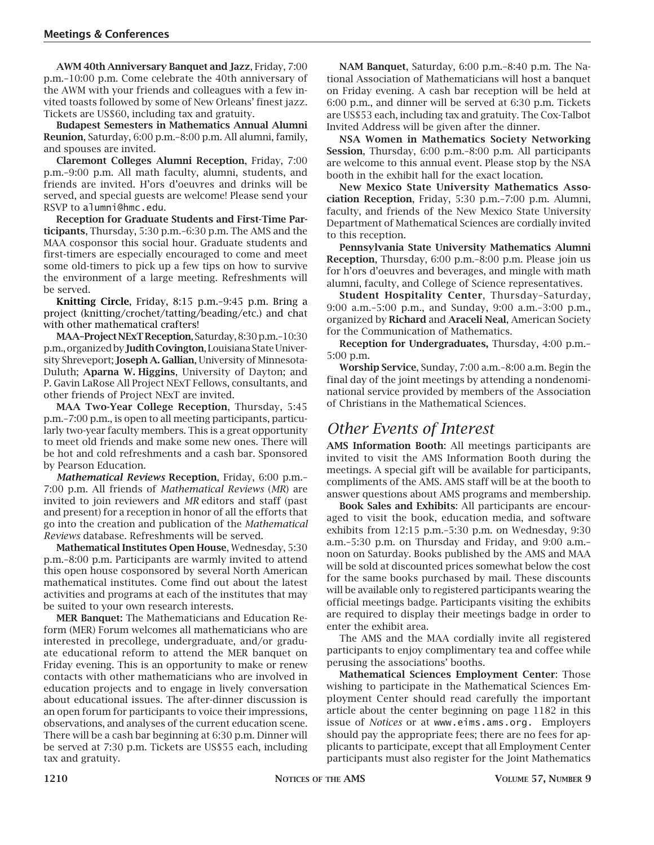**AWM 40th Anniversary Banquet and Jazz**, Friday, 7:00 p.m.–10:00 p.m. Come celebrate the 40th anniversary of the AWM with your friends and colleagues with a few invited toasts followed by some of New Orleans' finest jazz. Tickets are US\$60, including tax and gratuity.

**Budapest Semesters in Mathematics Annual Alumni Reunion**, Saturday, 6:00 p.m.–8:00 p.m. All alumni, family, and spouses are invited.

**Claremont Colleges Alumni Reception**, Friday, 7:00 p.m.–9:00 p.m. All math faculty, alumni, students, and friends are invited. H'ors d'oeuvres and drinks will be served, and special guests are welcome! Please send your RSVP to alumni@hmc.edu.

**Reception for Graduate Students and First-Time Participants**, Thursday, 5:30 p.m.–6:30 p.m. The AMS and the MAA cosponsor this social hour. Graduate students and first-timers are especially encouraged to come and meet some old-timers to pick up a few tips on how to survive the environment of a large meeting. Refreshments will be served.

**Knitting Circle**, Friday, 8:15 p.m.–9:45 p.m. Bring a project (knitting/crochet/tatting/beading/etc.) and chat with other mathematical crafters!

**MAA–Project NExT Reception**, Saturday, 8:30 p.m.–10:30 p.m., organized by **Judith Covington**, Louisiana State University Shreveport; **Joseph A. Gallian**, University of Minnesota-Duluth; **Aparna W. Higgins**, University of Dayton; and P. Gavin LaRose All Project NExT Fellows, consultants, and other friends of Project NExT are invited.

**MAA Two-Year College Reception**, Thursday, 5:45 p.m.–7:00 p.m., is open to all meeting participants, particularly two-year faculty members. This is a great opportunity to meet old friends and make some new ones. There will be hot and cold refreshments and a cash bar. Sponsored by Pearson Education.

*Mathematical Reviews* **Reception**, Friday, 6:00 p.m.– 7:00 p.m. All friends of *Mathematical Reviews* (*MR*) are invited to join reviewers and *MR* editors and staff (past and present) for a reception in honor of all the efforts that go into the creation and publication of the *Mathematical Reviews* database. Refreshments will be served.

**Mathematical Institutes Open House**, Wednesday, 5:30 p.m.–8:00 p.m. Participants are warmly invited to attend this open house cosponsored by several North American mathematical institutes. Come find out about the latest activities and programs at each of the institutes that may be suited to your own research interests.

**MER Banquet:** The Mathematicians and Education Reform (MER) Forum welcomes all mathematicians who are interested in precollege, undergraduate, and/or graduate educational reform to attend the MER banquet on Friday evening. This is an opportunity to make or renew contacts with other mathematicians who are involved in education projects and to engage in lively conversation about educational issues. The after-dinner discussion is an open forum for participants to voice their impressions, observations, and analyses of the current education scene. There will be a cash bar beginning at 6:30 p.m. Dinner will be served at 7:30 p.m. Tickets are US\$55 each, including tax and gratuity.

**NAM Banquet**, Saturday, 6:00 p.m.–8:40 p.m. The National Association of Mathematicians will host a banquet on Friday evening. A cash bar reception will be held at 6:00 p.m., and dinner will be served at 6:30 p.m. Tickets are US\$53 each, including tax and gratuity. The Cox-Talbot Invited Address will be given after the dinner.

**NSA Women in Mathematics Society Networking Session**, Thursday, 6:00 p.m.–8:00 p.m. All participants are welcome to this annual event. Please stop by the NSA booth in the exhibit hall for the exact location.

**New Mexico State University Mathematics Association Reception**, Friday, 5:30 p.m.–7:00 p.m. Alumni, faculty, and friends of the New Mexico State University Department of Mathematical Sciences are cordially invited to this reception.

**Pennsylvania State University Mathematics Alumni Reception**, Thursday, 6:00 p.m.–8:00 p.m. Please join us for h'ors d'oeuvres and beverages, and mingle with math alumni, faculty, and College of Science representatives.

**Student Hospitality Center**, Thursday–Saturday, 9:00 a.m.–5:00 p.m., and Sunday, 9:00 a.m.–3:00 p.m., organized by **Richard** and **Araceli Neal**, American Society for the Communication of Mathematics.

**Reception for Undergraduates,** Thursday, 4:00 p.m.– 5:00 p.m.

**Worship Service**, Sunday, 7:00 a.m.–8:00 a.m. Begin the final day of the joint meetings by attending a nondenominational service provided by members of the Association of Christians in the Mathematical Sciences.

### *Other Events of Interest*

**AMS Information Booth**: All meetings participants are invited to visit the AMS Information Booth during the meetings. A special gift will be available for participants, compliments of the AMS. AMS staff will be at the booth to answer questions about AMS programs and membership.

**Book Sales and Exhibits**: All participants are encouraged to visit the book, education media, and software exhibits from 12:15 p.m.–5:30 p.m. on Wednesday, 9:30 a.m.–5:30 p.m. on Thursday and Friday, and 9:00 a.m.– noon on Saturday. Books published by the AMS and MAA will be sold at discounted prices somewhat below the cost for the same books purchased by mail. These discounts will be available only to registered participants wearing the official meetings badge. Participants visiting the exhibits are required to display their meetings badge in order to enter the exhibit area.

The AMS and the MAA cordially invite all registered participants to enjoy complimentary tea and coffee while perusing the associations' booths.

**Mathematical Sciences Employment Center**: Those wishing to participate in the Mathematical Sciences Employment Center should read carefully the important article about the center beginning on page 1182 in this issue of *Notices* or at www.eims.ams.org. Employers should pay the appropriate fees; there are no fees for applicants to participate, except that all Employment Center participants must also register for the Joint Mathematics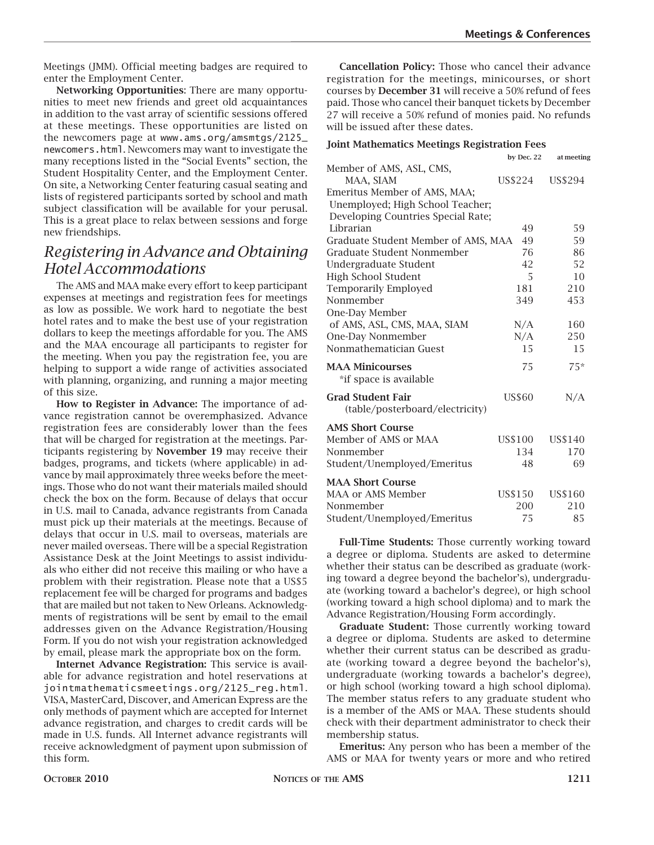Meetings (JMM). Official meeting badges are required to enter the Employment Center.

**Networking Opportunities**: There are many opportunities to meet new friends and greet old acquaintances in addition to the vast array of scientific sessions offered at these meetings. These opportunities are listed on the newcomers page at www.ams.org/amsmtgs/2125\_ newcomers.html. Newcomers may want to investigate the many receptions listed in the "Social Events" section, the Student Hospitality Center, and the Employment Center. On site, a Networking Center featuring casual seating and lists of registered participants sorted by school and math subject classification will be available for your perusal. This is a great place to relax between sessions and forge new friendships.

### *Registering in Advance and Obtaining Hotel Accommodations*

The AMS and MAA make every effort to keep participant expenses at meetings and registration fees for meetings as low as possible. We work hard to negotiate the best hotel rates and to make the best use of your registration dollars to keep the meetings affordable for you. The AMS and the MAA encourage all participants to register for the meeting. When you pay the registration fee, you are helping to support a wide range of activities associated with planning, organizing, and running a major meeting of this size.

**How to Register in Advance:** The importance of advance registration cannot be overemphasized. Advance registration fees are considerably lower than the fees that will be charged for registration at the meetings. Participants registering by **November 19** may receive their badges, programs, and tickets (where applicable) in advance by mail approximately three weeks before the meetings. Those who do not want their materials mailed should check the box on the form. Because of delays that occur in U.S. mail to Canada, advance registrants from Canada must pick up their materials at the meetings. Because of delays that occur in U.S. mail to overseas, materials are never mailed overseas. There will be a special Registration Assistance Desk at the Joint Meetings to assist individuals who either did not receive this mailing or who have a problem with their registration. Please note that a US\$5 replacement fee will be charged for programs and badges that are mailed but not taken to New Orleans. Acknowledgments of registrations will be sent by email to the email addresses given on the Advance Registration/Housing Form. If you do not wish your registration acknowledged by email, please mark the appropriate box on the form.

**Internet Advance Registration:** This service is available for advance registration and hotel reservations at jointmathematicsmeetings.org/2125\_reg.html. VISA, MasterCard, Discover, and American Express are the only methods of payment which are accepted for Internet advance registration, and charges to credit cards will be made in U.S. funds. All Internet advance registrants will receive acknowledgment of payment upon submission of this form.

**Cancellation Policy:** Those who cancel their advance registration for the meetings, minicourses, or short courses by **December 31** will receive a 50% refund of fees paid. Those who cancel their banquet tickets by December 27 will receive a 50% refund of monies paid. No refunds will be issued after these dates.

#### **Joint Mathematics Meetings Registration Fees**

|                                     | by Dec. 22    | at meeting |
|-------------------------------------|---------------|------------|
| Member of AMS, ASL, CMS,            |               |            |
| MAA, SIAM                           | US\$224       | US\$294    |
| Emeritus Member of AMS, MAA;        |               |            |
| Unemployed; High School Teacher;    |               |            |
| Developing Countries Special Rate;  |               |            |
| Librarian                           | 49            | 59         |
| Graduate Student Member of AMS, MAA | 49            | 59         |
| Graduate Student Nonmember          | 76            | 86         |
| Undergraduate Student               | 42            | 52         |
| <b>High School Student</b>          | 5             | 10         |
| <b>Temporarily Employed</b>         | 181           | 210        |
| Nonmember                           | 349           | 453        |
| One-Day Member                      |               |            |
| of AMS, ASL, CMS, MAA, SIAM         | N/A           | 160        |
| One-Day Nonmember                   | N/A           | 250        |
| Nonmathematician Guest              | 15            | 15         |
| <b>MAA Minicourses</b>              | 75            | $75*$      |
| *if space is available              |               |            |
| <b>Grad Student Fair</b>            | <b>US\$60</b> | N/A        |
| (table/posterboard/electricity)     |               |            |
| <b>AMS Short Course</b>             |               |            |
| Member of AMS or MAA                | US\$100       | US\$140    |
| Nonmember                           | 134           | 170        |
| Student/Unemployed/Emeritus         | 48            | 69         |
| <b>MAA Short Course</b>             |               |            |
| MAA or AMS Member                   | US\$150       | US\$160    |
| Nonmember                           | 200           | 210        |
| Student/Unemployed/Emeritus         | 75            | 85         |

**Full-Time Students:** Those currently working toward a degree or diploma. Students are asked to determine whether their status can be described as graduate (working toward a degree beyond the bachelor's), undergraduate (working toward a bachelor's degree), or high school (working toward a high school diploma) and to mark the Advance Registration/Housing Form accordingly.

**Graduate Student:** Those currently working toward a degree or diploma. Students are asked to determine whether their current status can be described as graduate (working toward a degree beyond the bachelor's), undergraduate (working towards a bachelor's degree), or high school (working toward a high school diploma). The member status refers to any graduate student who is a member of the AMS or MAA. These students should check with their department administrator to check their membership status.

**Emeritus:** Any person who has been a member of the AMS or MAA for twenty years or more and who retired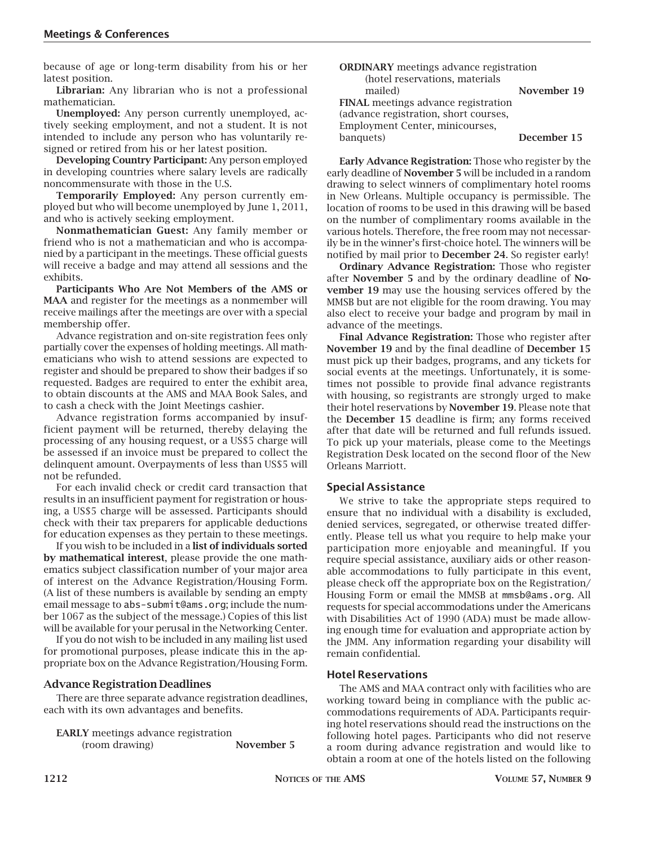because of age or long-term disability from his or her latest position.

**Librarian:** Any librarian who is not a professional mathematician.

**Unemployed:** Any person currently unemployed, actively seeking employment, and not a student. It is not intended to include any person who has voluntarily resigned or retired from his or her latest position.

**Developing Country Participant:** Any person employed in developing countries where salary levels are radically noncommensurate with those in the U.S.

**Temporarily Employed:** Any person currently employed but who will become unemployed by June 1, 2011, and who is actively seeking employment.

**Nonmathematician Guest:** Any family member or friend who is not a mathematician and who is accompanied by a participant in the meetings. These official guests will receive a badge and may attend all sessions and the exhibits.

**Participants Who Are Not Members of the AMS or MAA** and register for the meetings as a nonmember will receive mailings after the meetings are over with a special membership offer.

Advance registration and on-site registration fees only partially cover the expenses of holding meetings. All mathematicians who wish to attend sessions are expected to register and should be prepared to show their badges if so requested. Badges are required to enter the exhibit area, to obtain discounts at the AMS and MAA Book Sales, and to cash a check with the Joint Meetings cashier.

Advance registration forms accompanied by insufficient payment will be returned, thereby delaying the processing of any housing request, or a US\$5 charge will be assessed if an invoice must be prepared to collect the delinquent amount. Overpayments of less than US\$5 will not be refunded.

For each invalid check or credit card transaction that results in an insufficient payment for registration or housing, a US\$5 charge will be assessed. Participants should check with their tax preparers for applicable deductions for education expenses as they pertain to these meetings.

If you wish to be included in a **list of individuals sorted by mathematical interest**, please provide the one mathematics subject classification number of your major area of interest on the Advance Registration/Housing Form. (A list of these numbers is available by sending an empty email message to abs-submit@ams.org; include the number 1067 as the subject of the message.) Copies of this list will be available for your perusal in the Networking Center.

If you do not wish to be included in any mailing list used for promotional purposes, please indicate this in the appropriate box on the Advance Registration/Housing Form.

#### **Advance Registration Deadlines**

There are three separate advance registration deadlines, each with its own advantages and benefits.

**EARLY** meetings advance registration (room drawing) **November 5**

| <b>ORDINARY</b> meetings advance registration |             |
|-----------------------------------------------|-------------|
| (hotel reservations, materials                |             |
| mailed)                                       | November 19 |
| <b>FINAL</b> meetings advance registration    |             |
| (advance registration, short courses,         |             |
| Employment Center, minicourses,               |             |
| banquets)                                     | December 15 |

**Early Advance Registration:** Those who register by the early deadline of **November 5** will be included in a random drawing to select winners of complimentary hotel rooms in New Orleans. Multiple occupancy is permissible. The location of rooms to be used in this drawing will be based on the number of complimentary rooms available in the various hotels. Therefore, the free room may not necessarily be in the winner's first-choice hotel. The winners will be notified by mail prior to **December 24**. So register early!

**Ordinary Advance Registration:** Those who register after **November 5** and by the ordinary deadline of **November 19** may use the housing services offered by the MMSB but are not eligible for the room drawing. You may also elect to receive your badge and program by mail in advance of the meetings.

**Final Advance Registration:** Those who register after **November 19** and by the final deadline of **December 15**  must pick up their badges, programs, and any tickets for social events at the meetings. Unfortunately, it is sometimes not possible to provide final advance registrants with housing, so registrants are strongly urged to make their hotel reservations by **November 19**. Please note that the **December 15** deadline is firm; any forms received after that date will be returned and full refunds issued. To pick up your materials, please come to the Meetings Registration Desk located on the second floor of the New Orleans Marriott.

#### **Special Assistance**

We strive to take the appropriate steps required to ensure that no individual with a disability is excluded, denied services, segregated, or otherwise treated differently. Please tell us what you require to help make your participation more enjoyable and meaningful. If you require special assistance, auxiliary aids or other reasonable accommodations to fully participate in this event, please check off the appropriate box on the Registration/ Housing Form or email the MMSB at mmsb@ams.org. All requests for special accommodations under the Americans with Disabilities Act of 1990 (ADA) must be made allowing enough time for evaluation and appropriate action by the JMM. Any information regarding your disability will remain confidential.

#### **Hotel Reservations**

The AMS and MAA contract only with facilities who are working toward being in compliance with the public accommodations requirements of ADA. Participants requiring hotel reservations should read the instructions on the following hotel pages. Participants who did not reserve a room during advance registration and would like to obtain a room at one of the hotels listed on the following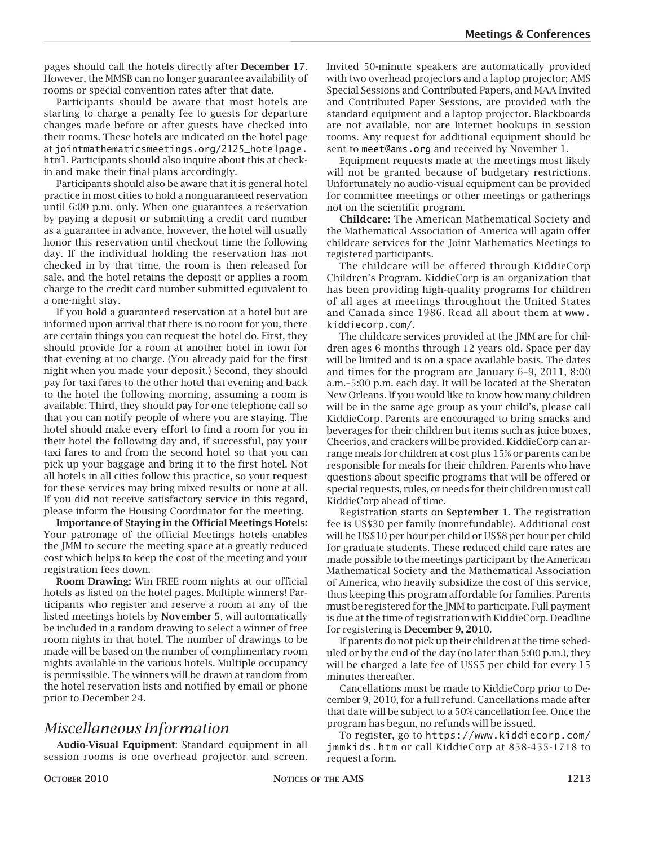pages should call the hotels directly after **December 17**. However, the MMSB can no longer guarantee availability of rooms or special convention rates after that date.

Participants should be aware that most hotels are starting to charge a penalty fee to guests for departure changes made before or after guests have checked into their rooms. These hotels are indicated on the hotel page at jointmathematicsmeetings.org/2125\_hotelpage. html. Participants should also inquire about this at checkin and make their final plans accordingly.

Participants should also be aware that it is general hotel practice in most cities to hold a nonguaranteed reservation until 6:00 p.m. only. When one guarantees a reservation by paying a deposit or submitting a credit card number as a guarantee in advance, however, the hotel will usually honor this reservation until checkout time the following day. If the individual holding the reservation has not checked in by that time, the room is then released for sale, and the hotel retains the deposit or applies a room charge to the credit card number submitted equivalent to a one-night stay.

If you hold a guaranteed reservation at a hotel but are informed upon arrival that there is no room for you, there are certain things you can request the hotel do. First, they should provide for a room at another hotel in town for that evening at no charge. (You already paid for the first night when you made your deposit.) Second, they should pay for taxi fares to the other hotel that evening and back to the hotel the following morning, assuming a room is available. Third, they should pay for one telephone call so that you can notify people of where you are staying. The hotel should make every effort to find a room for you in their hotel the following day and, if successful, pay your taxi fares to and from the second hotel so that you can pick up your baggage and bring it to the first hotel. Not all hotels in all cities follow this practice, so your request for these services may bring mixed results or none at all. If you did not receive satisfactory service in this regard, please inform the Housing Coordinator for the meeting.

**Importance of Staying in the Official Meetings Hotels:** Your patronage of the official Meetings hotels enables the JMM to secure the meeting space at a greatly reduced cost which helps to keep the cost of the meeting and your registration fees down.

**Room Drawing:** Win FREE room nights at our official hotels as listed on the hotel pages. Multiple winners! Participants who register and reserve a room at any of the listed meetings hotels by **November 5**, will automatically be included in a random drawing to select a winner of free room nights in that hotel. The number of drawings to be made will be based on the number of complimentary room nights available in the various hotels. Multiple occupancy is permissible. The winners will be drawn at random from the hotel reservation lists and notified by email or phone prior to December 24.

### *Miscellaneous Information*

**Audio-Visual Equipment**: Standard equipment in all session rooms is one overhead projector and screen.

Invited 50-minute speakers are automatically provided with two overhead projectors and a laptop projector; AMS Special Sessions and Contributed Papers, and MAA Invited and Contributed Paper Sessions, are provided with the standard equipment and a laptop projector. Blackboards are not available, nor are Internet hookups in session rooms. Any request for additional equipment should be sent to meet@ams.org and received by November 1.

Equipment requests made at the meetings most likely will not be granted because of budgetary restrictions. Unfortunately no audio-visual equipment can be provided for committee meetings or other meetings or gatherings not on the scientific program.

**Childcare**: The American Mathematical Society and the Mathematical Association of America will again offer childcare services for the Joint Mathematics Meetings to registered participants.

The childcare will be offered through KiddieCorp Children's Program. KiddieCorp is an organization that has been providing high-quality programs for children of all ages at meetings throughout the United States and Canada since 1986. Read all about them at www. kiddiecorp.com/.

The childcare services provided at the JMM are for children ages 6 months through 12 years old. Space per day will be limited and is on a space available basis. The dates and times for the program are January 6–9, 2011, 8:00 a.m.–5:00 p.m. each day. It will be located at the Sheraton New Orleans. If you would like to know how many children will be in the same age group as your child's, please call KiddieCorp. Parents are encouraged to bring snacks and beverages for their children but items such as juice boxes, Cheerios, and crackers will be provided. KiddieCorp can arrange meals for children at cost plus 15% or parents can be responsible for meals for their children. Parents who have questions about specific programs that will be offered or special requests, rules, or needs for their children must call KiddieCorp ahead of time.

Registration starts on **September 1**. The registration fee is US\$30 per family (nonrefundable). Additional cost will be US\$10 per hour per child or US\$8 per hour per child for graduate students. These reduced child care rates are made possible to the meetings participant by the American Mathematical Society and the Mathematical Association of America, who heavily subsidize the cost of this service, thus keeping this program affordable for families. Parents must be registered for the JMM to participate. Full payment is due at the time of registration with KiddieCorp. Deadline for registering is **December 9, 2010**.

If parents do not pick up their children at the time scheduled or by the end of the day (no later than 5:00 p.m.), they will be charged a late fee of US\$5 per child for every 15 minutes thereafter.

Cancellations must be made to KiddieCorp prior to December 9, 2010, for a full refund. Cancellations made after that date will be subject to a 50% cancellation fee. Once the program has begun, no refunds will be issued.

To register, go to https://www.kiddiecorp.com/ jmmkids.htm or call KiddieCorp at 858-455-1718 to request a form.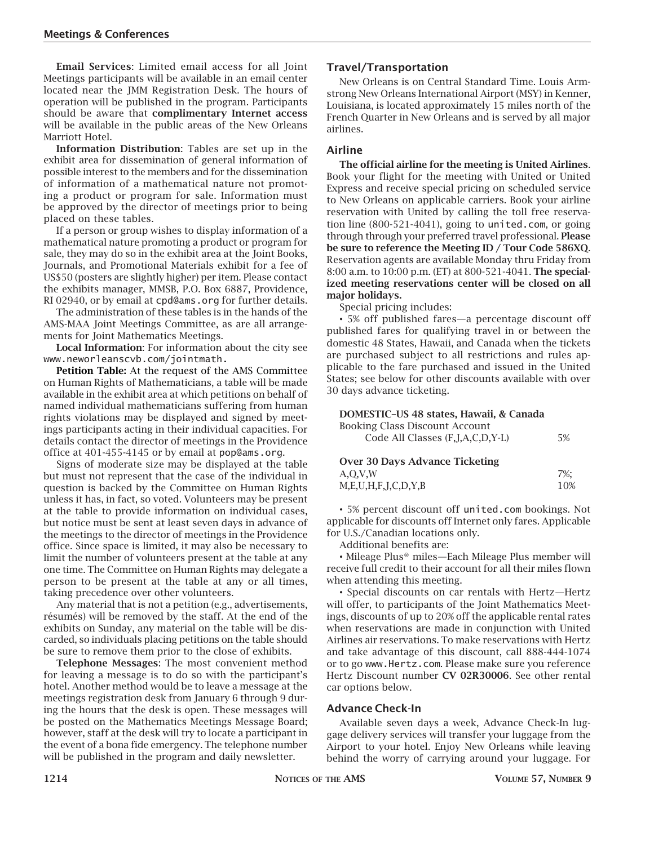**Email Services**: Limited email access for all Joint Meetings participants will be available in an email center located near the JMM Registration Desk. The hours of operation will be published in the program. Participants should be aware that **complimentary Internet access** will be available in the public areas of the New Orleans Marriott Hotel.

**Information Distribution**: Tables are set up in the exhibit area for dissemination of general information of possible interest to the members and for the dissemination of information of a mathematical nature not promoting a product or program for sale. Information must be approved by the director of meetings prior to being placed on these tables.

If a person or group wishes to display information of a mathematical nature promoting a product or program for sale, they may do so in the exhibit area at the Joint Books, Journals, and Promotional Materials exhibit for a fee of US\$50 (posters are slightly higher) per item. Please contact the exhibits manager, MMSB, P.O. Box 6887, Providence, RI 02940, or by email at cpd@ams.org for further details.

The administration of these tables is in the hands of the AMS-MAA Joint Meetings Committee, as are all arrangements for Joint Mathematics Meetings.

**Local Information**: For information about the city see www.neworleanscvb.com/jointmath.

**Petition Table:** At the request of the AMS Committee on Human Rights of Mathematicians, a table will be made available in the exhibit area at which petitions on behalf of named individual mathematicians suffering from human rights violations may be displayed and signed by meetings participants acting in their individual capacities. For details contact the director of meetings in the Providence office at 401-455-4145 or by email at pop@ams.org.

Signs of moderate size may be displayed at the table but must not represent that the case of the individual in question is backed by the Committee on Human Rights unless it has, in fact, so voted. Volunteers may be present at the table to provide information on individual cases, but notice must be sent at least seven days in advance of the meetings to the director of meetings in the Providence office. Since space is limited, it may also be necessary to limit the number of volunteers present at the table at any one time. The Committee on Human Rights may delegate a person to be present at the table at any or all times, taking precedence over other volunteers.

Any material that is not a petition (e.g., advertisements, résumés) will be removed by the staff. At the end of the exhibits on Sunday, any material on the table will be discarded, so individuals placing petitions on the table should be sure to remove them prior to the close of exhibits.

**Telephone Messages**: The most convenient method for leaving a message is to do so with the participant's hotel. Another method would be to leave a message at the meetings registration desk from January 6 through 9 during the hours that the desk is open. These messages will be posted on the Mathematics Meetings Message Board; however, staff at the desk will try to locate a participant in the event of a bona fide emergency. The telephone number will be published in the program and daily newsletter.

#### **Travel/Transportation**

New Orleans is on Central Standard Time. Louis Armstrong New Orleans International Airport (MSY) in Kenner, Louisiana, is located approximately 15 miles north of the French Quarter in New Orleans and is served by all major airlines.

#### **Airline**

**The official airline for the meeting is United Airlines**. Book your flight for the meeting with United or United Express and receive special pricing on scheduled service to New Orleans on applicable carriers. Book your airline reservation with United by calling the toll free reservation line (800-521-4041), going to united.com, or going through through your preferred travel professional. **Please be sure to reference the Meeting ID / Tour Code 586XQ**. Reservation agents are available Monday thru Friday from 8:00 a.m. to 10:00 p.m. (ET) at 800-521-4041. **The specialized meeting reservations center will be closed on all major holidays.**

Special pricing includes:

• 5% off published fares—a percentage discount off published fares for qualifying travel in or between the domestic 48 States, Hawaii, and Canada when the tickets are purchased subject to all restrictions and rules applicable to the fare purchased and issued in the United States; see below for other discounts available with over 30 days advance ticketing.

#### **DOMESTIC–US 48 states, Hawaii, & Canada**

| <b>Booking Class Discount Account</b> |    |
|---------------------------------------|----|
| Code All Classes (F, J, A, C, D, Y-L) | 5% |
|                                       |    |

| <b>Over 30 Days Advance Ticketing</b> |     |
|---------------------------------------|-----|
| A,O,V,W                               | 7%: |
| M, E, U, H, F, J, C, D, Y, B          | 10% |

• 5% percent discount off united.com bookings. Not applicable for discounts off Internet only fares. Applicable for U.S./Canadian locations only.

Additional benefits are:

• Mileage Plus® miles—Each Mileage Plus member will receive full credit to their account for all their miles flown when attending this meeting.

• Special discounts on car rentals with Hertz—Hertz will offer, to participants of the Joint Mathematics Meetings, discounts of up to 20% off the applicable rental rates when reservations are made in conjunction with United Airlines air reservations. To make reservations with Hertz and take advantage of this discount, call 888-444-1074 or to go www.Hertz.com. Please make sure you reference Hertz Discount number **CV 02R30006**. See other rental car options below.

#### **Advance Check-In**

Available seven days a week, Advance Check-In luggage delivery services will transfer your luggage from the Airport to your hotel. Enjoy New Orleans while leaving behind the worry of carrying around your luggage. For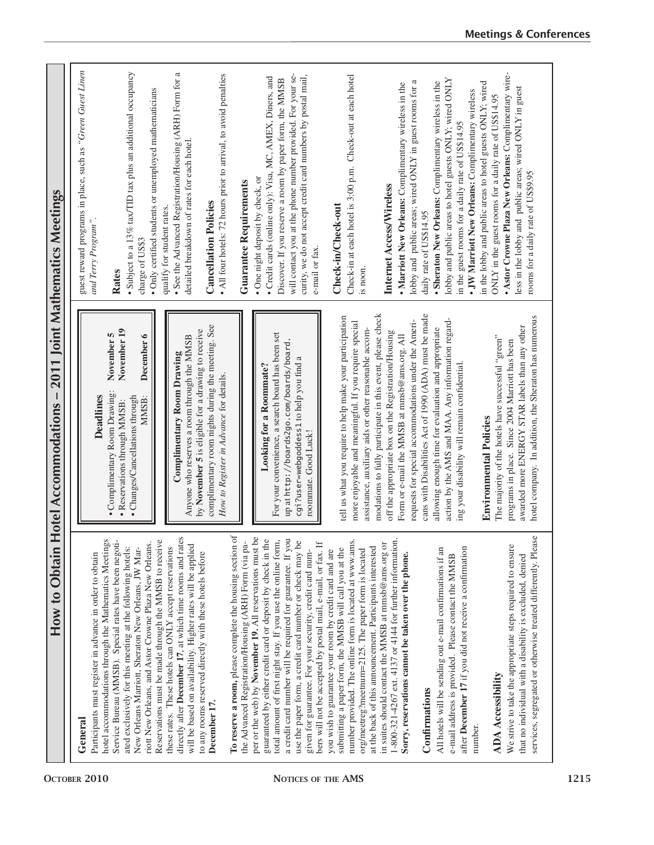| 2011 Joint Mathematics Meetings               | guest reward programs in place, such as "Green Guest Linen<br>• Subject to a 13% tax/TID tax plus an additional occupancy<br>· Only certified students or unemployed mathematicians<br>and Terry Program".<br>charge of US\$3<br>Rates                                                                                                                                                                                         | $\approx$<br>• All four hotels: 72 hours prior to arrival, to avoid penalties<br>· See the Advanced Registration/Housing (ARH) Form for<br>detailed breakdown of rates for each hotel.<br><b>Guarantee Requirements</b><br><b>Cancellation Policies</b><br>qualify for student rates.                                                                                               | will contact you at the phone number provided. For your se-<br>curity, we do not accept credit card numbers by postal mail,<br>· Credit cards (online only): Visa, MC, AMEX, Diners, and<br>Discover. If you reserve a room by paper form, the MMSB<br>• One night deposit by check, or<br>e-mail or fax.                                                                                                                                       | Check-in at each hotel is 3:00 p.m. Check-out at each hotel<br>Check-in/Check-out<br>is noon.                                                                                                                                                                                                   | lobby and public areas; wired ONLY in guest rooms for a<br>• Marriott New Orleans: Complimentary wireless in the<br>Internet Access/Wireless<br>daily rate of US\$14.95                                                                                                            | lobby and public areas to hotel guests ONLY; wired ONLY<br>• Sheraton New Orleans: Complimentary wireless in the<br>in the lobby and public areas to hotel guests ONLY; wired<br>• JW Marriott New Orleans: Complimentary wireless<br>ONLY in the guest rooms for a daily rate of US\$14.95<br>in the guest rooms for a daily rate of US\$14.95 | • Astor Crowne Plaza New Orleans: Complimentary wire-<br>less in the lobby and public areas; wired ONLY in guest<br>rooms for a daily rate of US\$9.95                                                              |
|-----------------------------------------------|--------------------------------------------------------------------------------------------------------------------------------------------------------------------------------------------------------------------------------------------------------------------------------------------------------------------------------------------------------------------------------------------------------------------------------|-------------------------------------------------------------------------------------------------------------------------------------------------------------------------------------------------------------------------------------------------------------------------------------------------------------------------------------------------------------------------------------|-------------------------------------------------------------------------------------------------------------------------------------------------------------------------------------------------------------------------------------------------------------------------------------------------------------------------------------------------------------------------------------------------------------------------------------------------|-------------------------------------------------------------------------------------------------------------------------------------------------------------------------------------------------------------------------------------------------------------------------------------------------|------------------------------------------------------------------------------------------------------------------------------------------------------------------------------------------------------------------------------------------------------------------------------------|-------------------------------------------------------------------------------------------------------------------------------------------------------------------------------------------------------------------------------------------------------------------------------------------------------------------------------------------------|---------------------------------------------------------------------------------------------------------------------------------------------------------------------------------------------------------------------|
| $\vert$<br>How to Obtain Hotel Accommodations | November 19<br>November 5<br>December 6<br>• Complimentary Room Drawing:<br><b>Deadlines</b><br>· Changes/Cancellations through<br>MMSB:<br>• Reservations through MMSB:                                                                                                                                                                                                                                                       | complimentary room nights during the meeting. See<br>by November 5 is eligible for a drawing to receive<br>Anyone who reserves a room through the MMSB<br>Complimentary Room Drawing<br>How to Register in Advance for details.                                                                                                                                                     | For your convenience, a search board has been set<br>up at http://boards2go.com/boards/board<br>cgi?user=webgoddess1 to help you find a<br><b>Looking for a Roommate?</b><br>roommate. Good Luck!                                                                                                                                                                                                                                               | tell us what you require to help make your participation<br>more enjoyable and meaningful. If you require special<br>assistance, auxiliary aids or other reasonable accom-                                                                                                                      | modations to fully participate in this event, please check<br>cans with Disabilities Act of 1990 (ADA) must be made<br>requests for special accommodations under the Ameri-<br>off the appropriate box on the Registration/Housing<br>Form or e-mail the MMSB at mmsb@ams.org. All | action by the AMS and MAA. Any information regard-<br>allowing enough time for evaluation and appropriate<br>ing your disability will remain confidential.<br><b>Environmental Policies</b>                                                                                                                                                     | hotel company. In addition, the Sheraton has numerous<br>awarded more ENERGY STAR labels than any other<br>The majority of the hotels have successful "green"<br>programs in place. Since 2004 Marriott has been    |
|                                               | hotel accommodations through the Mathematics Meetings<br>Service Bureau (MMSB). Special rates have been negoti-<br>Reservations must be made through the MMSB to receive<br>riott New Orleans, and Astor Crowne Plaza New Orleans.<br>ated exclusively for this meeting at the following hotels:<br>New Orleans Marriott, Sheraton New Orleans, JW Mar-<br>Participants must register in advance in order to obtain<br>General | To reserve a room, please complete the housing section of<br>directly after December 17, at which time rooms and rates<br>the Advanced Registration/Housing (ARH) Form (via pa-<br>will be based on availability. Higher rates will be applied<br>these rates. These hotels can ONLY accept reservations<br>to any rooms reserved directly with these hotels before<br>December 17. | per or the web) by November 19. All reservations must be<br>guaranteed by either credit card or deposit by check in the<br>total amount of first night stay. If you use the online form,<br>a credit card number will be required for guarantee. If you<br>use the paper form, a credit card number or check may be<br>bers will not be accepted by postal mail, e-mail, or fax. If<br>given for guarantee. For your security, credit card num- | number provided. The online form is located at www.ams.<br>at the back of this announcement. Participants interested<br>submitting a paper form, the MMSB will call you at the<br>org/meetreg?meetnum=2125. The paper form is located<br>you wish to guarantee your room by credit card and are | 1-800-321-4267 ext. 4137 or 4144 for further information<br>in suites should contact the MMSB at mmsb@ams.org or<br>Sorry, reservations cannot be taken over the phone.<br>Confirmations                                                                                           | after December 17 if you did not receive a confirmation<br>All hotels will be sending out e-mail confirmations if an<br>e-mail address is provided. Please contact the MMSB<br>number.                                                                                                                                                          | services, segregated or otherwise treated differently. Please<br>We strive to take the appropriate steps required to ensure<br>that no individual with a disability is excluded, denied<br><b>ADA</b> Accessibility |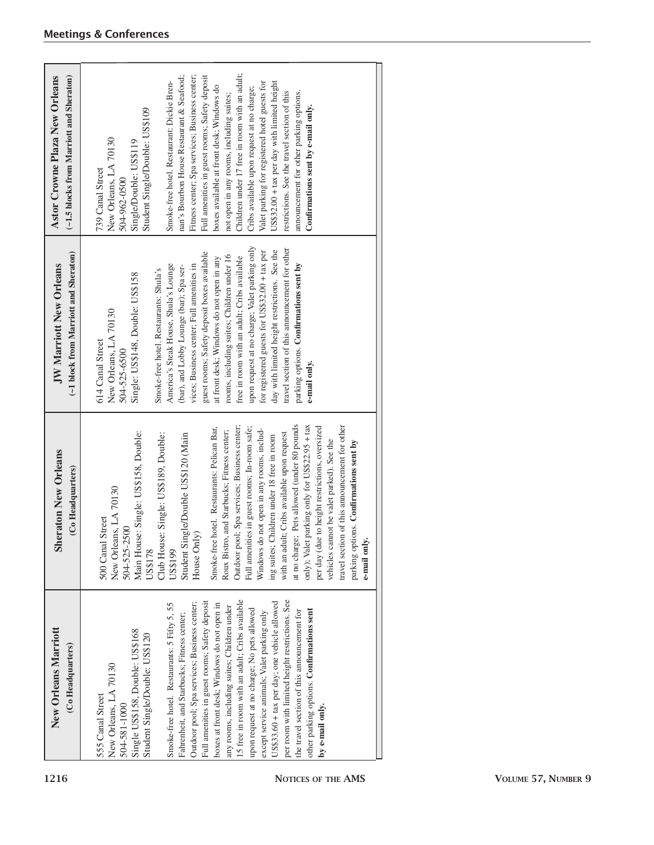| <b>New Orleans Marriott</b>                                                                                                                                                                                                                                                                                                                                                                                                                                                                                                                                                                                                                                                                                                                                                                | <b>Sheraton New Orleans</b>                                                                                                                                                                                                                                                                                                                                                                                                                                                                                                                                                                                                                                                                                                                                                                                                                                                      | (~1 block from Marriott and Sheraton)                                                                                                                                                                                                                                                                                                                                                                                                                                                                                                                                                                                                                                                                                           | (~1.5 blocks from Marriott and Sheraton)                                                                                                                                                                                                                                                                                                                                                                                                                                                                                                                                                                                                                                                                                                     |
|--------------------------------------------------------------------------------------------------------------------------------------------------------------------------------------------------------------------------------------------------------------------------------------------------------------------------------------------------------------------------------------------------------------------------------------------------------------------------------------------------------------------------------------------------------------------------------------------------------------------------------------------------------------------------------------------------------------------------------------------------------------------------------------------|----------------------------------------------------------------------------------------------------------------------------------------------------------------------------------------------------------------------------------------------------------------------------------------------------------------------------------------------------------------------------------------------------------------------------------------------------------------------------------------------------------------------------------------------------------------------------------------------------------------------------------------------------------------------------------------------------------------------------------------------------------------------------------------------------------------------------------------------------------------------------------|---------------------------------------------------------------------------------------------------------------------------------------------------------------------------------------------------------------------------------------------------------------------------------------------------------------------------------------------------------------------------------------------------------------------------------------------------------------------------------------------------------------------------------------------------------------------------------------------------------------------------------------------------------------------------------------------------------------------------------|----------------------------------------------------------------------------------------------------------------------------------------------------------------------------------------------------------------------------------------------------------------------------------------------------------------------------------------------------------------------------------------------------------------------------------------------------------------------------------------------------------------------------------------------------------------------------------------------------------------------------------------------------------------------------------------------------------------------------------------------|
| (Co Headquarters)                                                                                                                                                                                                                                                                                                                                                                                                                                                                                                                                                                                                                                                                                                                                                                          | (Co Headquarters)                                                                                                                                                                                                                                                                                                                                                                                                                                                                                                                                                                                                                                                                                                                                                                                                                                                                | <b>JW Marriott New Orleans</b>                                                                                                                                                                                                                                                                                                                                                                                                                                                                                                                                                                                                                                                                                                  | Astor Crowne Plaza New Orleans                                                                                                                                                                                                                                                                                                                                                                                                                                                                                                                                                                                                                                                                                                               |
| 15 free in room with an adult; Cribs available<br>per room with limited height restrictions. See<br>Full amenities in guest rooms; Safety deposit<br>US\$33.60 + tax per day; one vehicle allowed<br>Outdoor pool; Spa services; Business center;<br>Smoke-free hotel. Restaurants: 5 Fifty 5, 55<br>boxes at front desk; Windows do not open in<br>any rooms, including suites; Children under<br>upon request at no charge; No pets allowed<br>other parking options. Confirmations sent<br>the travel section of this announcement for<br>except service animals; Valet parking only<br>Fahrenheit, and Starbucks; Fitness center;<br>Single US\$158, Double: US\$168<br>Student Single/Double: US\$120<br>New Orleans, LA 70130<br>555 Canal Street<br>504-581-1000<br>by e-mail only. | at no charge; Pets allowed (under 80 pounds<br>travel section of this announcement for other<br>Outdoor pool; Spa services; Business center;<br>only); Valet parking only for US\$22.95 + tax<br>per day (due to height restrictions, oversized<br>Full amenities in guest rooms; In-room safe;<br>Smoke-free hotel. Restaurants: Pelican Bar,<br>Windows do not open in any rooms, includ-<br>Main House: Single: US\$158, Double:<br>Roux Bistro, and Starbucks; Fitness center;<br>with an adult; Cribs available upon request<br>Club House: Single: US\$189, Double:<br>Student Single/Double US\$120 (Main<br>ing suites; Children under 18 free in room<br>vehicles cannot be valet parked). See the<br>parking options. Confirmations sent by<br>New Orleans, LA 70130<br>Street<br>504-525-2500<br>House Only)<br>500 Canal<br>e-mail only<br><b>US\$178</b><br>US\$199 | upon request at no charge; Valet parking only<br>travel section of this announcement for other<br>day with limited height restrictions. See the<br>for registered guests for US\$32.00 + tax per<br>guest rooms; Safety deposit boxes available<br>rooms, including suites; Children under 16<br>free in room with an adult; Cribs available<br>at front desk; Windows do not open in any<br>parking options. Confirmations sent by<br>America's Steak House, Shula's Lounge<br>vices; Business center; Full amenities in<br>(bar), and Lobby Lounge (bar); Spa ser-<br>Smoke-free hotel. Restaurants: Shula's<br>Single: US\$148, Double: US\$158<br>New Orleans, LA 70130<br>614 Canal Street<br>504-525-6500<br>e-mail only. | Children under 17 free in room with an adult;<br>Fitness center; Spa services; Business center;<br>nan's Bourbon House Restaurant & Seafood;<br>Full amenities in guest rooms; Safety deposit<br>Smoke-free hotel. Restaurant: Dickie Bren-<br>US\$32.00 + tax per day with limited height<br>Valet parking for registered hotel guests for<br>boxes available at front desk; Windows do<br>Cribs available upon request at no charge;<br>restrictions. See the travel section of this<br>announcement for other parking options.<br>not open in any rooms, including suites;<br>Confirmations sent by e-mail only.<br>Student Single/Double: US\$109<br>New Orleans, LA 70130<br>Single/Double: US\$119<br>739 Canal Street<br>504-962-0500 |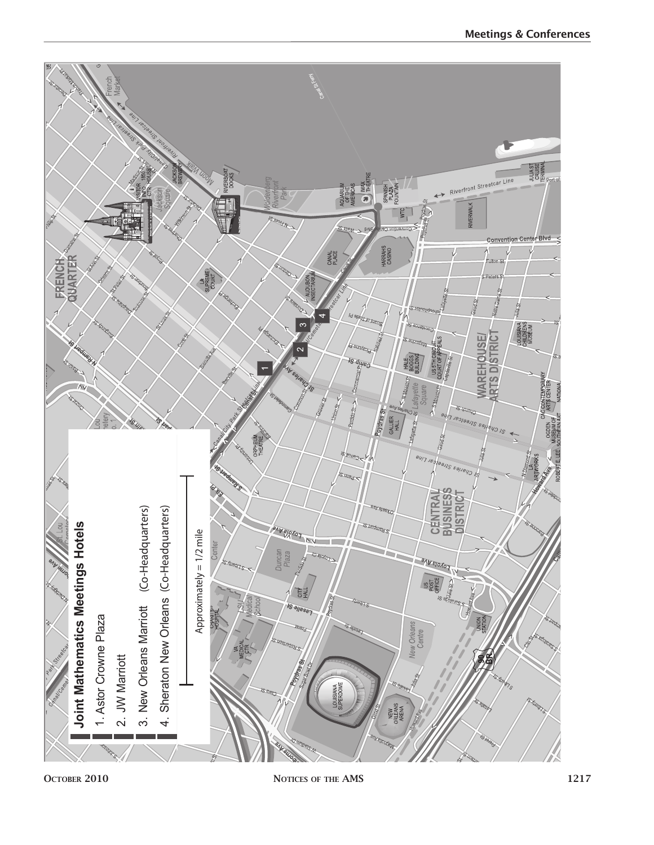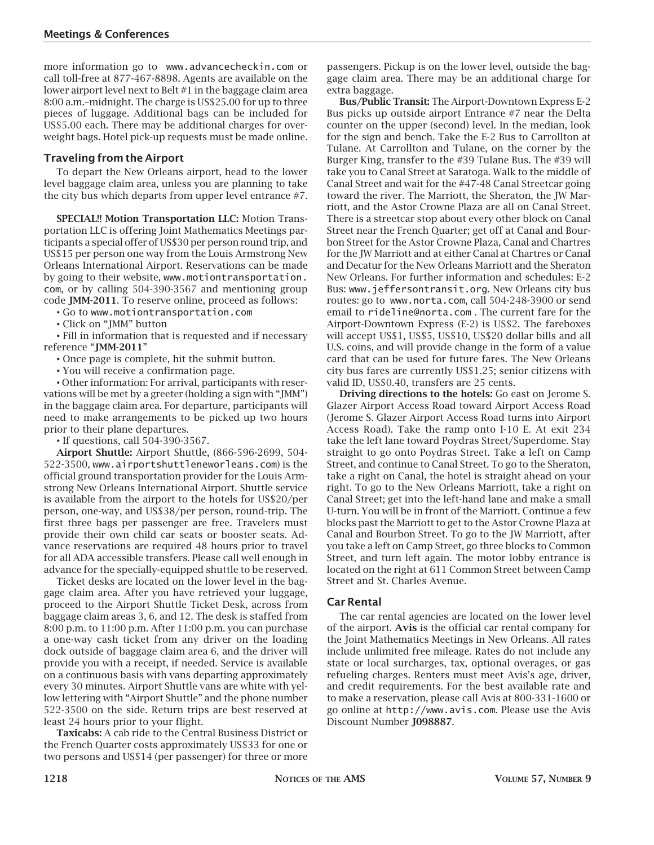more information go to www.advancecheckin.com or call toll-free at 877-467-8898. Agents are available on the lower airport level next to Belt #1 in the baggage claim area 8:00 a.m.–midnight. The charge is US\$25.00 for up to three pieces of luggage. Additional bags can be included for US\$5.00 each. There may be additional charges for overweight bags. Hotel pick-up requests must be made online.

#### **Traveling from the Airport**

To depart the New Orleans airport, head to the lower level baggage claim area, unless you are planning to take the city bus which departs from upper level entrance #7.

**SPECIAL!! Motion Transportation LLC:** Motion Transportation LLC is offering Joint Mathematics Meetings participants a special offer of US\$30 per person round trip, and US\$15 per person one way from the Louis Armstrong New Orleans International Airport. Reservations can be made by going to their website, www.motiontransportation. com, or by calling 504-390-3567 and mentioning group code **JMM-2011**. To reserve online, proceed as follows:

• Go to www.motiontransportation.com

• Click on "JMM" button

• Fill in information that is requested and if necessary reference "**JMM-2011**"

• Once page is complete, hit the submit button.

• You will receive a confirmation page.

• Other information: For arrival, participants with reservations will be met by a greeter (holding a sign with "JMM") in the baggage claim area. For departure, participants will need to make arrangements to be picked up two hours prior to their plane departures.

• If questions, call 504-390-3567.

**Airport Shuttle:** Airport Shuttle, (866-596-2699, 504- 522-3500, www.airportshuttleneworleans.com) is the official ground transportation provider for the Louis Armstrong New Orleans International Airport. Shuttle service is available from the airport to the hotels for US\$20/per person, one-way, and US\$38/per person, round-trip. The first three bags per passenger are free. Travelers must provide their own child car seats or booster seats. Advance reservations are required 48 hours prior to travel for all ADA accessible transfers. Please call well enough in advance for the specially-equipped shuttle to be reserved.

Ticket desks are located on the lower level in the baggage claim area. After you have retrieved your luggage, proceed to the Airport Shuttle Ticket Desk, across from baggage claim areas 3, 6, and 12. The desk is staffed from 8:00 p.m. to 11:00 p.m. After 11:00 p.m. you can purchase a one-way cash ticket from any driver on the loading dock outside of baggage claim area 6, and the driver will provide you with a receipt, if needed. Service is available on a continuous basis with vans departing approximately every 30 minutes. Airport Shuttle vans are white with yellow lettering with "Airport Shuttle" and the phone number 522-3500 on the side. Return trips are best reserved at least 24 hours prior to your flight.

**Taxicabs:** A cab ride to the Central Business District or the French Quarter costs approximately US\$33 for one or two persons and US\$14 (per passenger) for three or more passengers. Pickup is on the lower level, outside the baggage claim area. There may be an additional charge for extra baggage.

**Bus/Public Transit:** The Airport-Downtown Express E-2 Bus picks up outside airport Entrance #7 near the Delta counter on the upper (second) level. In the median, look for the sign and bench. Take the E-2 Bus to Carrollton at Tulane. At Carrollton and Tulane, on the corner by the Burger King, transfer to the #39 Tulane Bus. The #39 will take you to Canal Street at Saratoga. Walk to the middle of Canal Street and wait for the #47-48 Canal Streetcar going toward the river. The Marriott, the Sheraton, the JW Marriott, and the Astor Crowne Plaza are all on Canal Street. There is a streetcar stop about every other block on Canal Street near the French Quarter; get off at Canal and Bourbon Street for the Astor Crowne Plaza, Canal and Chartres for the JW Marriott and at either Canal at Chartres or Canal and Decatur for the New Orleans Marriott and the Sheraton New Orleans. For further information and schedules: E-2 Bus: www.jeffersontransit.org. New Orleans city bus routes: go to www.norta.com, call 504-248-3900 or send email to rideline@norta.com . The current fare for the Airport-Downtown Express (E-2) is US\$2. The fareboxes will accept US\$1, US\$5, US\$10, US\$20 dollar bills and all U.S. coins, and will provide change in the form of a value card that can be used for future fares. The New Orleans city bus fares are currently US\$1.25; senior citizens with valid ID, US\$0.40, transfers are 25 cents.

**Driving directions to the hotels:** Go east on Jerome S. Glazer Airport Access Road toward Airport Access Road (Jerome S. Glazer Airport Access Road turns into Airport Access Road). Take the ramp onto I-10 E. At exit 234 take the left lane toward Poydras Street/Superdome. Stay straight to go onto Poydras Street. Take a left on Camp Street, and continue to Canal Street. To go to the Sheraton, take a right on Canal, the hotel is straight ahead on your right. To go to the New Orleans Marriott, take a right on Canal Street; get into the left-hand lane and make a small U-turn. You will be in front of the Marriott. Continue a few blocks past the Marriott to get to the Astor Crowne Plaza at Canal and Bourbon Street. To go to the JW Marriott, after you take a left on Camp Street, go three blocks to Common Street, and turn left again. The motor lobby entrance is located on the right at 611 Common Street between Camp Street and St. Charles Avenue.

#### **Car Rental**

The car rental agencies are located on the lower level of the airport. **Avis** is the official car rental company for the Joint Mathematics Meetings in New Orleans. All rates include unlimited free mileage. Rates do not include any state or local surcharges, tax, optional overages, or gas refueling charges. Renters must meet Avis's age, driver, and credit requirements. For the best available rate and to make a reservation, please call Avis at 800-331-1600 or go online at http://www.avis.com. Please use the Avis Discount Number **J098887**.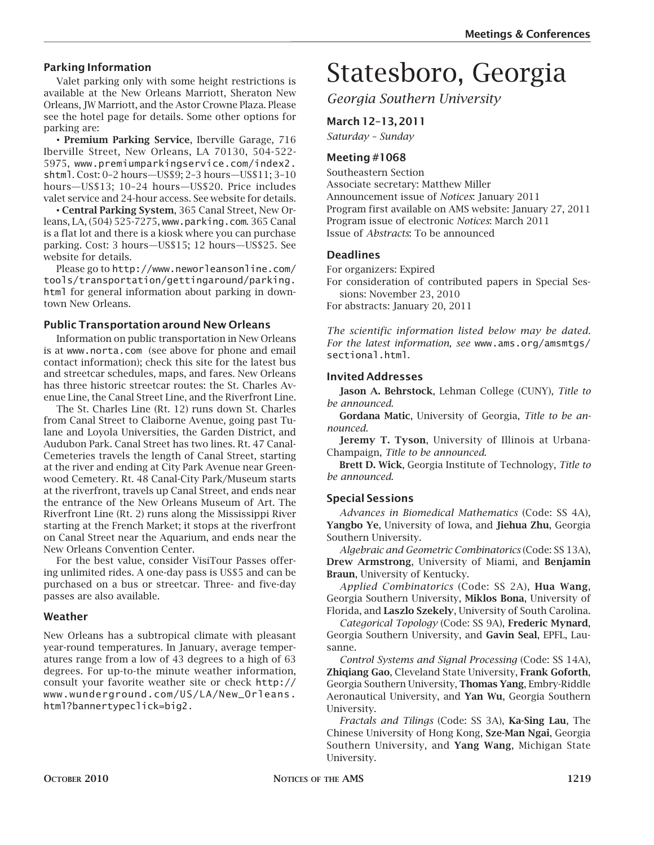#### **Parking Information**

Valet parking only with some height restrictions is available at the New Orleans Marriott, Sheraton New Orleans, JW Marriott, and the Astor Crowne Plaza. Please see the hotel page for details. Some other options for parking are:

• **Premium Parking Service**, Iberville Garage, 716 Iberville Street, New Orleans, LA 70130, 504-522- 5975, www.premiumparkingservice.com/index2. shtml. Cost: 0–2 hours—US\$9; 2–3 hours—US\$11; 3–10 hours—US\$13; 10–24 hours—US\$20. Price includes valet service and 24-hour access. See website for details.

• **Central Parking System**, 365 Canal Street, New Orleans, LA, (504) 525-7275, www.parking.com. 365 Canal is a flat lot and there is a kiosk where you can purchase parking. Cost: 3 hours—US\$15; 12 hours—US\$25. See website for details.

Please go to http://www.neworleansonline.com/ tools/transportation/gettingaround/parking. html for general information about parking in downtown New Orleans.

#### **Public Transportation around New Orleans**

Information on public transportation in New Orleans is at www.norta.com (see above for phone and email contact information); check this site for the latest bus and streetcar schedules, maps, and fares. New Orleans has three historic streetcar routes: the St. Charles Avenue Line, the Canal Street Line, and the Riverfront Line.

The St. Charles Line (Rt. 12) runs down St. Charles from Canal Street to Claiborne Avenue, going past Tulane and Loyola Universities, the Garden District, and Audubon Park. Canal Street has two lines. Rt. 47 Canal-Cemeteries travels the length of Canal Street, starting at the river and ending at City Park Avenue near Greenwood Cemetery. Rt. 48 Canal-City Park/Museum starts at the riverfront, travels up Canal Street, and ends near the entrance of the New Orleans Museum of Art. The Riverfront Line (Rt. 2) runs along the Mississippi River starting at the French Market; it stops at the riverfront on Canal Street near the Aquarium, and ends near the New Orleans Convention Center.

For the best value, consider VisiTour Passes offering unlimited rides. A one-day pass is US\$5 and can be purchased on a bus or streetcar. Three- and five-day passes are also available.

#### **Weather**

New Orleans has a subtropical climate with pleasant year-round temperatures. In January, average temperatures range from a low of 43 degrees to a high of 63 degrees. For up-to-the minute weather information, consult your favorite weather site or check http:// www.wunderground.com/US/LA/New\_Orleans. html?bannertypeclick=big2.

# Statesboro, Georgia

*Georgia Southern University*

**March 12–13, 2011** *Saturday – Sunday*

#### **Meeting #1068**

Southeastern Section Associate secretary: Matthew Miller Announcement issue of *Notices*: January 2011 Program first available on AMS website: January 27, 2011 Program issue of electronic *Notices*: March 2011 Issue of *Abstracts*: To be announced

#### **Deadlines**

For organizers: Expired

For consideration of contributed papers in Special Sessions: November 23, 2010 For abstracts: January 20, 2011

*The scientific information listed below may be dated. For the latest information, see* www.ams.org/amsmtgs/ sectional.html.

#### **Invited Addresses**

**Jason A. Behrstock**, Lehman College (CUNY), *Title to be announced*.

**Gordana Matic**, University of Georgia, *Title to be announced*.

**Jeremy T. Tyson**, University of Illinois at Urbana-Champaign, *Title to be announced*.

**Brett D. Wick**, Georgia Institute of Technology, *Title to be announced*.

#### **Special Sessions**

*Advances in Biomedical Mathematics* (Code: SS 4A), **Yangbo Ye**, University of Iowa, and **Jiehua Zhu**, Georgia Southern University.

*Algebraic and Geometric Combinatorics* (Code: SS 13A), **Drew Armstrong**, University of Miami, and **Benjamin Braun**, University of Kentucky.

*Applied Combinatorics* (Code: SS 2A), **Hua Wang**, Georgia Southern University, **Miklos Bona**, University of Florida, and **Laszlo Szekely**, University of South Carolina.

*Categorical Topology* (Code: SS 9A), **Frederic Mynard**, Georgia Southern University, and **Gavin Seal**, EPFL, Lausanne.

*Control Systems and Signal Processing* (Code: SS 14A), **Zhiqiang Gao**, Cleveland State University, **Frank Goforth**, Georgia Southern University, **Thomas Yang**, Embry-Riddle Aeronautical University, and **Yan Wu**, Georgia Southern University.

*Fractals and Tilings* (Code: SS 3A), **Ka-Sing Lau**, The Chinese University of Hong Kong, **Sze-Man Ngai**, Georgia Southern University, and **Yang Wang**, Michigan State University.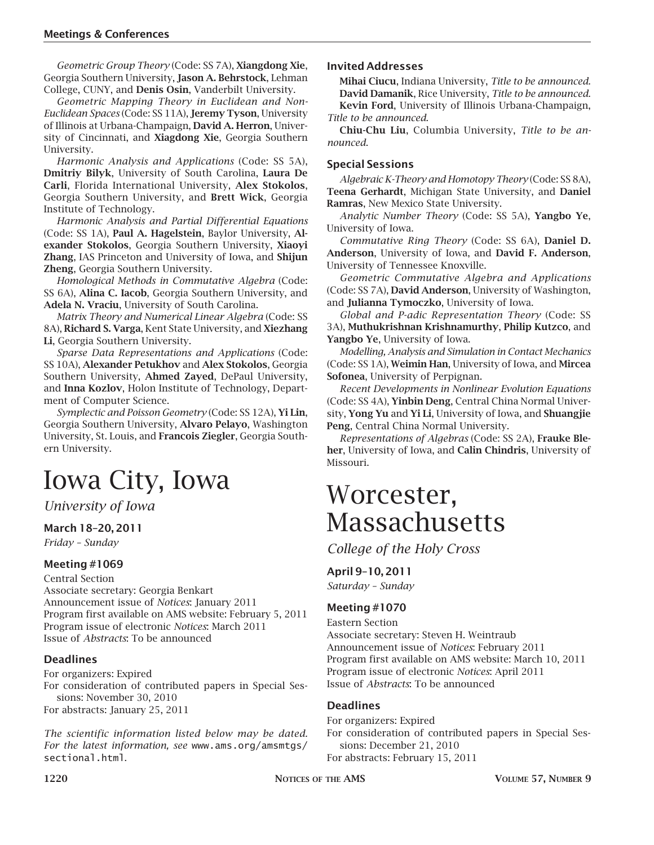*Geometric Group Theory* (Code: SS 7A), **Xiangdong Xie**, Georgia Southern University, **Jason A. Behrstock**, Lehman College, CUNY, and **Denis Osin**, Vanderbilt University.

*Geometric Mapping Theory in Euclidean and Non-Euclidean Spaces* (Code: SS 11A), **Jeremy Tyson**, University of Illinois at Urbana-Champaign, **David A. Herron**, University of Cincinnati, and **Xiagdong Xie**, Georgia Southern University.

*Harmonic Analysis and Applications* (Code: SS 5A), **Dmitriy Bilyk**, University of South Carolina, **Laura De Carli**, Florida International University, **Alex Stokolos**, Georgia Southern University, and **Brett Wick**, Georgia Institute of Technology.

*Harmonic Analysis and Partial Differential Equations* (Code: SS 1A), **Paul A. Hagelstein**, Baylor University, **Alexander Stokolos**, Georgia Southern University, **Xiaoyi Zhang**, IAS Princeton and University of Iowa, and **Shijun Zheng**, Georgia Southern University.

*Homological Methods in Commutative Algebra* (Code: SS 6A), **Alina C. Iacob**, Georgia Southern University, and **Adela N. Vraciu**, University of South Carolina.

*Matrix Theory and Numerical Linear Algebra* (Code: SS 8A), **Richard S. Varga**, Kent State University, and **Xiezhang Li**, Georgia Southern University.

*Sparse Data Representations and Applications* (Code: SS 10A), **Alexander Petukhov** and **Alex Stokolos**, Georgia Southern University, **Ahmed Zayed**, DePaul University, and **Inna Kozlov**, Holon Institute of Technology, Department of Computer Science.

*Symplectic and Poisson Geometry* (Code: SS 12A), **Yi Lin**, Georgia Southern University, **Alvaro Pelayo**, Washington University, St. Louis, and **Francois Ziegler**, Georgia Southern University.

## Iowa City, Iowa

#### *University of Iowa*

#### **March 18–20, 2011**

*Friday – Sunday*

#### **Meeting #1069**

Central Section Associate secretary: Georgia Benkart Announcement issue of *Notices*: January 2011 Program first available on AMS website: February 5, 2011 Program issue of electronic *Notices*: March 2011 Issue of *Abstracts*: To be announced

#### **Deadlines**

For organizers: Expired

For consideration of contributed papers in Special Sessions: November 30, 2010 For abstracts: January 25, 2011

*The scientific information listed below may be dated. For the latest information, see* www.ams.org/amsmtgs/ sectional.html.

#### **Invited Addresses**

**Mihai Ciucu**, Indiana University, *Title to be announced*. **David Damanik**, Rice University, *Title to be announced*. **Kevin Ford**, University of Illinois Urbana-Champaign, *Title to be announced*.

**Chiu-Chu Liu**, Columbia University, *Title to be announced*.

#### **Special Sessions**

*Algebraic K-Theory and Homotopy Theory* (Code: SS 8A), **Teena Gerhardt**, Michigan State University, and **Daniel Ramras**, New Mexico State University.

*Analytic Number Theory* (Code: SS 5A), **Yangbo Ye**, University of Iowa.

*Commutative Ring Theory* (Code: SS 6A), **Daniel D. Anderson**, University of Iowa, and **David F. Anderson**, University of Tennessee Knoxville.

*Geometric Commutative Algebra and Applications* (Code: SS 7A), **David Anderson**, University of Washington, and **Julianna Tymoczko**, University of Iowa.

*Global and P-adic Representation Theory* (Code: SS 3A), **Muthukrishnan Krishnamurthy**, **Philip Kutzco**, and **Yangbo Ye**, University of Iowa.

*Modelling, Analysis and Simulation in Contact Mechanics* (Code: SS 1A), **Weimin Han**, University of Iowa, and **Mircea Sofonea**, University of Perpignan.

*Recent Developments in Nonlinear Evolution Equations* (Code: SS 4A), **Yinbin Deng**, Central China Normal University, **Yong Yu** and **Yi Li**, University of Iowa, and **Shuangjie Peng**, Central China Normal University.

*Representations of Algebras* (Code: SS 2A), **Frauke Bleher**, University of Iowa, and **Calin Chindris**, University of Missouri.

### Worcester, **Massachusetts**

*College of the Holy Cross*

#### **April 9–10, 2011**

*Saturday – Sunday*

#### **Meeting #1070**

Eastern Section Associate secretary: Steven H. Weintraub Announcement issue of *Notices*: February 2011 Program first available on AMS website: March 10, 2011 Program issue of electronic *Notices*: April 2011 Issue of *Abstracts*: To be announced

#### **Deadlines**

For organizers: Expired For consideration of contributed papers in Special Sessions: December 21, 2010 For abstracts: February 15, 2011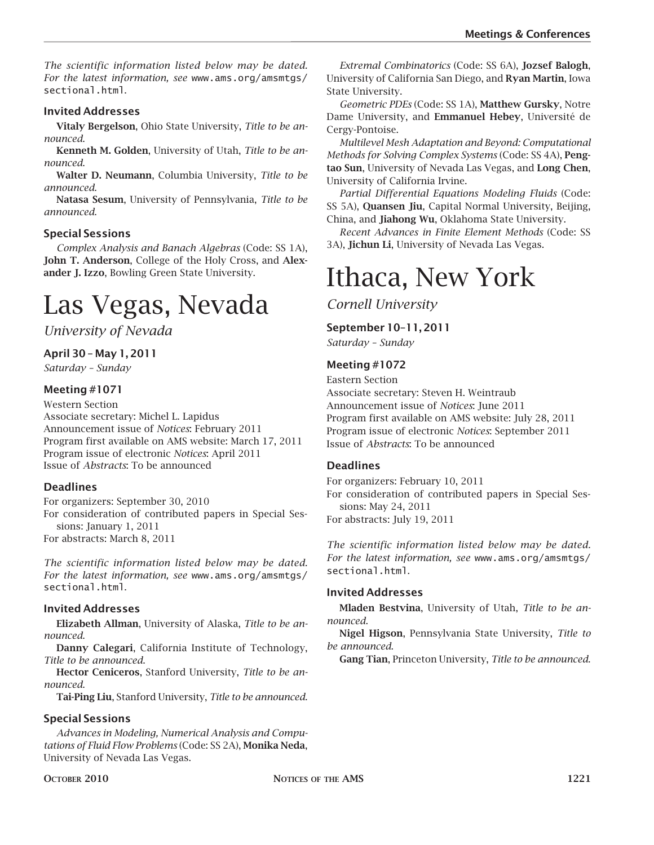*The scientific information listed below may be dated. For the latest information, see* www.ams.org/amsmtgs/ sectional.html.

#### **Invited Addresses**

**Vitaly Bergelson**, Ohio State University, *Title to be announced*.

**Kenneth M. Golden**, University of Utah, *Title to be announced*.

**Walter D. Neumann**, Columbia University, *Title to be announced*.

**Natasa Sesum**, University of Pennsylvania, *Title to be announced*.

#### **Special Sessions**

*Complex Analysis and Banach Algebras* (Code: SS 1A), **John T. Anderson**, College of the Holy Cross, and **Alexander J. Izzo**, Bowling Green State University.

### Las Vegas, Nevada

*University of Nevada*

#### **April 30 – May 1, 2011**

*Saturday – Sunday*

#### **Meeting #1071**

Western Section Associate secretary: Michel L. Lapidus Announcement issue of *Notices*: February 2011 Program first available on AMS website: March 17, 2011 Program issue of electronic *Notices*: April 2011 Issue of *Abstracts*: To be announced

#### **Deadlines**

For organizers: September 30, 2010 For consideration of contributed papers in Special Sessions: January 1, 2011 For abstracts: March 8, 2011

*The scientific information listed below may be dated. For the latest information, see* www.ams.org/amsmtgs/ sectional.html.

#### **Invited Addresses**

**Elizabeth Allman**, University of Alaska, *Title to be announced*.

**Danny Calegari**, California Institute of Technology, *Title to be announced*.

**Hector Ceniceros**, Stanford University, *Title to be announced*.

**Tai-Ping Liu**, Stanford University, *Title to be announced*.

#### **Special Sessions**

*Advances in Modeling, Numerical Analysis and Computations of Fluid Flow Problems* (Code: SS 2A), **Monika Neda**, University of Nevada Las Vegas.

*Extremal Combinatorics* (Code: SS 6A), **Jozsef Balogh**, University of California San Diego, and **Ryan Martin**, Iowa State University.

*Geometric PDEs* (Code: SS 1A), **Matthew Gursky**, Notre Dame University, and **Emmanuel Hebey**, Université de Cergy-Pontoise.

*Multilevel Mesh Adaptation and Beyond: Computational Methods for Solving Complex Systems* (Code: SS 4A), **Pengtao Sun**, University of Nevada Las Vegas, and **Long Chen**, University of California Irvine.

*Partial Differential Equations Modeling Fluids* (Code: SS 5A), **Quansen Jiu**, Capital Normal University, Beijing, China, and **Jiahong Wu**, Oklahoma State University.

*Recent Advances in Finite Element Methods* (Code: SS 3A), **Jichun Li**, University of Nevada Las Vegas.

### Ithaca, New York

*Cornell University*

#### **September 10–11, 2011**

*Saturday – Sunday*

#### **Meeting #1072**

Eastern Section Associate secretary: Steven H. Weintraub Announcement issue of *Notices*: June 2011 Program first available on AMS website: July 28, 2011 Program issue of electronic *Notices*: September 2011 Issue of *Abstracts*: To be announced

#### **Deadlines**

For organizers: February 10, 2011 For consideration of contributed papers in Special Sessions: May 24, 2011 For abstracts: July 19, 2011

*The scientific information listed below may be dated. For the latest information, see* www.ams.org/amsmtgs/ sectional.html.

#### **Invited Addresses**

**Mladen Bestvina**, University of Utah, *Title to be announced*.

**Nigel Higson**, Pennsylvania State University, *Title to be announced*.

**Gang Tian**, Princeton University, *Title to be announced*.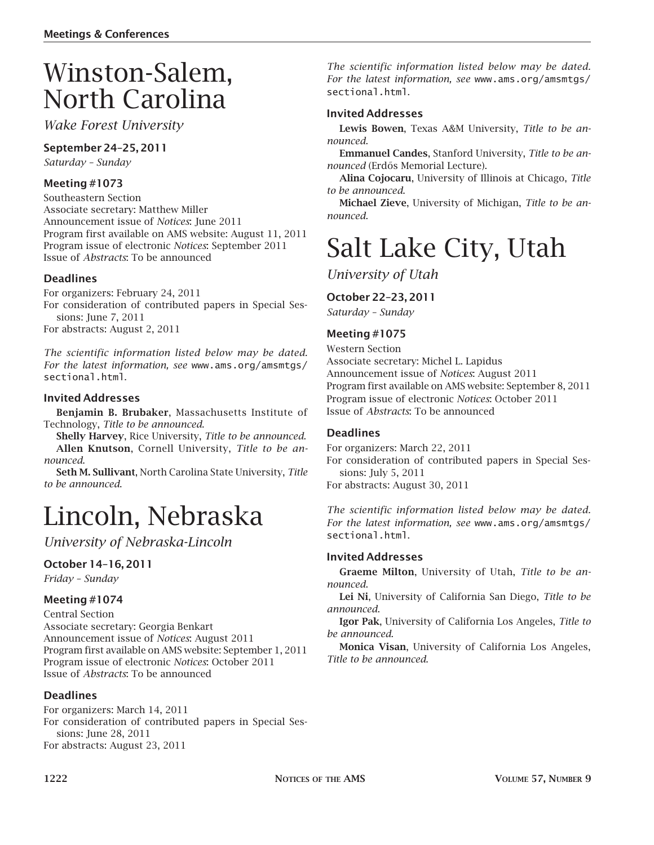## Winston-Salem, North Carolina

*Wake Forest University*

#### **September 24–25, 2011**

*Saturday – Sunday*

#### **Meeting #1073**

Southeastern Section Associate secretary: Matthew Miller Announcement issue of *Notices*: June 2011 Program first available on AMS website: August 11, 2011 Program issue of electronic *Notices*: September 2011 Issue of *Abstracts*: To be announced

#### **Deadlines**

For organizers: February 24, 2011 For consideration of contributed papers in Special Sessions: June 7, 2011 For abstracts: August 2, 2011

*The scientific information listed below may be dated. For the latest information, see* www.ams.org/amsmtgs/ sectional.html.

#### **Invited Addresses**

**Benjamin B. Brubaker**, Massachusetts Institute of Technology, *Title to be announced*.

**Shelly Harvey**, Rice University, *Title to be announced*. **Allen Knutson**, Cornell University, *Title to be announced*.

**Seth M. Sullivant**, North Carolina State University, *Title to be announced*.

### Lincoln, Nebraska

*University of Nebraska-Lincoln*

#### **October 14–16, 2011**

*Friday – Sunday*

#### **Meeting #1074**

Central Section Associate secretary: Georgia Benkart Announcement issue of *Notices*: August 2011 Program first available on AMS website: September 1, 2011 Program issue of electronic *Notices*: October 2011 Issue of *Abstracts*: To be announced

#### **Deadlines**

For organizers: March 14, 2011 For consideration of contributed papers in Special Sessions: June 28, 2011 For abstracts: August 23, 2011

*The scientific information listed below may be dated. For the latest information, see* www.ams.org/amsmtgs/ sectional.html.

#### **Invited Addresses**

**Lewis Bowen**, Texas A&M University, *Title to be announced*.

**Emmanuel Candes**, Stanford University, *Title to be announced* (Erdős Memorial Lecture).

**Alina Cojocaru**, University of Illinois at Chicago, *Title to be announced*.

**Michael Zieve**, University of Michigan, *Title to be announced*.

### Salt Lake City, Utah

*University of Utah*

#### **October 22–23, 2011**

*Saturday – Sunday*

#### **Meeting #1075**

#### Western Section

Associate secretary: Michel L. Lapidus Announcement issue of *Notices*: August 2011 Program first available on AMS website: September 8, 2011 Program issue of electronic *Notices*: October 2011 Issue of *Abstracts*: To be announced

#### **Deadlines**

For organizers: March 22, 2011

For consideration of contributed papers in Special Sessions: July 5, 2011

For abstracts: August 30, 2011

*The scientific information listed below may be dated. For the latest information, see* www.ams.org/amsmtgs/ sectional.html.

#### **Invited Addresses**

**Graeme Milton**, University of Utah, *Title to be announced*.

**Lei Ni**, University of California San Diego, *Title to be announced*.

**Igor Pak**, University of California Los Angeles, *Title to be announced*.

**Monica Visan**, University of California Los Angeles, *Title to be announced*.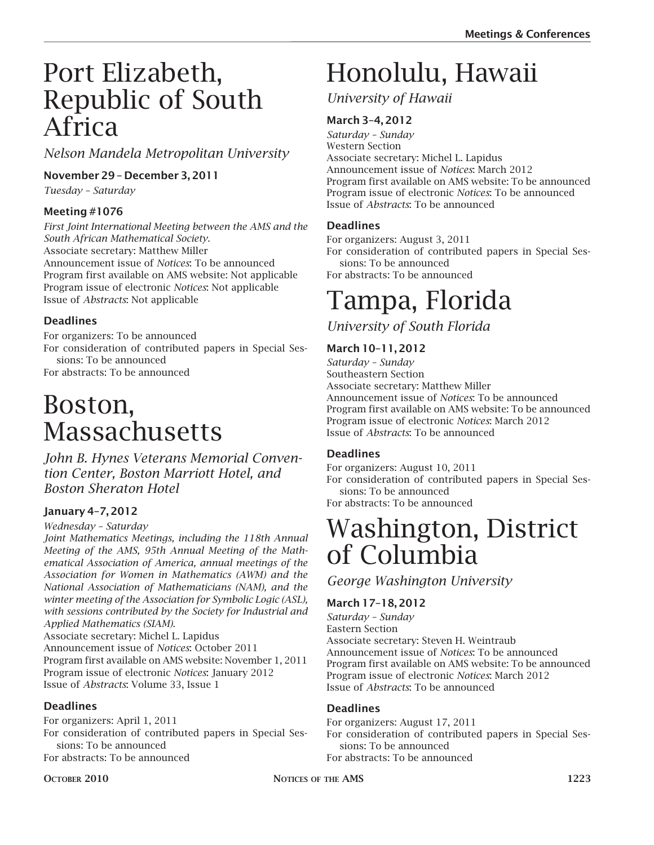### Port Elizabeth, Republic of South Africa

*Nelson Mandela Metropolitan University*

### **November 29 – December 3, 2011**

*Tuesday – Saturday*

#### **Meeting #1076**

*First Joint International Meeting between the AMS and the South African Mathematical Society.* Associate secretary: Matthew Miller Announcement issue of *Notices*: To be announced Program first available on AMS website: Not applicable Program issue of electronic *Notices*: Not applicable Issue of *Abstracts*: Not applicable

#### **Deadlines**

For organizers: To be announced For consideration of contributed papers in Special Sessions: To be announced For abstracts: To be announced

### Boston, **Massachusetts**

*John B. Hynes Veterans Memorial Convention Center, Boston Marriott Hotel, and Boston Sheraton Hotel*

### **January 4–7, 2012**

#### *Wednesday – Saturday*

*Joint Mathematics Meetings, including the 118th Annual Meeting of the AMS, 95th Annual Meeting of the Mathematical Association of America, annual meetings of the Association for Women in Mathematics (AWM) and the National Association of Mathematicians (NAM), and the winter meeting of the Association for Symbolic Logic (ASL), with sessions contributed by the Society for Industrial and Applied Mathematics (SIAM).*

Associate secretary: Michel L. Lapidus

Announcement issue of *Notices*: October 2011

Program first available on AMS website: November 1, 2011 Program issue of electronic *Notices*: January 2012 Issue of *Abstracts*: Volume 33, Issue 1

#### **Deadlines**

For organizers: April 1, 2011

For consideration of contributed papers in Special Sessions: To be announced For abstracts: To be announced

# Honolulu, Hawaii

*University of Hawaii*

### **March 3–4, 2012**

*Saturday – Sunday* Western Section Associate secretary: Michel L. Lapidus Announcement issue of *Notices*: March 2012 Program first available on AMS website: To be announced Program issue of electronic *Notices*: To be announced Issue of *Abstracts*: To be announced

#### **Deadlines**

For organizers: August 3, 2011

For consideration of contributed papers in Special Sessions: To be announced

For abstracts: To be announced

# Tampa, Florida

*University of South Florida*

#### **March 10–11, 2012**

*Saturday – Sunday* Southeastern Section Associate secretary: Matthew Miller Announcement issue of *Notices*: To be announced Program first available on AMS website: To be announced Program issue of electronic *Notices*: March 2012 Issue of *Abstracts*: To be announced

#### **Deadlines**

For organizers: August 10, 2011 For consideration of contributed papers in Special Sessions: To be announced For abstracts: To be announced

### Washington, District of Columbia

*George Washington University*

#### **March 17–18, 2012**

*Saturday – Sunday* Eastern Section Associate secretary: Steven H. Weintraub Announcement issue of *Notices*: To be announced Program first available on AMS website: To be announced Program issue of electronic *Notices*: March 2012 Issue of *Abstracts*: To be announced

#### **Deadlines**

For organizers: August 17, 2011 For consideration of contributed papers in Special Sessions: To be announced For abstracts: To be announced

**OCTOBER 2010 COLORER** 2010 **NOTICES** OF THE AMS **1223**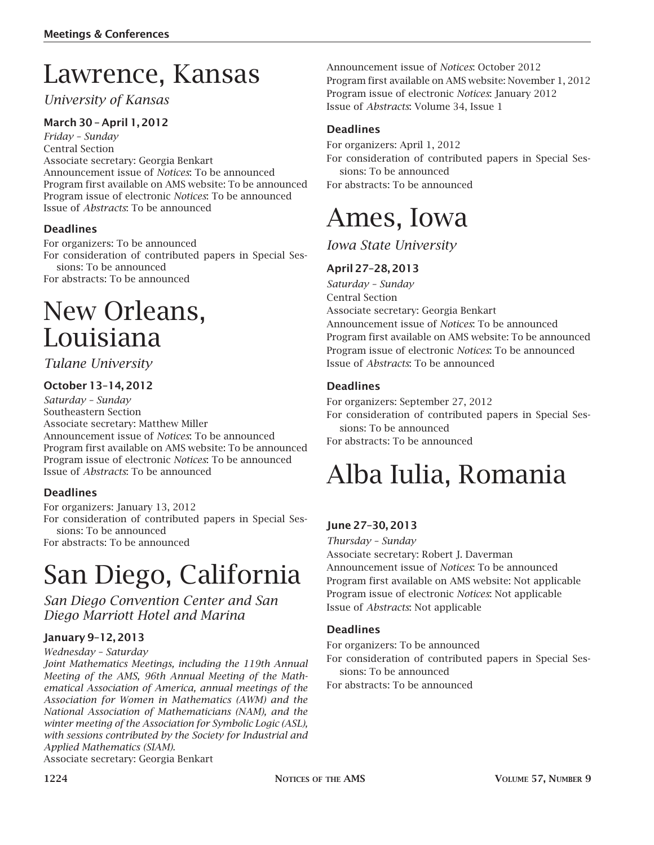## Lawrence, Kansas

### *University of Kansas*

### **March 30 – April 1, 2012**

*Friday – Sunday* Central Section Associate secretary: Georgia Benkart Announcement issue of *Notices*: To be announced Program first available on AMS website: To be announced Program issue of electronic *Notices*: To be announced Issue of *Abstracts*: To be announced

#### **Deadlines**

For organizers: To be announced For consideration of contributed papers in Special Sessions: To be announced For abstracts: To be announced

### New Orleans, Louisiana

#### *Tulane University*

#### **October 13–14, 2012**

*Saturday – Sunday* Southeastern Section Associate secretary: Matthew Miller Announcement issue of *Notices*: To be announced Program first available on AMS website: To be announced Program issue of electronic *Notices*: To be announced Issue of *Abstracts*: To be announced

#### **Deadlines**

For organizers: January 13, 2012 For consideration of contributed papers in Special Sessions: To be announced For abstracts: To be announced

# San Diego, California

*San Diego Convention Center and San Diego Marriott Hotel and Marina*

#### **January 9–12, 2013**

*Wednesday – Saturday*

*Joint Mathematics Meetings, including the 119th Annual Meeting of the AMS, 96th Annual Meeting of the Mathematical Association of America, annual meetings of the Association for Women in Mathematics (AWM) and the National Association of Mathematicians (NAM), and the winter meeting of the Association for Symbolic Logic (ASL), with sessions contributed by the Society for Industrial and Applied Mathematics (SIAM).*

Associate secretary: Georgia Benkart

Announcement issue of *Notices*: October 2012 Program first available on AMS website: November 1, 2012 Program issue of electronic *Notices*: January 2012 Issue of *Abstracts*: Volume 34, Issue 1

#### **Deadlines**

For organizers: April 1, 2012 For consideration of contributed papers in Special Sessions: To be announced For abstracts: To be announced

### Ames, Iowa

*Iowa State University*

#### **April 27–28, 2013**

*Saturday – Sunday* Central Section Associate secretary: Georgia Benkart Announcement issue of *Notices*: To be announced Program first available on AMS website: To be announced Program issue of electronic *Notices*: To be announced Issue of *Abstracts*: To be announced

#### **Deadlines**

For organizers: September 27, 2012 For consideration of contributed papers in Special Sessions: To be announced For abstracts: To be announced

# Alba Iulia, Romania

#### **June 27–30, 2013**

*Thursday – Sunday*

Associate secretary: Robert J. Daverman Announcement issue of *Notices*: To be announced Program first available on AMS website: Not applicable Program issue of electronic *Notices*: Not applicable Issue of *Abstracts*: Not applicable

#### **Deadlines**

For organizers: To be announced For consideration of contributed papers in Special Sessions: To be announced

For abstracts: To be announced